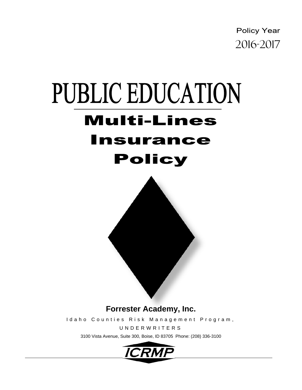**Policy Year** 



Idaho Counties Risk Management Program,

UNDERWRITERS

3100 Vista Avenue, Suite 300, Boise, ID 83705 Phone: (208) 336-3100

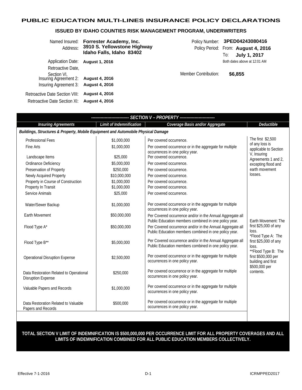# **PUBLIC EDUCATION MULTI-LINES INSURANCE POLICY DECLARATIONS**

# **ISSUED BY IDAHO COUNTIES RISK MANAGEMENT PROGRAM, UNDERWRITERS**

| Named Insured:<br>Address:                                                                                     | Forrester Academy, Inc.<br>3910 S. Yellowstone Highway<br>Idaho Falls, Idaho 83402 | Policy Number:<br>Policy Period: From: August 4, 2016 | 3PED04243080416<br>To:                  | July 1, 2017      |
|----------------------------------------------------------------------------------------------------------------|------------------------------------------------------------------------------------|-------------------------------------------------------|-----------------------------------------|-------------------|
| <b>Application Date:</b><br>Retroactive Date,<br>Section VI.<br>Insuring Agreement 2:<br>Insuring Agreement 3: | <b>August 1, 2016</b><br><b>August 4, 2016</b><br><b>August 4, 2016</b>            | Member Contribution:                                  | Both dates above at 12:01 AM<br>\$6,855 |                   |
| Retroactive Date Section VIII:<br>Retroactive Date Section XI:                                                 | <b>August 4, 2016</b><br><b>August 4, 2016</b>                                     |                                                       |                                         |                   |
|                                                                                                                |                                                                                    | <b>SECTION V - PROPERTY</b> -------------------       |                                         |                   |
| <b>Insuring Agreements</b>                                                                                     | Limit of Indemnification                                                           | Coverage Basis and/or Aggregate                       |                                         | <b>Deductibl</b>  |
|                                                                                                                | ldings, Structures & Property, Mobile Equipment and Automobile Physical Damage     |                                                       |                                         |                   |
| Professional Fees                                                                                              | \$1,000,000                                                                        | Per covered occurrence                                |                                         | The first \$2,500 |

| ----------------------- SECTION V - PROPERTY -------------------------            |                                 |                                                                                                                    |                                                                             |  |
|-----------------------------------------------------------------------------------|---------------------------------|--------------------------------------------------------------------------------------------------------------------|-----------------------------------------------------------------------------|--|
| <b>Insuring Agreements</b>                                                        | <b>Limit of Indemnification</b> | Coverage Basis and/or Aggregate                                                                                    | <b>Deductible</b>                                                           |  |
| Buildings, Structures & Property, Mobile Equipment and Automobile Physical Damage |                                 |                                                                                                                    |                                                                             |  |
| <b>Professional Fees</b>                                                          | \$1,000,000                     | Per covered occurrence.                                                                                            | The first \$2,500                                                           |  |
| Fine Arts                                                                         | \$1,000,000                     | Per covered occurrence or in the aggregate for multiple<br>occurrences in one policy year.                         | of any loss is<br>applicable to Section                                     |  |
| Landscape Items                                                                   | \$25,000                        | Per covered occurrence.                                                                                            | V, Insuring<br>Agreements 1 and 2,                                          |  |
| Ordinance Deficiency                                                              | \$5,000,000                     | Per covered occurrence.                                                                                            | excepting flood and                                                         |  |
| Preservation of Property                                                          | \$250,000                       | Per covered occurrence.                                                                                            | earth movement                                                              |  |
| Newly Acquired Property                                                           | \$10,000,000                    | Per covered occurrence.                                                                                            | losses.                                                                     |  |
| Property in Course of Construction                                                | \$1,000,000                     | Per covered occurrence.                                                                                            |                                                                             |  |
| Property In Transit                                                               | \$1,000,000                     | Per covered occurrence.                                                                                            |                                                                             |  |
| Service Animals                                                                   | \$25,000                        | Per covered occurrence.                                                                                            |                                                                             |  |
| Water/Sewer Backup                                                                | \$1,000,000                     | Per covered occurrence or in the aggregate for multiple<br>occurrences in one policy year.                         |                                                                             |  |
| <b>Earth Movement</b>                                                             | \$50,000,000                    | Per Covered occurrence and/or in the Annual Aggregate all<br>Public Education members combined in one policy year. | Earth Movement: The                                                         |  |
| Flood Type A*                                                                     | \$50,000,000                    | Per Covered occurrence and/or in the Annual Aggregate all<br>Public Education members combined in one policy year. | first \$25,000 of any<br>loss.                                              |  |
| Flood Type B**                                                                    | \$5,000,000                     | Per Covered occurrence and/or in the Annual Aggregate all<br>Public Education members combined in one policy year. | *Flood Type A: The<br>first \$25,000 of any<br>loss.<br>**Flood Type B: The |  |
| <b>Operational Disruption Expense</b>                                             | \$2,500,000                     | Per covered occurrence or in the aggregate for multiple<br>occurrences in one policy year.                         | first \$500,000 per<br>building and first<br>\$500,000 per                  |  |
| Data Restoration Related to Operational<br><b>Disruption Expense</b>              | \$250,000                       | Per covered occurrence or in the aggregate for multiple<br>occurrences in one policy year.                         | contents.                                                                   |  |
| Valuable Papers and Records                                                       | \$1,000,000                     | Per covered occurrence or in the aggregate for multiple<br>occurrences in one policy year.                         |                                                                             |  |
| Data Restoration Related to Valuable<br>Papers and Records                        | \$500,000                       | Per covered occurrence or in the aggregate for multiple<br>occurrences in one policy year.                         |                                                                             |  |

**TOTAL SECTION V LIMIT OF INDEMNIFICATION IS \$500,000,000 PER OCCURRENCE LIMIT FOR ALL PROPERTY COVERAGES AND ALL LIMITS OF INDEMNIFICATION COMBINED FOR ALL PUBLIC EDUCATION MEMBERS COLLECTIVELY.**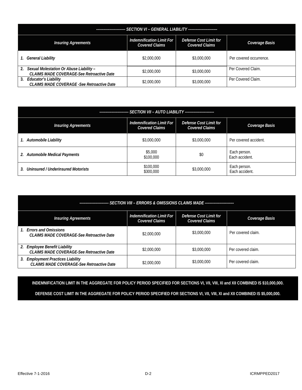| ------------------------ SECTION VI - GENERAL LIABILITY ------------------------                                                                             |             |             |                         |  |  |
|--------------------------------------------------------------------------------------------------------------------------------------------------------------|-------------|-------------|-------------------------|--|--|
| <b>Indemnification Limit For</b><br>Defense Cost Limit for<br><b>Insuring Agreements</b><br>Coverage Basis<br><b>Covered Claims</b><br><b>Covered Claims</b> |             |             |                         |  |  |
| <b>General Liability</b>                                                                                                                                     | \$2,000,000 | \$3,000,000 | Per covered occurrence. |  |  |
| 2.<br>Sexual Molestation Or Abuse Liability -<br>CLAIMS MADE COVERAGE-See Retroactive Date                                                                   | \$2,000,000 | \$3,000,000 | Per Covered Claim.      |  |  |
| 3.<br><b>Educator's Liability</b><br><b>CLAIMS MADE COVERAGE -See Retroactive Date</b>                                                                       | \$2,000,000 | \$3,000,000 | Per Covered Claim.      |  |  |

| ------------------------ SECTION VII - AUTO LIABILITY -------------------------- |                                                    |                                                        |                                |  |  |  |
|----------------------------------------------------------------------------------|----------------------------------------------------|--------------------------------------------------------|--------------------------------|--|--|--|
| <b>Insuring Agreements</b>                                                       | Indemnification Limit For<br><b>Covered Claims</b> | <b>Defense Cost Limit for</b><br><b>Covered Claims</b> | Coverage Basis                 |  |  |  |
| Automobile Liability                                                             | \$3,000,000                                        | \$3,000,000                                            | Per covered accident.          |  |  |  |
| <b>Automobile Medical Payments</b><br>2.                                         | \$5,000<br>\$100,000                               | \$0                                                    | Each person.<br>Each accident. |  |  |  |
| Uninsured / Underinsured Motorists<br>$\mathbf{3}$                               | \$100,000<br>\$300,000                             | \$3,000,000                                            | Each person.<br>Each accident. |  |  |  |

| SECTION VIII - ERRORS & OMISSIONS CLAIMS MADE ------------------------<br>------------------------- |                                                    |                                                 |                    |  |  |  |
|-----------------------------------------------------------------------------------------------------|----------------------------------------------------|-------------------------------------------------|--------------------|--|--|--|
| <b>Insuring Agreements</b>                                                                          | Indemnification Limit For<br><b>Covered Claims</b> | Defense Cost Limit for<br><b>Covered Claims</b> | Coverage Basis     |  |  |  |
| <b>Errors and Omissions</b><br><b>CLAIMS MADE COVERAGE-See Retroactive Date</b>                     | \$2,000,000                                        | \$3,000,000                                     | Per covered claim. |  |  |  |
| 2. Employee Benefit Liability<br><b>CLAIMS MADE COVERAGE-See Retroactive Date</b>                   | \$2,000,000                                        | \$3,000,000                                     | Per covered claim. |  |  |  |
| <b>Employment Practices Liability</b><br>3.<br>CLAIMS MADE COVERAGE-See Retroactive Date            | \$2,000,000                                        | \$3,000,000                                     | Per covered claim. |  |  |  |

**INDEMNIFICATION LIMIT IN THE AGGREGATE FOR POLICY PERIOD SPECIFIED FOR SECTIONS VI, VII, VIII, XI and XII COMBINED IS \$10,000,000. DEFENSE COST LIMIT IN THE AGGREGATE FOR POLICY PERIOD SPECIFIED FOR SECTIONS VI, VII, VIII, XI and XII COMBINED IS \$5,000,000.**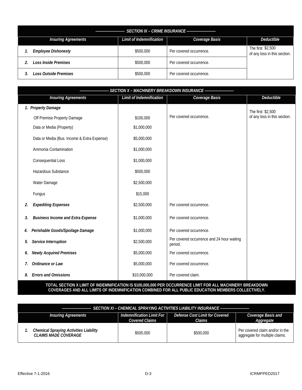| <b>SECTION IX - CRIME INSURANCE -------------------------</b><br>----------------------------- |                          |                         |                                                   |  |  |
|------------------------------------------------------------------------------------------------|--------------------------|-------------------------|---------------------------------------------------|--|--|
| <b>Insuring Agreements</b>                                                                     | Limit of Indemnification | Coverage Basis          | Deductible                                        |  |  |
| <b>Employee Dishonesty</b>                                                                     | \$500,000                | Per covered occurrence. | The first \$2,500<br>of any loss in this section. |  |  |
| <b>Loss Inside Premises</b>                                                                    | \$500,000                | Per covered occurrence. |                                                   |  |  |
| <b>Loss Outside Premises</b>                                                                   | \$500,000                | Per covered occurrence. |                                                   |  |  |

|    | ------------------ SECTION X - MACHINERY BREAKDOWN INSURANCE   ----------------------- |                                 |                                                       |                              |  |  |
|----|----------------------------------------------------------------------------------------|---------------------------------|-------------------------------------------------------|------------------------------|--|--|
|    | <b>Insuring Agreements</b>                                                             | <b>Limit of Indemnification</b> | Coverage Basis                                        | <b>Deductible</b>            |  |  |
|    | 1. Property Damage                                                                     |                                 |                                                       | The first \$2,500            |  |  |
|    | Off Premise Property Damage                                                            | \$100,000                       | Per covered occurrence.                               | of any loss in this section. |  |  |
|    | Data or Media (Property)                                                               | \$1,000,000                     |                                                       |                              |  |  |
|    | Data or Media (Bus. Income & Extra Expense)                                            | \$5,000,000                     |                                                       |                              |  |  |
|    | Ammonia Contamination                                                                  | \$1,000,000                     |                                                       |                              |  |  |
|    | Consequential Loss                                                                     | \$1,000,000                     |                                                       |                              |  |  |
|    | <b>Hazardous Substance</b>                                                             | \$500,000                       |                                                       |                              |  |  |
|    | Water Damage                                                                           | \$2,500,000                     |                                                       |                              |  |  |
|    | Fungus                                                                                 | \$15,000                        |                                                       |                              |  |  |
| 2. | <b>Expediting Expenses</b>                                                             | \$2,500,000                     | Per covered occurrence.                               |                              |  |  |
| 3. | <b>Business Income and Extra Expense</b>                                               | \$1,000,000                     | Per covered occurrence.                               |                              |  |  |
| 4. | Perishable Goods/Spoilage Damage                                                       | \$1,000,000                     | Per covered occurrence.                               |                              |  |  |
| 5. | Service Interruption                                                                   | \$2,500,000                     | Per covered occurrence and 24 hour waiting<br>period. |                              |  |  |
| 6. | <b>Newly Acquired Premises</b>                                                         | \$5,000,000                     | Per covered occurrence.                               |                              |  |  |
| 7. | Ordinance or Law                                                                       | \$5,000,000                     | Per covered occurrence.                               |                              |  |  |
| 8. | <b>Errors and Omissions</b>                                                            | \$10,000,000                    | Per covered claim.                                    |                              |  |  |

#### **TOTAL SECTION X LIMIT OF INDEMNIFICATION IS \$100,000,000 PER OCCURRENCE LIMIT FOR ALL MACHINERY BREAKDOWN COVERAGES AND ALL LIMITS OF INDEMNIFICATION COMBINED FOR ALL PUBLIC EDUCATION MEMBERS COLLECTIVELY.**

| <b>Insuring Agreements</b>                                                   | Indemnification Limit For<br>Covered Claims | Defense Cost Limit for Covered<br>Claims | Coverage Basis and                                                |  |  |
|------------------------------------------------------------------------------|---------------------------------------------|------------------------------------------|-------------------------------------------------------------------|--|--|
|                                                                              |                                             |                                          | Aggregate                                                         |  |  |
| <b>Chemical Spraying Activities Liability</b><br><b>CLAIMS MADE COVERAGE</b> | \$500,000                                   | \$500,000                                | Per covered claim and/or in the<br>aggregate for multiple claims. |  |  |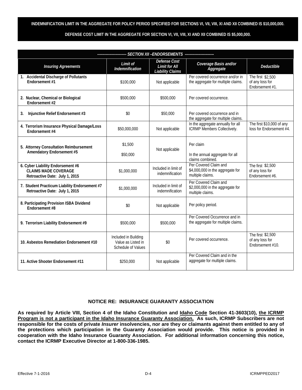#### **INDEMNIFICATION LIMIT IN THE AGGREGATE FOR POLICY PERIOD SPECIFIED FOR SECTIONS VI, VII, VIII, XI AND XII COMBINED IS \$10,000,000.**

**DEFENSE COST LIMIT IN THE AGGREGATE FOR SECTION VI, VII, VIII, XI AND XII COMBINED IS \$5,000,000.** 

| SECTION XII - ENDORSEMENTS -------                                                                 |                                                                  |                                                                 |                                                                               |                                                          |  |
|----------------------------------------------------------------------------------------------------|------------------------------------------------------------------|-----------------------------------------------------------------|-------------------------------------------------------------------------------|----------------------------------------------------------|--|
| <b>Insuring Agreements</b>                                                                         | Limit of<br>Indemnification                                      | Defense Cost<br><b>Limit for All</b><br><b>Liability Claims</b> | Coverage Basis and/or<br>Aggregate                                            | Deductible                                               |  |
| 1. Accidental Discharge of Pollutants<br>Endorsement #1                                            | \$100,000                                                        | Not applicable                                                  | Per covered occurrence and/or in<br>the aggregate for multiple claims.        | The first \$2,500<br>of any loss for<br>Endorsement #1.  |  |
| 2. Nuclear, Chemical or Biological<br>Endorsement #2                                               | \$500,000                                                        | \$500,000                                                       | Per covered occurrence.                                                       |                                                          |  |
| Injunctive Relief Endorsement #3<br>3.                                                             | \$0                                                              | \$50,000                                                        | Per covered occurrence and in<br>the aggregate for multiple claims.           |                                                          |  |
| 4. Terrorism Insurance Physical Damage/Loss<br>Endorsement #4                                      | \$50,000,000                                                     | Not applicable                                                  | In the aggregate annually for all<br>ICRMP Members Collectively.              | The first \$10,000 of any<br>loss for Endorsement #4.    |  |
| 5. Attorney Consultation Reimbursement<br>Amendatory Endorsement #5                                | \$1,500<br>\$50,000                                              | Not applicable                                                  | Per claim<br>In the annual aggregate for all<br>claims combined.              |                                                          |  |
| 6. Cyber Liability Endorsement #6<br><b>CLAIMS MADE COVERAGE</b><br>Retroactive Date: July 1, 2015 | \$1,000,000                                                      | Included in limit of<br>indemnification                         | Per Covered Claim and<br>\$4,000,000 in the aggregate for<br>multiple claims. | The first \$2,500<br>of any loss for<br>Endorsement #6.  |  |
| 7. Student Practicum Liability Endorsement #7<br>Retroactive Date: July 1, 2015                    | \$1,000,000                                                      | Included in limit of<br>indemnification                         | Per Covered Claim and<br>\$2,000,000 in the aggregate for<br>multiple claims. |                                                          |  |
| 8. Participating Provision ISBA Dividend<br>Endorsement #8                                         | \$0                                                              | Not applicable                                                  | Per policy period.                                                            |                                                          |  |
| 9. Terrorism Liability Endorsement #9                                                              | \$500,000                                                        | \$500,000                                                       | Per Covered Occurrence and in<br>the aggregate for multiple claims.           |                                                          |  |
| 10. Asbestos Remediation Endorsement #10                                                           | Included in Building<br>Value as Listed in<br>Schedule of Values | \$0                                                             | Per covered occurrence.                                                       | The first \$2,500<br>of any loss for<br>Endorsement #10. |  |
| 11. Active Shooter Endorsement #11                                                                 | \$250,000                                                        | Not applicable                                                  | Per Covered Claim and in the<br>aggregate for multiple claims.                |                                                          |  |

#### **NOTICE RE: INSURANCE GUARANTY ASSOCIATION**

**As required by Article VIII, Section 4 of the Idaho Constitution and Idaho Code Section 41-3603(10), the ICRMP Program is not a participant in the Idaho Insurance Guaranty Association. As such, ICRMP Subscribers are not responsible for the costs of private** *Insurer* **insolvencies, nor are they or claimants against them entitled to any of the protections which participation in the Guaranty Association would provide. This notice is provided in cooperation with the Idaho Insurance Guaranty Association. For additional information concerning this notice, contact the ICRMP Executive Director at 1-800-336-1985.**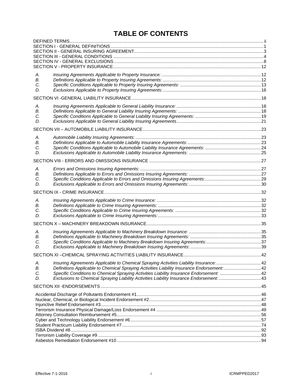# **TABLE OF CONTENTS**

| А.       |                                                                                                                                                                                       |  |
|----------|---------------------------------------------------------------------------------------------------------------------------------------------------------------------------------------|--|
| В.<br>C. |                                                                                                                                                                                       |  |
| D.       |                                                                                                                                                                                       |  |
|          |                                                                                                                                                                                       |  |
| А.       |                                                                                                                                                                                       |  |
| В.       |                                                                                                                                                                                       |  |
| C.       |                                                                                                                                                                                       |  |
| D.       |                                                                                                                                                                                       |  |
|          |                                                                                                                                                                                       |  |
| А.       |                                                                                                                                                                                       |  |
| В.       |                                                                                                                                                                                       |  |
| C.       |                                                                                                                                                                                       |  |
| D.       |                                                                                                                                                                                       |  |
|          |                                                                                                                                                                                       |  |
| А.       |                                                                                                                                                                                       |  |
| В.       |                                                                                                                                                                                       |  |
| С.<br>D. |                                                                                                                                                                                       |  |
|          |                                                                                                                                                                                       |  |
|          |                                                                                                                                                                                       |  |
| А.<br>В. |                                                                                                                                                                                       |  |
| C.       |                                                                                                                                                                                       |  |
| D.       |                                                                                                                                                                                       |  |
|          |                                                                                                                                                                                       |  |
| А.       |                                                                                                                                                                                       |  |
| В.       |                                                                                                                                                                                       |  |
| C.       |                                                                                                                                                                                       |  |
| D.       |                                                                                                                                                                                       |  |
|          |                                                                                                                                                                                       |  |
| А.       | Insuring Agreements Applicable to Chemical Spraying Activities Liability Insurance: 42                                                                                                |  |
| В.       | Definitions Applicable to Chemical Spraying Activities Liability Insurance Endorsement: 42                                                                                            |  |
| С.<br>D. | Specific Conditions to Chemical Spraying Activities Liability Insurance Endorsement:  42<br>Exclusions to Chemical Spraying Liability Activities Liability Insurance Endorsement:  43 |  |
|          |                                                                                                                                                                                       |  |
|          |                                                                                                                                                                                       |  |
|          |                                                                                                                                                                                       |  |
|          |                                                                                                                                                                                       |  |
|          |                                                                                                                                                                                       |  |
|          |                                                                                                                                                                                       |  |
|          |                                                                                                                                                                                       |  |
|          |                                                                                                                                                                                       |  |
|          |                                                                                                                                                                                       |  |
|          |                                                                                                                                                                                       |  |
|          |                                                                                                                                                                                       |  |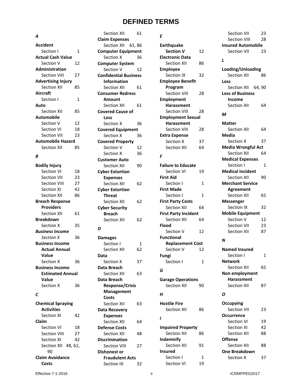# **DEFINED TERMS**

Section XII 61

Section XII 61, 86 **Computer Equipment** Section X 36 **Computer System** Section V 12

**Claim Expenses**

#### *A*

**Accident** Section I 1 **Actual Cash Value** Section V 12 **Administration** Section VIII 27 **Advertising Injury** Section XII 8 **Aircraft** Section I **Auto** Section XII 8 **Automobile** Section V Section VI **Section VII Automobile Hazard** Section XII 8

#### *B*

| <b>Section VIII</b>       | 27 | <b>Confidential Business</b> |    | Section IX                  | 32 | Section XII             |
|---------------------------|----|------------------------------|----|-----------------------------|----|-------------------------|
| <b>Advertising Injury</b> |    | <b>Information</b>           |    | <b>Employee Benefit</b>     |    | Loss                    |
| Section XII               | 85 | Section XII                  | 61 | Program                     |    | Section XII<br>64,      |
| <b>Aircraft</b>           |    | <b>Consumer Redress</b>      |    | Section VIII                | 28 | <b>Loss of Business</b> |
| Section I                 | 1  | <b>Amount</b>                |    | <b>Employment</b>           |    | <b>Income</b>           |
| Auto                      |    | Section XII                  | 61 | Harassment                  |    | Section XII             |
| Section XII               | 85 | <b>Covered Cause of</b>      |    | <b>Section VIII</b>         | 28 |                         |
| <b>Automobile</b>         |    | Loss                         |    | <b>Employment Sexual</b>    |    | M                       |
| Section V                 | 12 | Section X                    | 36 | Harassment                  |    | <b>Matter</b>           |
| Section VI                | 18 | <b>Covered Equipment</b>     |    | <b>Section VIII</b>         | 28 | Section XII             |
| Section VII               | 23 | Section X                    | 36 | <b>Extra Expense</b>        |    | <b>Media</b>            |
| <b>Automobile Hazard</b>  |    | <b>Covered Property</b>      |    | Section X                   | 37 | Section X               |
| Section XII               | 85 | Section V                    | 12 | Section XII                 | 64 | Media Wrongful A        |
|                           |    | Section X                    | 36 |                             |    | Section XII             |
| B                         |    | <b>Customer Auto</b>         |    | F                           |    | <b>Medical Expenses</b> |
| <b>Bodily Injury</b>      |    | Section XII                  | 90 | <b>Failure to Educate</b>   |    | Section I               |
| Section VI                | 18 | <b>Cyber Extortion</b>       |    | Section VI                  | 19 | <b>Medical Incident</b> |
| Section VII               | 23 | <b>Expenses</b>              |    | <b>First Aid</b>            |    | Section XII             |
| <b>Section VIII</b>       | 27 | Section XII                  | 62 | Section I                   | 1  | <b>Merchant Service</b> |
| Section XI                | 42 | <b>Cyber Extortion</b>       |    | <b>First Made</b>           |    | <b>Agreement</b>        |
| Section XII               | 86 | <b>Threat</b>                |    | Section I                   | 1  | Section XII             |
| <b>Breach Response</b>    |    | Section XII                  | 62 | <b>First Party Costs</b>    |    | <b>Messenger</b>        |
| <b>Providers</b>          |    | <b>Cyber Security</b>        |    | <b>Section XII</b>          | 64 | Section IX              |
| Section XII               | 61 | <b>Breach</b>                |    | <b>First Party Incident</b> |    | <b>Mobile Equipment</b> |
| <b>Breakdown</b>          |    | Section XII                  | 62 | Section XII                 | 64 | Section V               |
| Section X                 | 35 |                              |    | <b>Flood</b>                |    | Section VII             |
| <b>Business Income</b>    |    | D                            |    | Section V                   | 12 | Section XII             |
| Section X                 | 36 | <b>Damages</b>               |    | <b>Functional</b>           |    |                         |
| <b>Business Income</b>    |    | Section I                    | 1  | <b>Replacement Cost</b>     |    | $\boldsymbol{N}$        |
| <b>Actual Annual</b>      |    | Section XII                  | 62 | Section V                   | 12 | <b>Named Insured</b>    |
| Value                     |    | Data                         |    | Fungi                       |    | Section I               |
| Section X                 | 36 | Section X                    | 37 | Section I                   | 1  | <b>Network</b>          |
| <b>Business Income</b>    |    | Data Breach                  |    |                             |    | Section XII             |
| <b>Estimated Annual</b>   |    | Section XII                  | 63 | G                           |    | Non employment          |
| Value                     |    | Data Breach                  |    | <b>Garage Operations</b>    |    | <b>Harassment</b>       |
| Section X                 | 36 | <b>Response/Crisis</b>       |    | Section XII                 | 90 | Section XII             |
|                           |    | <b>Management</b>            |    |                             |    |                         |
| С                         |    | Costs                        |    | Н                           |    | Ο                       |
| <b>Chemical Spraying</b>  |    | Section XII                  | 63 | <b>Hostile Fire</b>         |    | Occupying               |
| <b>Activities</b>         |    | <b>Data Recovery</b>         |    | Section XII                 | 86 | Section VII             |
| Section XI                | 42 | <b>Expenses</b>              |    |                             |    | <b>Occurrence</b>       |
| Claim                     |    | Section XII                  | 64 | 1                           |    | Section VI              |
| Section VI                | 18 | <b>Defense Costs</b>         |    | <b>Impaired Property</b>    |    | Section XI              |
| Section VIII              | 27 | Section XII                  | 48 | Section XII                 | 86 | Section XII             |
| Section XI                | 42 | <b>Discrimination</b>        |    | Indemnify                   |    | <b>Offense</b>          |
| Section XII 48, 61,       |    | Section VIII                 | 27 | Section XII                 | 91 | Section XII             |
| 90                        |    | <b>Dishonest or</b>          |    | <b>Insured</b>              |    | <b>One Breakdown</b>    |
| <b>Claim Avoidance</b>    |    | <b>Fraudulent Acts</b>       |    | Section I                   | 1  | Section X               |
| Costs                     |    | Section IX                   | 32 | Section VI                  | 19 |                         |
|                           |    |                              |    |                             |    |                         |
| Effective 7-1-2016        |    |                              |    | ii.                         |    | ICRMPPED2017            |

#### *E*

| Ε                           |    |
|-----------------------------|----|
| <b>Earthquake</b>           |    |
| <b>Section V</b>            | 12 |
| <b>Electronic Data</b>      |    |
| <b>Section XII</b>          | 86 |
| <b>Employee</b>             |    |
| <b>Section IX</b>           | 32 |
| <b>Employee Benefit</b>     |    |
| Program                     |    |
| <b>Section VIII</b>         | 28 |
| <b>Employment</b>           |    |
| <b>Harassment</b>           |    |
| <b>Section VIII</b>         | 28 |
| <b>Employment Sexual</b>    |    |
| <b>Harassment</b>           |    |
| <b>Section VIII</b>         | 28 |
| <b>Extra Expense</b>        |    |
| Section X                   | 37 |
| <b>Section XII</b>          | 64 |
| F                           |    |
| <b>Failure to Educate</b>   |    |
| <b>Section VI</b>           | 19 |
| <b>First Aid</b>            |    |
| Section I                   | 1  |
| <b>First Made</b>           |    |
| Section I                   | 1  |
| <b>First Party Costs</b>    |    |
| <b>Section XII</b>          | 64 |
| <b>First Party Incident</b> |    |
| <b>Section XII</b>          | 64 |
| Flood                       |    |
| Section V                   | 12 |
| <b>Functional</b>           |    |
| <b>Replacement Cost</b>     |    |
| Section V                   | 12 |
| ıngi<br>Fu                  |    |
| Section I                   | 1  |
|                             |    |
| G                           |    |
| <b>Garage Operations</b>    |    |
| <b>Section XII</b>          | 90 |
| н                           |    |
|                             |    |
| <b>Hostile Fire</b>         |    |
| <b>Section XII</b>          | 86 |
| ı                           |    |
| <b>Impaired Property</b>    |    |
| <b>Section XII</b>          | 86 |
| Indemnify                   |    |
| Section XII                 | 91 |
| Insured                     |    |
| Section I                   | 1  |
| Section VI                  | 19 |

# Section VII 23 Section VIII 28 **Insured Automobile** Section VII 23 *L* **Loading/Unloading** Section XII 86 **Loss** Section XII 64, 90 **Loss of Business Income** Section XII 64 *M* **Matter**  Section XII 64 **Media**  Section X 37 **Media Wrongful Act** Section XII 64 **Medical Expenses** Section I 1 **Medical Incident** Section XII 90 **Merchant Service Agreement**  Section XII 65 **Messenger**  Section IX 32 **Mobile Equipment** Section V 12 Section VII 23 Section XII 87 *N*

**Named Insured** Section I 1 **Network**  Section XII 65 **Non employment Harassment** Section XII 87 *O* **Occupying** Section VII 23 **Occurrence** Section VI 19 Section XI 42 Section XII 88 **Offense**  Section XII 88 **One Breakdown** Section X 37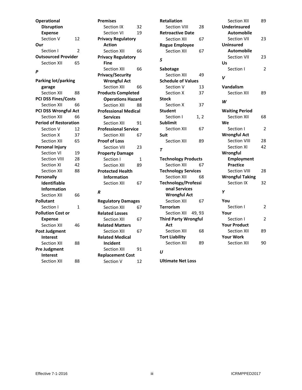**Operational Disruption Expense** Section V 12 **Our**  Section I 2 **Outsourced Provider** Section XII 65 *P*

**Parking lot/parking garage**

**Personal Injury**

**Personally Identifiable Information** Section XII 66

**Pollutant**

Section VI 19 Section VIII 28 Section XI 42 Section XII 88

Section I 1

Section XII 46

Section XII 88

Section XII 88

**Pollution Cost or Expense**

**Post Judgment Interest**

**Pre Judgment Interest**

Section XII 88 **PCI DSS Fines/Costs** Section XII 66 **PCI DSS Wrongful Act** Section XII 66 **Period of Restoration** Section V 12 Section X 37 Section XII 65

Section IX 32 Section VI 19 **Privacy Regulatory Action** Section XII 66 **Privacy Regulatory Fine** Section XII 66 **Privacy/Security Wrongful Act** Section XII 66 **Products Completed Operations Hazard** Section XII 88 **Professional Medical Services**  Section XII 91 **Professional Service**  Section XII 67 **Proof of Loss** Section VII 23 **Property Damage** Section I 1 Section XII 89 **Protected Health Information** Section XII 67 *R* **Regulatory Damages** Section XII 67 **Related Losses**

Section XII 67 **Related Matters**

Section XII 67

Section XII 91 **Replacement Cost** Section V 12

**Related Medical Incident**

**Premises** 

**Retaliation**  Section VIII 28 **Retroactive Date** Section XII 67 **Rogue Employee** Section XII 67 *S* **Sabotage** Section XII 49 **Schedule of Values** Section V 13 Section X 37 **Stock** Section X 37 **Student**  Section I 1, 2 **Sublimit**  Section XII 67 **Suit**  Section XII 89 *T* **Technology Products** Section XII 67 **Technology Services** Section XII 68 **Technology/Professi onal Services Wrongful Act** Section XII 67 **Terrorism** Section XII 49, 93 **Third Party Wrongful Act** Section XII 68 **Tort Liability**  Section XII 89 *U*

Section XII 89 **Underinsured Automobile** Section VII 23 **Uninsured Automobile** Section VII 23 **Us**  Section I 2 **Vandalism** Section XII 89 *W* **Waiting Period** Section XII 68 **We** Section I 2 **Wrongful Act** Section VIII 28 Section XI 42 **Wrongful Employment Practice** Section VIII 28 **Wrongful Taking** Section IX 32 **You** Section I 2 **Your** Section I 2 **Your Product** Section XII 89 **Your Work** Section XII 90

*V*

*Y*

**Ultimate Net Loss**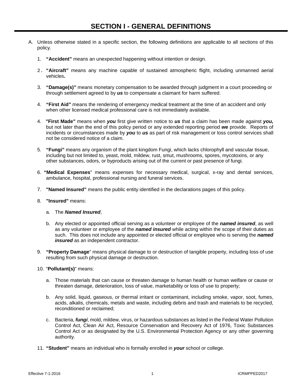- A. Unless otherwise stated in a specific section, the following definitions are applicable to all sections of this policy.
	- 1. **"Accident"** means an unexpected happening without intention or design.
	- 2. **"Aircraft"** means any machine capable of sustained atmospheric flight, including unmanned aerial vehicles**.**
	- 3. **"Damage(s)"** means monetary compensation to be awarded through judgment in a court proceeding or through settlement agreed to by *us* to compensate a claimant for harm suffered.
	- 4. **"First Aid"** means the rendering of emergency medical treatment at the time of an accident and only when other licensed medical professional care is not immediately available.
	- 4. **"First Made"** means when *you* first give written notice to *us* that a claim has been made against *you,* but not later than the end of this policy period or any extended reporting period *we* provide. Reports of incidents or circumstances made by *you* to *us* as part of risk management or loss control services shall not be considered notice of a claim.
	- 5. **"Fungi"** means any organism of the plant kingdom Fungi, which lacks chlorophyll and vascular tissue, including but not limited to, yeast, mold, mildew, rust, smut, mushrooms, spores, mycotoxins, or any other substances, odors, or byproducts arising out of the current or past presence of fungi.
	- 6. **"Medical Expenses**" means expenses for necessary medical, surgical, x-ray and dental services, ambulance, hospital, professional nursing and funeral services.
	- 7. **"Named Insured"** means the public entity identified in the declarations pages of this policy.
	- 8. **"Insured"** means:
		- a. The *Named Insured*,
		- b. Any elected or appointed official serving as a volunteer or employee of the *named insured*, as well as any volunteer or employee of the *named insured* while acting within the scope of their duties as such. This does not include any appointed or elected official or employee who is serving the *named insured* as an independent contractor.
	- 9. **"Property Damage**" means physical damage to or destruction of tangible property, including loss of use resulting from such physical damage or destruction.
	- 10. "**Pollutant(s)**" means:
		- a. Those materials that can cause or threaten damage to human health or human welfare or cause or threaten damage, deterioration, loss of value, marketability or loss of use to property;
		- b. Any solid, liquid, gaseous, or thermal irritant or contaminant, including smoke, vapor, soot, fumes, acids, alkalis, chemicals, metals and waste, including debris and trash and materials to be recycled, reconditioned or reclaimed;
		- c. Bacteria, *fungi*, mold, mildew, virus, or hazardous substances as listed in the Federal Water Pollution Control Act, Clean Air Act, Resource Conservation and Recovery Act of 1976, Toxic Substances Control Act or as designated by the U.S. Environmental Protection Agency or any other governing authority.
	- 11. **"Student"** means an individual who is formally enrolled in *your* school or college.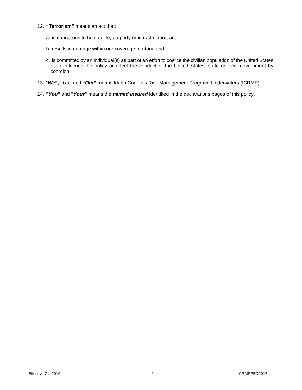#### 12. **"Terrorism"** means an act that:

- a. is dangerous to human life, property or infrastructure; and
- b. results in damage within our coverage territory; and
- c. is committed by an individual(s) as part of an effort to coerce the civilian population of the United States or to influence the policy or affect the conduct of the United States, state or local government by coercion.
- 13. "*We***", "***Us***"** and **"***Our***"** means Idaho Counties Risk Management Program, Underwriters (ICRMP).
- 14. **"***You***"** and **"***Your***"** means the *named insured* identified in the declarations pages of this policy.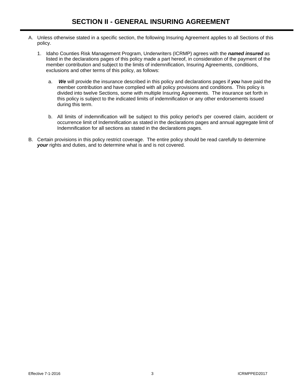- A. Unless otherwise stated in a specific section, the following Insuring Agreement applies to all Sections of this policy.
	- 1. Idaho Counties Risk Management Program, Underwriters (ICRMP) agrees with the *named insured* as listed in the declarations pages of this policy made a part hereof, in consideration of the payment of the member contribution and subject to the limits of indemnification, Insuring Agreements, conditions, exclusions and other terms of this policy, as follows:
		- a. *We* will provide the insurance described in this policy and declarations pages if *you* have paid the member contribution and have complied with all policy provisions and conditions. This policy is divided into twelve Sections, some with multiple Insuring Agreements. The insurance set forth in this policy is subject to the indicated limits of indemnification or any other endorsements issued during this term.
		- b. All limits of indemnification will be subject to this policy period's per covered claim, accident or occurrence limit of Indemnification as stated in the declarations pages and annual aggregate limit of Indemnification for all sections as stated in the declarations pages.
- B. Certain provisions in this policy restrict coverage. The entire policy should be read carefully to determine *your* rights and duties, and to determine what is and is not covered.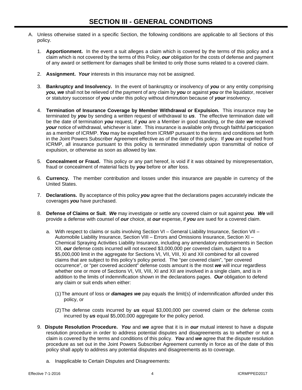- A. Unless otherwise stated in a specific Section, the following conditions are applicable to all Sections of this policy.
	- 1. **Apportionment.** In the event a suit alleges a claim which is covered by the terms of this policy and a claim which is not covered by the terms of this Policy, *our* obligation for the costs of defense and payment of any award or settlement for damages shall be limited to only those sums related to a covered claim.
	- 2. **Assignment.** *Your* interests in this insurance may not be assigned.
	- 3. **Bankruptcy and Insolvency.** In the event of bankruptcy or insolvency of *you* or any entity comprising *you, we* shall not be relieved of the payment of any claim by *you* or against *you* or the liquidator, receiver or statutory successor of *you* under this policy without diminution because of *your* insolvency.
	- 4. **Termination of Insurance Coverage by Member Withdrawal or Expulsion.** This insurance may be terminated by *you* by sending a written request of withdrawal to *us*. The effective termination date will be the date of termination *you* request, if *you* are a Member in good standing, or the date *we* received *your* notice of withdrawal, whichever is later. This insurance is available only through faithful participation as a member of ICRMP. *You* may be expelled from ICRMP pursuant to the terms and conditions set forth in the Joint Powers Subscriber Agreement effective as of the date of this policy. If *you* are expelled from ICRMP, all insurance pursuant to this policy is terminated immediately upon transmittal of notice of expulsion, or otherwise as soon as allowed by law.
	- 5. **Concealment or Fraud.** This policy or any part hereof, is void if it was obtained by misrepresentation, fraud or concealment of material facts by *you* before or after loss.
	- 6. **Currency.** The member contribution and losses under this insurance are payable in currency of the United States.
	- 7. **Declarations.** By acceptance of this policy *you* agree that the declarations pages accurately indicate the coverages *you* have purchased.
	- 8. **Defense of Claims or Suit**. *We* may investigate or settle any covered claim or suit against *you*. *We* will provide a defense with counsel of *our* choice, at *our* expense, if *you* are sued for a covered claim.
		- a. With respect to claims or suits involving Section VI General Liability Insurance, Section VII Automobile Liability Insurance, Section VIII – Errors and Omissions Insurance, Section XI – Chemical Spraying Activities Liability Insurance, including any amendatory endorsements in Section XII, *our* defense costs incurred will not exceed \$3,000,000 per covered claim, subject to a \$5,000,000 limit in the aggregate for Sections VI, VII, VIII, XI and XII combined for all covered claims that are subject to this policy's policy period. The "per covered claim", "per covered occurrence", or "per covered accident" defense costs amount is the most *we* will incur regardless whether one or more of Sections VI, VII, VIII, XI and XII are involved in a single claim, and is in addition to the limits of indemnification shown in the declarations pages. *Our* obligation to defend any claim or suit ends when either:
			- (1)The amount of loss or *damages we* pay equals the limit(s) of indemnification afforded under this policy, or
			- (2) The defense costs incurred by *us* equal \$3,000,000 per covered claim or the defense costs incurred by *us* equal \$5,000,000 aggregate for the policy period.
	- 9. **Dispute Resolution Procedure.** *You* and *we* agree that it is in *our* mutual interest to have a dispute resolution procedure in order to address potential disputes and disagreements as to whether or not a claim is covered by the terms and conditions of this policy. *You* and *we* agree that the dispute resolution procedure as set out in the Joint Powers Subscriber Agreement currently in force as of the date of this policy shall apply to address any potential disputes and disagreements as to coverage.
		- a. Inapplicable to Certain Disputes and Disagreements: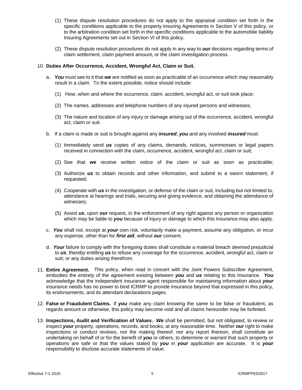- (1) These dispute resolution procedures do not apply to the appraisal condition set forth in the specific conditions applicable to the property Insuring Agreements in Section V of this policy, or to the arbitration condition set forth in the specific conditions applicable to the automobile liability Insuring Agreements set out in Section VI of this policy.
- (2) These dispute resolution procedures do not apply in any way to *our* decisions regarding terms of claim settlement, claim payment amount, or the claim investigation process.

#### 10. **Duties After Occurrence, Accident, Wrongful Act, Claim or Suit.**

- a. *You* must see to it that *we* are notified as soon as practicable of an occurrence which may reasonably result in a claim. To the extent possible, notice should include:
	- (1) How, when and where the occurrence, claim, accident, wrongful act, or suit took place;
	- (2) The names, addresses and telephone numbers of any injured persons and witnesses;
	- (3) The nature and location of any injury or damage arising out of the occurrence, accident, wrongful act, claim or suit.
- b. If a claim is made or suit is brought against any *insured*, *you* and any involved *insured* must:
	- (1) Immediately send *us* copies of any claims, demands, notices, summonses or legal papers received in connection with the claim, occurrence, accident, wrongful act, claim or suit;
	- (2) See that *we* receive written notice of the claim or suit as soon as practicable;
	- (3) Authorize *us* to obtain records and other information, and submit to a sworn statement, if requested;
	- (4) Cooperate with *us* in the investigation, or defense of the claim or suit, including but not limited to, attendance at hearings and trials, securing and giving evidence, and obtaining the attendance of witnesses;
	- (5) Assist *us*, upon *our* request, in the enforcement of any right against any person or organization which may be liable to *you* because of injury or damage to which this Insurance may also apply.
- c. *You* shall not, except at *your* own risk, voluntarily make a payment, assume any obligation, or incur any expense, other than for *first aid*, without *our* consent.
- d. *Your* failure to comply with the foregoing duties shall constitute a material breach deemed prejudicial to *us*, thereby entitling *us* to refuse any coverage for the occurrence, accident, wrongful act, claim or suit; or any duties arising therefrom.
- 11. **Entire Agreement.** This policy, when read in concert with the Joint Powers Subscriber Agreement, embodies the entirety of the agreement existing between *you* and *us* relating to this Insurance. *You* acknowledge that the independent insurance agent responsible for maintaining information about *your* insurance needs has no power to bind ICRMP to provide insurance beyond that expressed in this policy, its endorsements, and its attendant declarations pages.
- 12. **False or Fraudulent Claims.** If *you* make any claim knowing the same to be false or fraudulent, as regards amount or otherwise, this policy may become void and all claims hereunder may be forfeited.
- 13. **Inspections, Audit and Verification of Values.** *We* shall be permitted, but not obligated, to review or inspect *your* property, operations, records, and books, at any reasonable time. Neither *our* right to make inspections or conduct reviews, nor the making thereof, nor any report thereon, shall constitute an undertaking on behalf of or for the benefit of *you* or others, to determine or warrant that such property or operations are safe or that the values stated by *you* in *your* application are accurate. It is *your* responsibility to disclose accurate statements of value.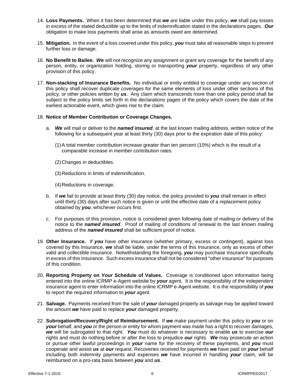- 14. **Loss Payments.** When it has been determined that *we* are liable under this policy, *we* shall pay losses in excess of the stated deductible up to the limits of indemnification stated in the declarations pages. *Our* obligation to make loss payments shall arise as amounts owed are determined.
- 15. **Mitigation.** In the event of a loss covered under this policy, *you* must take all reasonable steps to prevent further loss or damage.
- 16. **No Benefit to Bailee.** *We* will not recognize any assignment or grant any coverage for the benefit of any person, entity, or organization holding, storing or transporting *your* property, regardless of any other provision of this policy.
- 17. **Non-stacking of Insurance Benefits.** No individual or entity entitled to coverage under any section of this policy shall recover duplicate coverages for the same elements of loss under other sections of this policy, or other policies written by *us*. Any claim which transcends more than one policy period shall be subject to the policy limits set forth in the declarations pages of the policy which covers the date of the earliest actionable event, which gives rise to the claim.

#### 18. **Notice of Member Contribution or Coverage Changes.**

- a. *We* will mail or deliver to the *named insured*, at the last known mailing address, written notice of the following for a subsequent year at least thirty (30) days prior to the expiration date of this policy:
	- (1)A total member contribution increase greater than ten percent (10%) which is the result of a comparable increase in member contribution rates.
	- (2)Changes in deductibles.
	- (3)Reductions in limits of indemnification.
	- (4)Reductions in coverage.
- b. If *we* fail to provide at least thirty (30) day notice, the policy provided to *you* shall remain in effect until thirty (30) days after such notice is given or until the effective date of a replacement policy obtained by *you*, whichever occurs first.
- c. For purposes of this provision, notice is considered given following date of mailing or delivery of the notice to the *named insured*. Proof of mailing of conditions of renewal to the last known mailing address of the *named insured* shall be sufficient proof of notice.
- 19. **Other Insurance.** If *you* have other insurance (whether primary, excess or contingent), against loss covered by this Insurance, *we* shall be liable, under the terms of this Insurance, only as excess of other valid and collectible insurance. Notwithstanding the foregoing, *you* may purchase insurance specifically in excess of this Insurance. Such excess insurance shall not be considered "other insurance" for purposes of this condition.
- 20. **Reporting Property on** *Your* **Schedule of Values.** Coverage is conditioned upon information being entered into the online ICRMP e-Agent website by *your* agent. It is the responsibility of the independent insurance agent to enter information into the online ICRMP e-Agent website. It is the responsibility of *you* to report the required information to *your* agent.
- 21. **Salvage.** Payments received from the sale of *your* damaged property as salvage may be applied toward the amount *we* have paid to replace *your* damaged property.
- 22. **Subrogation/Recovery/Right of Reimbursement.** If *we* make payment under this policy to *you* or on *your* behalf, and *you* or the person or entity for whom payment was made has a right to recover damages, *we* will be subrogated to that right. *You* must do whatever is necessary to enable *us* to exercise *our* rights and must do nothing before or after the loss to prejudice *our* rights. *We* may prosecute an action or pursue other lawful proceedings in *your* name for the recovery of these payments, and *you* must cooperate and assist *us* at *our* request. Recoveries received for payments *we* have paid on *your* behalf including both indemnity payments and expenses *we* have incurred in handling *your* claim, will be reimbursed on a pro-rata basis between *you* and *us*.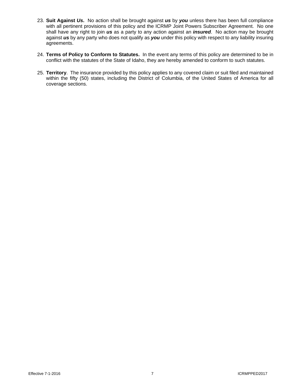- 23. **Suit Against** *Us***.** No action shall be brought against *us* by *you* unless there has been full compliance with all pertinent provisions of this policy and the ICRMP Joint Powers Subscriber Agreement. No one shall have any right to join *us* as a party to any action against an *insured*. No action may be brought against *us* by any party who does not qualify as *you* under this policy with respect to any liability insuring agreements.
- 24. **Terms of Policy to Conform to Statutes.** In the event any terms of this policy are determined to be in conflict with the statutes of the State of Idaho, they are hereby amended to conform to such statutes.
- 25. **Territory**. The insurance provided by this policy applies to any covered claim or suit filed and maintained within the fifty (50) states, including the District of Columbia, of the United States of America for all coverage sections.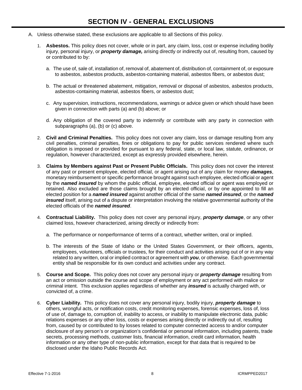- A. Unless otherwise stated, these exclusions are applicable to all Sections of this policy.
	- 1. **Asbestos.** This policy does not cover, whole or in part, any claim, loss, cost or expense including bodily injury, personal injury, or *property damage,* arising directly or indirectly out of, resulting from, caused by or contributed to by:
		- a. The use of, sale of, installation of, removal of, abatement of, distribution of, containment of, or exposure to asbestos, asbestos products, asbestos-containing material, asbestos fibers, or asbestos dust;
		- b. The actual or threatened abatement, mitigation, removal or disposal of asbestos, asbestos products, asbestos-containing material, asbestos fibers, or asbestos dust;
		- c. Any supervision, instructions, recommendations, warnings or advice given or which should have been given in connection with parts (a) and (b) above; or
		- d. Any obligation of the covered party to indemnify or contribute with any party in connection with subparagraphs (a), (b) or (c) above.
	- 2. **Civil and Criminal Penalties.** This policy does not cover any claim, loss or damage resulting from any civil penalties, criminal penalties, fines or obligations to pay for public services rendered where such obligation is imposed or provided for pursuant to any federal, state, or local law, statute, ordinance, or regulation, however characterized, except as expressly provided elsewhere, herein.
	- 3. **Claims by Members against Past or Present Public Officials.** This policy does not cover the interest of any past or present employee, elected official, or agent arising out of any claim for money *damages*, monetary reimbursement or specific performance brought against such employee, elected official or agent by the *named insured* by whom the public official, employee, elected official or agent was employed or retained. Also excluded are those claims brought by an elected official, or by one appointed to fill an elected position for a *named insured* against another official of the same *named insured*, or the *named insured* itself, arising out of a dispute or interpretation involving the relative governmental authority of the elected officials of the *named insured*.
	- 4. **Contractual Liability.** This policy does not cover any personal injury, *property damage*, or any other claimed loss, however characterized, arising directly or indirectly from:
		- a. The performance or nonperformance of terms of a contract, whether written, oral or implied.
		- b. The interests of the State of Idaho or the United States Government, or their officers, agents, employees, volunteers, officials or trustees, for their conduct and activities arising out of or in any way related to any written, oral or implied contract or agreement with *you*, or otherwise. Each governmental entity shall be responsible for its own conduct and activities under any contract.
	- 5. **Course and Scope.** This policy does not cover any personal injury or *property damage* resulting from an act or omission outside the course and scope of employment or any act performed with malice or criminal intent. This exclusion applies regardless of whether any *insured* is actually charged with, or convicted of, a crime.
	- 6. **Cyber Liability.** This policy does not cover any personal injury, bodily injury, *property damage* to others, wrongful acts, or notification costs, credit monitoring expenses, forensic expenses, loss of, loss of use of, damage to, corruption of, inability to access, or inability to manipulate electronic data, public relations expenses or any other loss, costs or expenses arising directly or indirectly out of, resulting from, caused by or contributed to by losses related to computer connected access to and/or computer disclosure of any person's or organization's confidential or personal information, including patents, trade secrets, processing methods, customer lists, financial information, credit card information, health information or any other type of non-public information, except for that data that is required to be disclosed under the Idaho Public Records Act.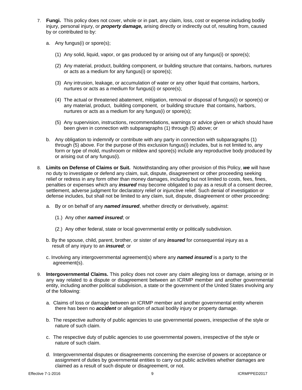- 7. **Fungi.** This policy does not cover, whole or in part, any claim, loss, cost or expense including bodily injury, personal injury, or *property damage,* arising directly or indirectly out of, resulting from, caused by or contributed to by:
	- a. Any fungus(i) or spore(s);
		- (1) Any solid, liquid, vapor, or gas produced by or arising out of any fungus(i) or spore(s);
		- (2) Any material, product, building component, or building structure that contains, harbors, nurtures or acts as a medium for any fungus(i) or spore(s);
		- (3) Any intrusion, leakage, or accumulation of water or any other liquid that contains, harbors, nurtures or acts as a medium for fungus(i) or spore(s);
		- (4) The actual or threatened abatement, mitigation, removal or disposal of fungus(i) or spore(s) or any material, product, building component, or building structure that contains, harbors, nurtures or acts as a medium for any fungus(i) or spore(s);
		- (5) Any supervision, instructions, recommendations, warnings or advice given or which should have been given in connection with subparagraphs (1) through (5) above; or
	- b. Any obligation to indemnify or contribute with any party in connection with subparagraphs (1) through (5) above. For the purpose of this exclusion fungus(i) includes, but is not limited to, any form or type of mold, mushroom or mildew and spore(s) include any reproductive body produced by or arising out of any fungus(i).
- 8. **Limits on Defense of Claims or Suit.** Notwithstanding any other provision of this Policy, *we* will have no duty to investigate or defend any claim, suit, dispute, disagreement or other proceeding seeking relief or redress in any form other than money damages, including but not limited to costs, fees, fines, penalties or expenses which any *insured* may become obligated to pay as a result of a consent decree, settlement, adverse judgment for declaratory relief or injunctive relief. Such denial of investigation or defense includes, but shall not be limited to any claim, suit, dispute, disagreement or other proceeding:
	- a. By or on behalf of any *named insured*, whether directly or derivatively, against:
		- (1.) Any other *named insured*; or
		- (2.) Any other federal, state or local governmental entity or politically subdivision.
	- b. By the spouse, child, parent, brother, or sister of any *insured* for consequential injury as a result of any injury to an *insured*; or
	- c. Involving any intergovernmental agreement(s) where any *named insured* is a party to the agreement(s).
- 9. **Intergovernmental Claims.** This policy does not cover any claim alleging loss or damage, arising or in any way related to a dispute or disagreement between an ICRMP member and another governmental entity, including another political subdivision, a state or the government of the United States involving any of the following:
	- a. Claims of loss or damage between an ICRMP member and another governmental entity wherein there has been no *accident* or allegation of actual bodily injury or property damage.
	- b. The respective authority of public agencies to use governmental powers, irrespective of the style or nature of such claim.
	- c. The respective duty of public agencies to use governmental powers, irrespective of the style or nature of such claim.
	- d. Intergovernmental disputes or disagreements concerning the exercise of powers or acceptance or assignment of duties by governmental entities to carry out public activities whether damages are claimed as a result of such dispute or disagreement, or not.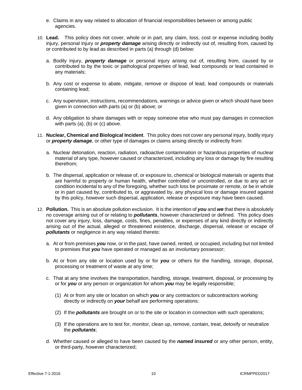- e. Claims in any way related to allocation of financial responsibilities between or among public agencies.
- 10. **Lead.** This policy does not cover, whole or in part, any claim, loss, cost or expense including bodily injury, personal injury or *property damage* arising directly or indirectly out of, resulting from, caused by or contributed to by lead as described in parts (a) through (d) below:
	- a. Bodily injury, *property damage* or personal injury arising out of, resulting from, caused by or contributed to by the toxic or pathological properties of lead, lead compounds or lead contained in any materials;
	- b. Any cost or expense to abate, mitigate, remove or dispose of lead, lead compounds or materials containing lead;
	- c. Any supervision, instructions, recommendations, warnings or advice given or which should have been given in connection with parts (a) or (b) above; or
	- d. Any obligation to share damages with or repay someone else who must pay damages in connection with parts (a), (b) or (c) above.
- 11. **Nuclear, Chemical and Biological Incident**. This policy does not cover any personal injury, bodily injury or *property damage*, or other type of damages or claims arising directly or indirectly from:
	- a. Nuclear detonation, reaction, radiation, radioactive contamination or hazardous properties of nuclear material of any type, however caused or characterized, including any loss or damage by fire resulting therefrom;
	- b. The dispersal, application or release of, or exposure to, chemical or biological materials or agents that are harmful to property or human health, whether controlled or uncontrolled, or due to any act or condition incidental to any of the foregoing, whether such loss be proximate or remote, or be in whole or in part caused by, contributed to, or aggravated by, any physical loss or damage insured against by this policy, however such dispersal, application, release or exposure may have been caused.
- 12. **Pollution.** This is an absolute pollution exclusion. It is the intention of *you* and *we* that there is absolutely no coverage arising out of or relating to *pollutants*, however characterized or defined. This policy does not cover any injury, loss, damage, costs, fines, penalties, or expenses of any kind directly or indirectly arising out of the actual, alleged or threatened existence, discharge, dispersal, release or escape of *pollutants* or negligence in any way related thereto:
	- a. At or from premises *you* now, or in the past, have owned, rented, or occupied, including but not limited to premises that *you* have operated or managed as an involuntary possessor;
	- b. At or from any site or location used by or for *you* or others for the handling, storage, disposal, processing or treatment of waste at any time;
	- c. That at any time involves the transportation, handling, storage, treatment, disposal, or processing by or for *you* or any person or organization for whom *you* may be legally responsible;
		- (1) At or from any site or location on which *you* or any contractors or subcontractors working directly or indirectly on *your* behalf are performing operations:
		- (2) If the *pollutants* are brought on or to the site or location in connection with such operations;
		- (3) If the operations are to test for, monitor, clean up, remove, contain, treat, detoxify or neutralize the *pollutants*;
	- d. Whether caused or alleged to have been caused by the *named insured* or any other person, entity, or third-party, however characterized;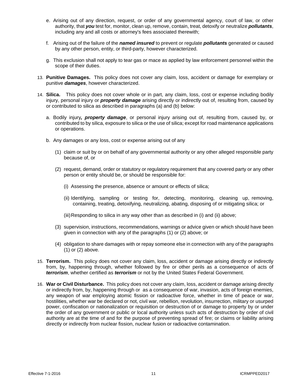- e. Arising out of any direction, request, or order of any governmental agency, court of law, or other authority, that *you* test for, monitor, clean up, remove, contain, treat, detoxify or neutralize *pollutants*, including any and all costs or attorney's fees associated therewith;
- f. Arising out of the failure of the *named insured* to prevent or regulate *pollutants* generated or caused by any other person, entity, or third-party, however characterized.
- g. This exclusion shall not apply to tear gas or mace as applied by law enforcement personnel within the scope of their duties.
- 13. **Punitive Damages.** This policy does not cover any claim, loss, accident or damage for exemplary or punitive *damages*, however characterized.
- 14. **Silica.** This policy does not cover whole or in part, any claim, loss, cost or expense including bodily injury, personal injury or *property damage* arising directly or indirectly out of, resulting from, caused by or contributed to silica as described in paragraphs (a) and (b) below:
	- a. Bodily injury*, property damage*, or personal injury arising out of, resulting from, caused by, or contributed to by silica, exposure to silica or the use of silica; except for road maintenance applications or operations.
	- b. Any damages or any loss, cost or expense arising out of any
		- (1) claim or suit by or on behalf of any governmental authority or any other alleged responsible party because of, or
		- (2) request, demand, order or statutory or regulatory requirement that any covered party or any other person or entity should be, or should be responsible for:
			- (i) Assessing the presence, absence or amount or effects of silica;
			- (ii) Identifying, sampling or testing for, detecting, monitoring, cleaning up, removing, containing, treating, detoxifying, neutralizing, abating, disposing of or mitigating silica; or
			- (iii)Responding to silica in any way other than as described in (i) and (ii) above;
		- (3) supervision, instructions, recommendations, warnings or advice given or which should have been given in connection with any of the paragraphs (1) or (2) above; or
		- (4) obligation to share damages with or repay someone else in connection with any of the paragraphs (1) or (2) above.
- 15. **Terrorism.** This policy does not cover any claim, loss, accident or damage arising directly or indirectly from, by, happening through, whether followed by fire or other perils as a consequence of acts of *terrorism*, whether certified as *terrorism* or not by the United States Federal Government.
- 16. **War or Civil Disturbance.** This policy does not cover any claim, loss, accident or damage arising directly or indirectly from, by, happening through or as a consequence of war, invasion, acts of foreign enemies, any weapon of war employing atomic fission or radioactive force, whether in time of peace or war, hostilities, whether war be declared or not, civil war, rebellion, revolution, insurrection, military or usurped power, confiscation or nationalization or requisition or destruction of or damage to property by or under the order of any government or public or local authority unless such acts of destruction by order of civil authority are at the time of and for the purpose of preventing spread of fire; or claims or liability arising directly or indirectly from nuclear fission, nuclear fusion or radioactive contamination.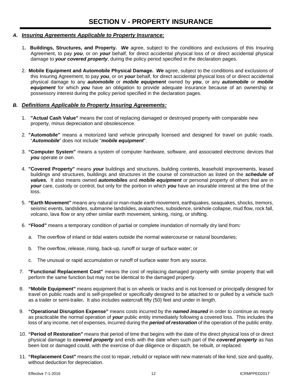# *A. Insuring Agreements Applicable to Property Insurance:*

- 1**. Buildings, Structures, and Property.** *We* agree, subject to the conditions and exclusions of this Insuring Agreement, to pay *you*, or on *your* behalf, for direct accidental physical loss of or direct accidental physical damage to *your covered property*, during the policy period specified in the declaration pages.
- 2. **Mobile Equipment and Automobile Physical Damage.** *We* agree, subject to the conditions and exclusions of this Insuring Agreement, to pay *you*, or on *your* behalf, for direct accidental physical loss of or direct accidental physical damage to any *automobile* or *mobile equipment* owned by *you*, or any *automobile* or *mobile equipment* for which *you* have an obligation to provide adequate insurance because of an ownership or possessory interest during the policy period specified in the declaration pages.

# *B. Definitions Applicable to Property Insuring Agreements:*

- 1. **"Actual Cash Value"** means the cost of replacing damaged or destroyed property with comparable new property, minus depreciation and obsolescence.
- 2. **"Automobile"** means a motorized land vehicle principally licensed and designed for travel on public roads. "*Automobile*" does not include "*mobile equipment*".
- 3. **"Computer System"** means a system of computer hardware, software, and associated electronic devices that *you* operate or own.
- 4. **"Covered Property"** means *your* buildings and structures, building contents, leasehold improvements, leased buildings and structures, buildings and structures in the course of construction as listed on the *schedule of values.* It also means owned *automobiles* and *mobile equipment* or personal property of others that are in *your* care, custody or control, but only for the portion in which *you* have an insurable interest at the time of the loss.
- 5. **"Earth Movement"** means any natural or man-made earth movement, earthquakes, seaquakes, shocks, tremors, seismic events, landslides, submarine landslides, avalanches, subsidence, sinkhole collapse, mud flow, rock fall, volcano, lava flow or any other similar earth movement, sinking, rising, or shifting.
- 6. **"Flood"** means a temporary condition of partial or complete inundation of normally dry land from*:* 
	- a. The overflow of inland or tidal waters outside the normal watercourse or natural boundaries;
	- b. The overflow, release, rising, back-up, runoff or surge of surface water; or
	- c. The unusual or rapid accumulation or runoff of surface water from any source.
- 7. **"Functional Replacement Cost"** means the cost of replacing damaged property with similar property that will perform the same function but may not be identical to the damaged property.
- 8. **"Mobile Equipment"** means equipment that is on wheels or tracks and is not licensed or principally designed for travel on public roads and is self-propelled or specifically designed to be attached to or pulled by a vehicle such as a trailer or semi-trailer*.* It also includes watercraft fifty (50) feet and under in length.
- 9. **"Operational Disruption Expense"** means costs incurred by the *named insured* in order to continue as nearly as practicable the normal operation of *your* public entity immediately following a covered loss. This includes the loss of any income, net of expenses, incurred during the *period of restoration* of the operation of the public entity.
- 10. **"Period of Restoration"** means that period of time that begins with the date of the direct physical loss of or direct physical damage to *covered property* and ends with the date when such part of the *covered property* as has been lost or damaged could, with the exercise of due diligence or dispatch, be rebuilt, or replaced.
- 11. **"Replacement Cost"** means the cost to repair, rebuild or replace with new materials of like kind, size and quality, without deduction for depreciation.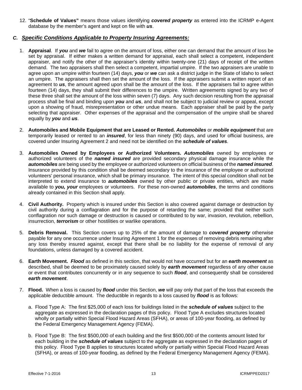12. "**Schedule of Values"** means those values identifying *covered property* as entered into the ICRMP e-Agent database by the member's agent and kept on file with *us*.

# *C. Specific Conditions Applicable to Property Insuring Agreements:*

- 1. **Appraisal**. If *you* and *we* fail to agree on the amount of loss, either one can demand that the amount of loss be set by appraisal. If either makes a written demand for appraisal, each shall select a competent, independent appraiser, and notify the other of the appraiser's identity within twenty-one (21) days of receipt of the written demand. The two appraisers shall then select a competent, impartial umpire. If the two appraisers are unable to agree upon an umpire within fourteen (14) days, *you* or *we* can ask a district judge in the State of Idaho to select an umpire. The appraisers shall then set the amount of the loss. If the appraisers submit a written report of an agreement to *us*, the amount agreed upon shall be the amount of the loss. If the appraisers fail to agree within fourteen (14) days, they shall submit their differences to the umpire. Written agreements signed by any two of these three shall set the amount of the loss within seven (7) days. Any such decision resulting from the appraisal process shall be final and binding upon *you* and *us*, and shall not be subject to judicial review or appeal, except upon a showing of fraud, misrepresentation or other undue means. Each appraiser shall be paid by the party selecting that appraiser. Other expenses of the appraisal and the compensation of the umpire shall be shared equally by *you* and *us*.
- 2. **Automobiles and Mobile Equipment that are Leased or Rented.** *Automobiles* or *mobile equipment* that are temporarily leased or rented to an *insured*, for less than ninety (90) days, and used for official business, are covered under Insuring Agreement 2 and need not be identified on the *schedule of values.*
- 3. **Automobiles Owned by Employees or Authorized Volunteers.** *Automobiles* owned by employees or authorized volunteers of the *named insured* are provided secondary physical damage insurance while the *automobiles* are being used by the employee or authorized volunteers on official business of the *named insured*. Insurance provided by this condition shall be deemed secondary to the insurance of the employee or authorized volunteers' personal insurance, which shall be primary insurance. The intent of this special condition shall not be interpreted to extend insurance to *automobiles* owned by other public or private entities, which are made available to *you, your* employees or volunteers. For these non-owned *automobiles*, the terms and conditions already contained in this Section shall apply.
- 4. **Civil Authority.** Property which is insured under this Section is also covered against damage or destruction by civil authority during a conflagration and for the purpose of retarding the same; provided that neither such conflagration nor such damage or destruction is caused or contributed to by war, invasion, revolution, rebellion, insurrection, *terrorism* or other hostilities or warlike operations.
- 5. **Debris Removal.** This Section covers up to 25% of the amount of damage to *covered property* otherwise payable for any one occurrence under Insuring Agreement 1 for the expenses of removing debris remaining after any loss thereby insured against, except that there shall be no liability for the expense of removal of any foundations, unless damaged by a covered accident.
- 6. **Earth Movement.** *Flood* as defined in this section, that would not have occurred but for an *earth movement* as described, shall be deemed to be proximately caused solely by *earth movement* regardless of any other cause or event that contributes concurrently or in any sequence to such *flood*, and consequently shall be considered *earth movement*.
- 7. **Flood.** When a loss is caused by *flood* under this Section, *we* will pay only that part of the loss that exceeds the applicable deductible amount. The deductible in regards to a loss caused by *flood* is as follows:
	- a. Flood Type A: The first \$25,000 of each loss for buildings listed in the *schedule of values* subject to the aggregate as expressed in the declaration pages of this policy. Flood Type A excludes structures located wholly or partially within Special Flood Hazard Areas (SFHA), or areas of 100-year flooding, as defined by the Federal Emergency Management Agency (FEMA).
	- b. Flood Type B: The first \$500,000 of each building and the first \$500,000 of the contents amount listed for each building in the *schedule of values* subject to the aggregate as expressed in the declaration pages of this policy. Flood Type B applies to structures located wholly or partially within Special Flood Hazard Areas (SFHA), or areas of 100-year flooding, as defined by the Federal Emergency Management Agency (FEMA).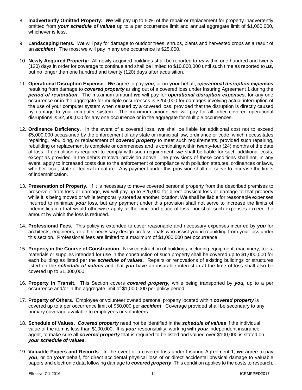- 8. **Inadvertently Omitted Property:** *We* will pay up to 50% of the repair or replacement for property inadvertently omitted from *your schedule of values* up to a per occurrence limit and annual aggregate limit of \$1,000,000, whichever is less.
- 9. **Landscaping Items.** *We* will pay for damage to outdoor trees, shrubs, plants and harvested crops as a result of an *accident*. The most we will pay in any one occurrence is \$25,000.
- 10. **Newly Acquired Property:** All newly acquired buildings shall be reported to *us* within one hundred and twenty (120) days in order for coverage to continue and shall be limited to \$10,000,000 until such time as reported to *us,* but no longer than one hundred and twenty (120) days after acquisition.
- 11. **Operational Disruption Expense.** *We* agree to pay *you*, or on *your* behalf, *operational disruption expenses* resulting from damage to *covered property* arising out of a covered loss under Insuring Agreement 1 during the *period of restoration*. The maximum amount *we* will pay for *operational disruption expenses,* for any one occurrence or in the aggregate for multiple occurrences is \$250,000 for damages involving actual interruption of the use of your computer system when caused by a covered loss, provided that the disruption is directly caused by damage to your computer system. The maximum amount we will pay for all other covered operational disruptions is \$2,500,000 for any one occurrence or in the aggregate for multiple occurrences.
- 12. **Ordinance Deficiency.** In the event of a covered loss, *we* shall be liable for additional cost not to exceed \$5,000,000 occasioned by the enforcement of any state or municipal law, ordinance or code, which necessitates repairing, rebuilding, or replacement of *covered property* to meet such requirements, provided such repairing, rebuilding or replacement is complete or commences and is continuing within twenty-four (24) months of the date of loss. If demolition is required to comply with such requirement, *we* shall be liable for such additional costs, except as provided in the debris removal provision above. The provisions of these conditions shall not, in any event, apply to increased costs due to the enforcement of compliance with pollution statutes, ordinances or laws, whether local, state or federal in nature. Any payment under this provision shall not serve to increase the limits of indemnification.
- 13. **Preservation of Property.** If it is necessary to move covered personal property from the described premises to preserve it from loss or damage, *we* will pay up to \$25,000 for direct physical loss or damage to that property while it is being moved or while temporarily stored at another location. *We* shall be liable for reasonable expenses incurred to minimize *your* loss, but any payment under this provision shall not serve to increase the limits of indemnification that would otherwise apply at the time and place of loss, nor shall such expenses exceed the amount by which the loss is reduced.
- 14. **Professional Fees.** This policy is extended to cover reasonable and necessary expenses incurred by *you* for architects, engineers, or other necessary design professionals who assist you in rebuilding from your loss under this section. Professional fees are limited to a maximum of \$1,000,000 per occurrence.
- 15. **Property in the Course of Construction.** New construction of buildings, including equipment, machinery, tools, materials or supplies intended for use in the construction of such property shall be covered up to \$1,000,000 for each building as listed per the *schedule of values*. Repairs or renovations of existing buildings or structures listed on the *schedule of values* and that *you* have an insurable interest in at the time of loss shall also be covered up to \$1,000,000.
- 16. **Property in Transit.** This Section covers *covered property,* while being transported by *you,* up to a per occurrence and/or in the aggregate limit of \$1,000,000 per policy period.
- 17. **Property of Others**. Employee or volunteer owned personal property located within *covered property* is covered up to a per occurrence limit of \$50,000 per *accident*. Coverage provided shall be secondary to any primary coverage available to employees or volunteers.
- 18. **Schedule of Values.** *Covered property* need not be identified in the *schedule of values* if the individual value of the item is less than \$100,000. It is *your* responsibility, working with *your* independent insurance agent, to make sure all *covered property* that is required to be listed and valued over \$100,000 is stated on *your schedule of values.*
- 19. **Valuable Papers and Records**. In the event of a covered loss under Insuring Agreement 1, *we* agree to pay *you*, or on *your* behalf, for direct accidental physical loss of or direct accidental physical damage to valuable papers and electronic data following damage to *covered property*. This condition applies to the costs to research,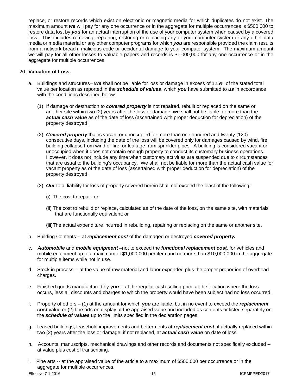replace, or restore records which exist on electronic or magnetic media for which duplicates do not exist. The maximum amount *we* will pay for any one occurrence or in the aggregate for multiple occurrences is \$500,000 to restore data lost by *you* for an actual interruption of the use of your computer system when caused by a covered loss. This includes retrieving, repairing, restoring or replacing any of your computer system or any other data media or media material or any other computer programs for which *you* are responsible provided the claim results from a network breach, malicious code or accidental damage to your computer system. The maximum amount we will pay for all other losses to valuable papers and records is \$1,000,000 for any one occurrence or in the aggregate for multiple occurrences.

### 20. **Valuation of Loss.**

- a. Buildings and structures– *We* shall not be liable for loss or damage in excess of 125% of the stated total value per location as reported in the *schedule of values*, which *you* have submitted to *us* in accordance with the conditions described below:
	- (1) If damage or destruction to *covered property* is not repaired, rebuilt or replaced on the same or another site within two (2) years after the loss or damage, *we* shall not be liable for more than the *actual cash value* as of the date of loss (ascertained with proper deduction for depreciation) of the property destroyed;
	- (2) *Covered property* that is vacant or unoccupied for more than one hundred and twenty (120) consecutive days, including the date of the loss will be covered only for damages caused by wind, fire, building collapse from wind or fire, or leakage from sprinkler pipes. A building is considered vacant or unoccupied when it does not contain enough property to conduct its customary business operations. However, it does not include any time when customary activities are suspended due to circumstances that are usual to the building's occupancy. We shall not be liable for more than the actual cash value for vacant property as of the date of loss (ascertained with proper deduction for depreciation) of the property destroyed;
	- (3) *Our* total liability for loss of property covered herein shall not exceed the least of the following:
		- (i) The cost to repair; or
		- (ii) The cost to rebuild or replace, calculated as of the date of the loss, on the same site, with materials that are functionally equivalent; or

(iii)The actual expenditure incurred in rebuilding, repairing or replacing on the same or another site.

- b. Building Contents -- at *replacement cost* of the damaged or destroyed *covered property.*
- c. *Automobile* and *mobile equipment* –not to exceed the *functional replacement cost,* for vehicles and mobile equipment up to a maximum of \$1,000,000 per item and no more than \$10,000,000 in the aggregate for multiple items while not in use.
- d. Stock in process -- at the value of raw material and labor expended plus the proper proportion of overhead charges.
- e. Finished goods manufactured by *you* -- at the regular cash-selling price at the location where the loss occurs, less all discounts and charges to which the property would have been subject had no loss occurred.
- f. Property of others (1) at the amount for which *you* are liable, but in no event to exceed the *replacement cost* value or (2) fine arts on display at the appraised value and included as contents or listed separately on the *schedule of values* up to the limits specified in the declaration pages.
- g. Leased buildings, leasehold improvements and betterments at *replacement cost*, if actually replaced within two (2) years after the loss or damage; if not replaced, at *actual cash value* on date of loss.
- h. Accounts, manuscripts, mechanical drawings and other records and documents not specifically excluded at value plus cost of transcribing.
- i. Fine arts -- at the appraised value of the article to a maximum of \$500,000 per occurrence or in the aggregate for multiple occurrences.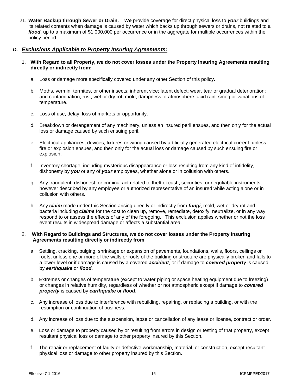21. **Water Backup through Sewer or Drain.** *We* provide coverage for direct physical loss to *your* buildings and its related contents when damage is caused by water which backs up through sewers or drains, not related to a *flood*, up to a maximum of \$1,000,000 per occurrence or in the aggregate for multiple occurrences within the policy period.

### *D. Exclusions Applicable to Property Insuring Agreements:*

- 1. **With Regard to all Property,** *we* **do not cover losses under the Property Insuring Agreements resulting directly or indirectly from:** 
	- a. Loss or damage more specifically covered under any other Section of this policy.
	- b. Moths, vermin, termites, or other insects; inherent vice; latent defect; wear, tear or gradual deterioration; and contamination, rust, wet or dry rot, mold, dampness of atmosphere, acid rain, smog or variations of temperature.
	- c. Loss of use, delay, loss of markets or opportunity.
	- d. Breakdown or derangement of any machinery, unless an insured peril ensues, and then only for the actual loss or damage caused by such ensuing peril.
	- e. Electrical appliances, devices, fixtures or wiring caused by artificially generated electrical current, unless fire or explosion ensues, and then only for the actual loss or damage caused by such ensuing fire or explosion.
	- f. Inventory shortage, including mysterious disappearance or loss resulting from any kind of infidelity, dishonesty by *you* or any of *your* employees, whether alone or in collusion with others.
	- g. Any fraudulent, dishonest, or criminal act related to theft of cash, securities, or negotiable instruments, however described by any employee or authorized representative of an insured while acting alone or in collusion with others.
	- h. Any *claim* made under this Section arising directly or indirectly from *fungi*, mold, wet or dry rot and bacteria including *claims* for the cost to clean up, remove, remediate, detoxify, neutralize, or in any way respond to or assess the effects of any of the foregoing. This exclusion applies whether or not the loss event results in widespread damage or affects a substantial area.

#### 2. **With Regard to Buildings and Structures,** *we* **do not cover losses under the Property Insuring Agreements resulting directly or indirectly from**:

- a. Settling, cracking, bulging, shrinkage or expansion of pavements, foundations, walls, floors, ceilings or roofs, unless one or more of the walls or roofs of the building or structure are physically broken and falls to a lower level or if damage is caused by a covered *accident*, or if damage to *covered property* is caused by *earthquake* or *flood*.
- b. Extremes or changes of temperature (except to water piping or space heating equipment due to freezing) or changes in relative humidity, regardless of whether or not atmospheric except if damage to *covered property* is caused by *earthquake* or *flood*.
- c. Any increase of loss due to interference with rebuilding, repairing, or replacing a building, or with the resumption or continuation of business.
- d. Any increase of loss due to the suspension, lapse or cancellation of any lease or license, contract or order.
- e. Loss or damage to property caused by or resulting from errors in design or testing of that property, except resultant physical loss or damage to other property insured by this Section.
- f. The repair or replacement of faulty or defective workmanship, material, or construction, except resultant physical loss or damage to other property insured by this Section.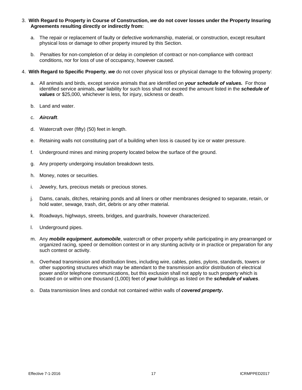- 3. **With Regard to Property in Course of Construction,** *we* **do not cover losses under the Property Insuring Agreements resulting directly or indirectly from:** 
	- a. The repair or replacement of faulty or defective workmanship, material, or construction, except resultant physical loss or damage to other property insured by this Section.
	- b. Penalties for non-completion of or delay in completion of contract or non-compliance with contract conditions, nor for loss of use of occupancy, however caused.
- 4. **With Regard to Specific Property**, *we* do not cover physical loss or physical damage to the following property:
	- a. All animals and birds, except service animals that are identified on *your schedule of values.* For those identified service animals, *our* liability for such loss shall not exceed the amount listed in the *schedule of values* or \$25,000, whichever is less, for injury, sickness or death.
	- b. Land and water.
	- c. *Aircraft*.
	- d. Watercraft over (fifty) (50) feet in length.
	- e. Retaining walls not constituting part of a building when loss is caused by ice or water pressure.
	- f. Underground mines and mining property located below the surface of the ground.
	- g. Any property undergoing insulation breakdown tests.
	- h. Money, notes or securities.
	- i. Jewelry, furs, precious metals or precious stones.
	- j. Dams, canals, ditches, retaining ponds and all liners or other membranes designed to separate, retain, or hold water, sewage, trash, dirt, debris or any other material.
	- k. Roadways, highways, streets, bridges, and guardrails, however characterized.
	- l. Underground pipes.
	- m. Any *mobile equipment*, *automobile*, watercraft or other property while participating in any prearranged or organized racing, speed or demolition contest or in any stunting activity or in practice or preparation for any such contest or activity.
	- n. Overhead transmission and distribution lines, including wire, cables, poles, pylons, standards, towers or other supporting structures which may be attendant to the transmission and/or distribution of electrical power and/or telephone communications, but this exclusion shall not apply to such property which is located on or within one thousand (1,000) feet of *your* buildings as listed on the *schedule of values*.
	- o. Data transmission lines and conduit not contained within walls of *covered property***.**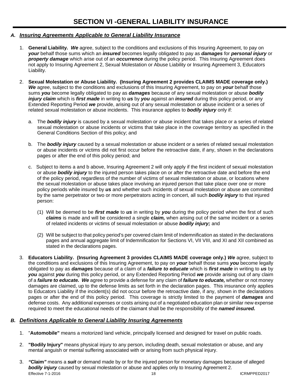# *A. Insuring Agreements Applicable to General Liability Insurance*

- 1. **General Liability.** *We* agree, subject to the conditions and exclusions of this Insuring Agreement, to pay on *your* behalf those sums which an *insured* becomes legally obligated to pay as *damages* for *personal injury* or *property damage* which arise out of an *occurrence* during the policy period. This Insuring Agreement does not apply to Insuring Agreement 2, Sexual Molestation or Abuse Liability or Insuring Agreement 3, Educators Liability.
- 2. **Sexual Molestation or Abuse Liability. (Insuring Agreement 2 provides CLAIMS MADE coverage only.)** *We* agree, subject to the conditions and exclusions of this Insuring Agreement, to pay on *your* behalf those sums *you* become legally obligated to pay as *damages* because of any sexual molestation or abuse *bodily injury claim* which is *first made* in writing to *us* by *you* against an *insured* during this policy period, or any Extended Reporting Period *we* provide, arising out of any sexual molestation or abuse incident or a series of related sexual molestation or abuse incidents. This insurance applies to *bodily injury* only if:
	- a. The *bodily injury* is caused by a sexual molestation or abuse incident that takes place or a series of related sexual molestation or abuse incidents or victims that take place in the coverage territory as specified in the General Conditions Section of this policy; and
	- b. The *bodily injury* caused by a sexual molestation or abuse incident or a series of related sexual molestation or abuse incidents or victims did not first occur before the retroactive date, if any, shown in the declarations pages or after the end of this policy period; and
	- c. Subject to items a and b above, Insuring Agreement 2 will only apply if the first incident of sexual molestation or abuse *bodily injury* to the injured person takes place on or after the retroactive date and before the end of the policy period, regardless of the number of victims of sexual molestation or abuse, or locations where the sexual molestation or abuse takes place involving an injured person that take place over one or more policy periods while insured by *us* and whether such incidents of sexual molestation or abuse are committed by the same perpetrator or two or more perpetrators acting in concert, all such *bodily injury* to that injured person:
		- (1) Will be deemed to be *first made* to *us* in writing by *you* during the policy period when the first of such *claims* is made and will be considered a single *claim,* when arising out of the same incident or a series of related incidents or victims of sexual molestation or abuse *bodily injury;* and
		- (2) Will be subject to that policy period's per covered claim limit of Indemnification as stated in the declarations pages and annual aggregate limit of Indemnification for Sections VI, VII VIII, and XI and XII combined as stated in the declarations pages.
- 3. **Educators Liability. (Insuring Agreement 3 provides CLAIMS MADE coverage only.)** *We* agree, subject to the conditions and exclusions of this Insuring Agreement, to pay on *your* behalf those sums *you* become legally obligated to pay as *damages* because of a claim of a *failure to educate* which is *first made* in writing to *us* by *you* against *you* during this policy period, or any Extended Reporting Period *we* provide arising out of any claim of a *failure to educate. We* agree to provide a defense for any claim of *failure to educate,* whether or not money damages are claimed, up to the defense limits as set forth in the declaration pages. This insurance only applies to Educators Liability if the incident(s) did not occur before the retroactive date, if any, shown in the declarations pages or after the end of this policy period. This coverage is strictly limited to the payment of *damages* and defense costs. Any additional expenses or costs arising out of a negotiated education plan or similar new expense required to meet the educational needs of the claimant shall be the responsibility of the *named insured.*

# *B. Definitions Applicable to General Liability Insuring Agreements*

- 1. "**Automobile"** means a motorized land vehicle, principally licensed and designed for travel on public roads.
- 2. **"Bodily Injury"** means physical injury to any person, including death, sexual molestation or abuse, and any mental anguish or mental suffering associated with or arising from such physical injury.
- 3. *"***Claim***"* means a *suit* or demand made by or for the injured person for monetary damages because of alleged **bodily injury** caused by sexual molestation or abuse and applies only to Insuring Agreement 2. Effective 7-1-2016 2008 2009 12:00 12:00 12:00 12:00 12:00 12:00 12:00 12:00 12:00 12:00 12:00 12:00 12:00 12:00 12:00 12:00 12:00 12:00 12:00 12:00 12:00 12:00 12:00 12:00 12:00 12:00 12:00 12:00 12:00 12:00 12:00 12:00 1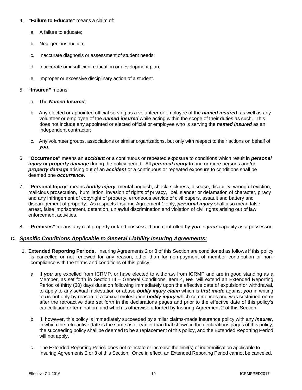### 4. *"***Failure to Educate***"* means a claim of:

- a. A failure to educate;
- b. Negligent instruction;
- c. Inaccurate diagnosis or assessment of student needs;
- d. Inaccurate or insufficient education or development plan;
- e. Improper or excessive disciplinary action of a student.

#### 5. **"Insured"** means

- a. The *Named Insured*;
- b. Any elected or appointed official serving as a volunteer or employee of the *named insured*, as well as any volunteer or employee of the *named insured* while acting within the scope of their duties as such. This does not include any appointed or elected official or employee who is serving the *named insured* as an independent contractor;
- c. Any volunteer groups, associations or similar organizations, but only with respect to their actions on behalf of *you*.
- 6. **"Occurrence"** means an *accident* or a continuous or repeated exposure to conditions which result in *personal injury* or *property damage* during the policy period. All *personal injury* to one or more persons and/or *property damage* arising out of an *accident* or a continuous or repeated exposure to conditions shall be deemed one *occurrence*.
- 7. **"Personal Injury"** means *bodily injury*, mental anguish, shock, sickness, disease, disability, wrongful eviction, malicious prosecution, humiliation, invasion of rights of privacy, libel, slander or defamation of character, piracy and any infringement of copyright of property, erroneous service of civil papers, assault and battery and disparagement of property. As respects Insuring Agreement 1 only, *personal injury* shall also mean false arrest, false imprisonment, detention, unlawful discrimination and violation of civil rights arising out of law enforcement activities.
- 8. **"Premises"** means any real property or land possessed and controlled by *you* in *your* capacity as a possessor.

# *C. Specific Conditions Applicable to General Liability Insuring Agreements:*

- 1. **Extended Reporting Periods.** Insuring Agreements 2 or 3 of this Section are conditioned as follows if this policy is cancelled or not renewed for any reason, other than for non-payment of member contribution or noncompliance with the terms and conditions of this policy:
	- a. If *you* are expelled from ICRMP*,* or have elected to withdraw from ICRMP and are in good standing as a Member, as set forth in Section III – General Conditions, Item 4, *we* will extend an Extended Reporting Period of thirty (30) days duration following immediately upon the effective date of expulsion or withdrawal, to apply to any sexual molestation or abuse *bodily injury claim* which is *first made* against *you* in writing to *us* but only by reason of a sexual molestation *bodily injury* which commences and was sustained on or after the retroactive date set forth in the declarations pages and prior to the effective date of this policy's cancellation or termination, and which is otherwise afforded by Insuring Agreement 2 of this Section.
	- b. If, however, this policy is immediately succeeded by similar claims-made insurance policy with any *Insurer*, in which the retroactive date is the same as or earlier than that shown in the declarations pages of this policy, the succeeding policy shall be deemed to be a replacement of this policy, and the Extended Reporting Period will not apply.
	- c. The Extended Reporting Period does not reinstate or increase the limit(s) of indemnification applicable to Insuring Agreements 2 or 3 of this Section. Once in effect, an Extended Reporting Period cannot be canceled.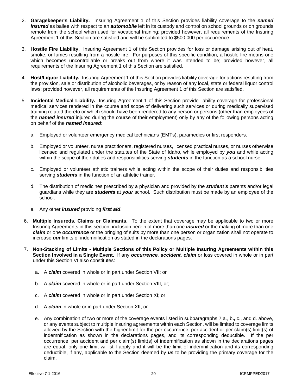- 2. **Garagekeeper's Liability.** Insuring Agreement 1 of this Section provides liability coverage to the *named insured* as bailee with respect to an *automobile* left in its custody and control on school grounds or on grounds remote from the school when used for vocational training; provided however, all requirements of the Insuring Agreement 1 of this Section are satisfied and will be sublimited to \$500,000 per occurrence.
- 3. **Hostile Fire Liability.** Insuring Agreement 1 of this Section provides for loss or damage arising out of heat, smoke, or fumes resulting from a hostile fire. For purposes of this specific condition, a hostile fire means one which becomes uncontrollable or breaks out from where it was intended to be; provided however, all requirements of the Insuring Agreement 1 of this Section are satisfied.
- 4. **Host/Liquor Liability.** Insuring Agreement 1 of this Section provides liability coverage for actions resulting from the provision, sale or distribution of alcoholic beverages, or by reason of any local, state or federal liquor control laws; provided however, all requirements of the Insuring Agreement 1 of this Section are satisfied.
- 5. **Incidental Medical Liability.** Insuring Agreement 1 of this Section provide liability coverage for professional medical services rendered in the course and scope of delivering such services or during medically supervised training related thereto or which should have been rendered to any person or persons (other than employees of the *named insured* injured during the course of their employment) only by any of the following persons acting on behalf of the *named insured*:
	- a. Employed or volunteer emergency medical technicians (EMTs), paramedics or first responders.
	- b. Employed or volunteer, nurse practitioners, registered nurses, licensed practical nurses, or nurses otherwise licensed and regulated under the statutes of the State of Idaho, while employed by *you* and while acting within the scope of their duties and responsibilities serving *students* in the function as a school nurse.
	- c. Employed or volunteer athletic trainers while acting within the scope of their duties and responsibilities serving *students* in the function of an athletic trainer.
	- d. The distribution of medicines prescribed by a physician and provided by the *student's* parents and/or legal guardians while they are *students* at *your* school. Such distribution must be made by an employee of the school.
	- e. Any other *insured* providing *first aid*.
- 6. **Multiple Insureds, Claims or Claimants.** To the extent that coverage may be applicable to two or more Insuring Agreements in this section, inclusion herein of more than one *insured* or the making of more than one *claim* or one *occurrence* or the bringing of suits by more than one person or organization shall not operate to increase *our* limits of indemnification as stated in the declarations pages.
- 7. **Non-Stacking of Limits Multiple Sections of this Policy or Multiple Insuring Agreements within this Section Involved in a Single Event.** If any *occurrence, accident, claim* or loss covered in whole or in part under this Section VI also constitutes:
	- a. A *claim* covered in whole or in part under Section VII; or
	- b. A *claim* covered in whole or in part under Section VIII, or;
	- c. A *claim* covered in whole or in part under Section XI; or
	- d. A *claim* in whole or in part under Section XII; or
	- e. Any combination of two or more of the coverage events listed in subparagraphs 7 a., b**.,** c., and d. above, or any events subject to multiple insuring agreements within each Section, will be limited to coverage limits allowed by the Section with the higher limit for the per occurrence, per accident or per claim(s) limit(s) of indemnification as shown in the declarations pages, and its corresponding deductible. If the per occurrence, per accident and per claim(s) limit(s) of indemnification as shown in the declarations pages are equal, only one limit will still apply and it will be the limit of indemnification and its corresponding deductible, if any, applicable to the Section deemed by *us* to be providing the primary coverage for the claim.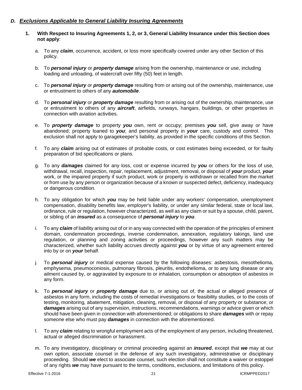# *D. Exclusions Applicable to General Liability Insuring Agreements*

- **1. With Respect to Insuring Agreements 1, 2, or 3, General Liability Insurance under this Section does not apply**:
	- a. To any *claim*, occurrence, accident, or loss more specifically covered under any other Section of this policy.
	- b. To *personal injury* or *property damage* arising from the ownership, maintenance or use, including loading and unloading, of watercraft over fifty (50) feet in length.
	- c. To *personal injury* or *property damage* resulting from or arising out of the ownership, maintenance, use or entrustment to others of any *automobile*.
	- d. To *personal injury* or *property damage* resulting from or arising out of the ownership, maintenance, use or entrustment to others of any *aircraft*, airfields, runways, hangars, buildings, or other properties in connection with aviation activities.
	- e. To *property damage* to property *you* own, rent or occupy; premises *you* sell, give away or have abandoned; property loaned to *you*; and personal property in *your* care, custody and control. This exclusion shall not apply to garagekeeper's liability, as provided in the specific conditions of this Section.
	- f. To any *claim* arising out of estimates of probable costs, or cost estimates being exceeded, or for faulty preparation of bid specifications or plans.
	- g. To any *damages* claimed for any loss, cost or expense incurred by *you* or others for the loss of use, withdrawal, recall, inspection, repair, replacement, adjustment, removal, or disposal of *your* product, *your* work, or the impaired property if such product, work or property is withdrawn or recalled from the market or from use by any person or organization because of a known or suspected defect, deficiency, inadequacy or dangerous condition.
	- h. To any obligation for which *you* may be held liable under any workers' compensation, unemployment compensation, disability benefits law, employer's liability, or under any similar federal, state or local law, ordinance, rule or regulation, however characterized, as well as any claim or suit by a spouse, child, parent, or sibling of an *insured* as a consequence of *personal injury* to *you*.
	- i. To any *claim* of liability arising out of or in any way connected with the operation of the principles of eminent domain, condemnation proceedings, inverse condemnation, annexation, regulatory takings, land use regulation, or planning and zoning activities or proceedings, however any such matters may be characterized, whether such liability accrues directly against *you* or by virtue of any agreement entered into by or on *your* behalf.
	- j. To *personal injury* or medical expense caused by the following diseases: asbestosis, mesothelioma, emphysema, pneumoconiosis, pulmonary fibrosis, pleuritis, endothelioma, or to any lung disease or any ailment caused by, or aggravated by exposure to or inhalation, consumption or absorption of asbestos in any form.
	- k. To *personal injury* or *property damage* due to, or arising out of, the actual or alleged presence of asbestos in any form, including the costs of remedial investigations or feasibility studies, or to the costs of testing, monitoring, abatement, mitigation, cleaning, removal, or disposal of any property or substance; or *damages* arising out of any supervision, instructions, recommendations, warnings or advice given or which should have been given in connection with aforementioned; or obligations to share *damages* with or repay someone else who must pay *damages* in connection with the aforementioned.
	- l. To any *claim* relating to wrongful employment acts of the employment of any person, including threatened, actual or alleged discrimination or harassment.
	- m. To any investigatory, disciplinary or criminal proceeding against an *insured*, except that *we* may at our own option, associate counsel in the defense of any such investigatory, administrative or disciplinary proceeding. Should *we* elect to associate counsel, such election shall not constitute a waiver or estoppel of any rights *we* may have pursuant to the terms, conditions, exclusions, and limitations of this policy.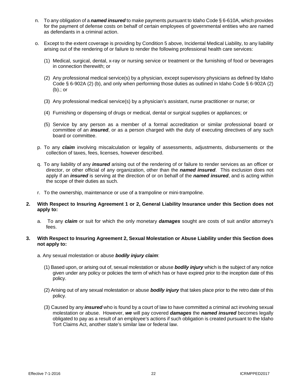- n. To any obligation of a *named insured* to make payments pursuant to Idaho Code § 6-610A, which provides for the payment of defense costs on behalf of certain employees of governmental entities who are named as defendants in a criminal action.
- o. Except to the extent coverage is providing by Condition 5 above, Incidental Medical Liability, to any liability arising out of the rendering of or failure to render the following professional health care services:
	- (1) Medical, surgical, dental, x-ray or nursing service or treatment or the furnishing of food or beverages in connection therewith; or
	- (2) Any professional medical service(s) by a physician, except supervisory physicians as defined by Idaho Code § 6-902A (2) (b), and only when performing those duties as outlined in Idaho Code § 6-902A (2) (b).; or
	- (3) Any professional medical service(s) by a physician's assistant, nurse practitioner or nurse; or
	- (4) Furnishing or dispensing of drugs or medical, dental or surgical supplies or appliances; or
	- (5) Service by any person as a member of a formal accreditation or similar professional board or committee of an *insured*, or as a person charged with the duty of executing directives of any such board or committee.
- p. To any *claim* involving miscalculation or legality of assessments, adjustments, disbursements or the collection of taxes, fees, licenses, however described.
- q. To any liability of any *insured* arising out of the rendering of or failure to render services as an officer or director, or other official of any organization, other than the *named insured*. This exclusion does not apply if an *insured* is serving at the direction of or on behalf of the *named insured*, and is acting within the scope of their duties as such.
- r. To the ownership, maintenance or use of a trampoline or mini-trampoline.

#### **2. With Respect to Insuring Agreement 1 or 2, General Liability Insurance under this Section does not apply to:**

a. To any *claim* or suit for which the only monetary *damages* sought are costs of suit and/or attorney's fees.

#### **3. With Respect to Insuring Agreement 2, Sexual Molestation or Abuse Liability under this Section does not apply to:**

- a. Any sexual molestation or abuse *bodily injury claim*:
	- (1) Based upon, or arising out of, sexual molestation or abuse *bodily injury* which is the subject of any notice given under any policy or policies the term of which has or have expired prior to the inception date of this policy.
	- (2) Arising out of any sexual molestation or abuse *bodily injury* that takes place prior to the retro date of this policy.
	- (3) Caused by any *insured* who is found by a court of law to have committed a criminal act involving sexual molestation or abuse. However, *we* will pay covered *damages* the *named insured* becomes legally obligated to pay as a result of an employee's actions if such obligation is created pursuant to the Idaho Tort Claims Act, another state's similar law or federal law.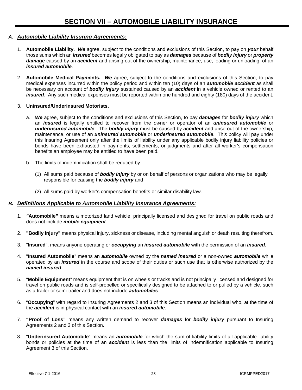# *A. Automobile Liability Insuring Agreements:*

- 1. **Automobile Liability.** *We* agree, subject to the conditions and exclusions of this Section, to pay on *your* behalf those sums which an *insured* becomes legally obligated to pay as *damages* because of *bodily injury* or *property damage* caused by an *accident* and arising out of the ownership, maintenance, use, loading or unloading, of an *insured automobile*.
- 2. **Automobile Medical Pay***me***nts.** *We* agree, subject to the conditions and exclusions of this Section, to pay medical expenses incurred within the policy period and within ten (10) days of an *automobile accident* as shall be necessary on account of *bodily injury* sustained caused by an *accident* in a vehicle owned or rented to an *insured*. Any such medical expenses must be reported within one hundred and eighty (180) days of the accident.
- 3. **Uninsured/Underinsured Motorists.**
	- a. *We* agree, subject to the conditions and exclusions of this Section, to pay *damages* for *bodily injury* which an *insured* is legally entitled to recover from the *ow*ner or operator of an *uninsured automobile* or *underinsured automobile*. The *bodily injury* must be caused by *accident* and arise out of the ownership*,* maintenance, or use of an *uninsured automobile* or *underinsured automobile*. Thi*s* policy will pay under this Insuring Agreement only after the limits of liability under any applicable bodily injury liability policies or bonds have been exhausted in payments, settlements, or judgments and after all worker's compensation benefits an employee may be entitled to have been paid.
	- b. The limits of indemnification shall be reduced by:
		- (1) All sums paid because of *bodily injury* by or on behalf of persons or organizations who may be legally responsible for causing the *bodily injury* and
		- (2) All sums paid by worker's compensation benefits or similar disability law.

# *B. Definitions Applicable to Automobile Liability Insurance Agreements:*

- 1. *"***Automobile***"* means a motorized land vehicle, principally licensed and designed for travel on public roads and does not include *mobile equipment*.
- 2. **"Bodily Injury"** means physical injury, sickness or disease, including mental anguish or death resulting therefrom.
- 3. "**Insured**", means anyone operating or *occupying* an *insured automobile* with the permission of an *insured*.
- 4. "**Insured Automobile**" means an *automobile* owned by the *named insured* or a non-owned *automobile* while operated by an *insured* in the course and scope of their duties or such use that is otherwise authorized by the *named insured*.
- 5. "**Mobile Equipment**" means equipment that is on wheels or tracks and is not principally licensed and designed for travel on public roads and is self-propelled or specifically designed to be attached to or pulled by a vehicle, such as a trailer or semi-trailer and does not include *automobiles*.
- 6. "**Occupying**" with regard to Insuring Agreements 2 and 3 of this Section means an individual who, at the time of the *accident* is in physical contact with an *insured automobile*.
- 7. **"Proof of Loss"** means any written demand to recover *damages* for *bodily injury* pursuant to Insuring Agreements 2 and 3 of this Section.
- 8. "**Underinsured Automobile**" means an *automobile* for which the sum of liability limits of all applicable liability bonds or policies at the time of an *accident* is less than the limits of indemnification applicable to Insuring Agreement 3 of this Section.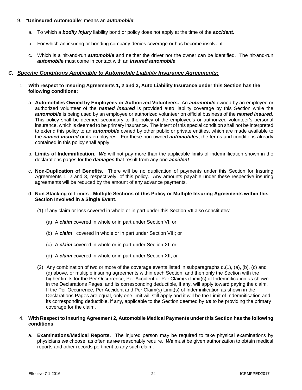- 9. "**Uninsured Automobile**" means an *automobile*:
	- a. To which a *bodily injury* liability bond or policy does not apply at the time of the *accident*.
	- b. For which an insuring or bonding company denies coverage or has become insolvent.
	- c. Which is a hit-and-run *automobile* and neither the driver nor the owner can be identified. The hit-and-run *automobile* must come in contact with an *insured automobile*.

### *C. Specific Conditions Applicable to Automobile Liability Insurance Agreements:*

- 1. **With respect to Insuring Agreements 1, 2 and 3, Auto Liability Insurance under this Section has the following conditions:**
	- a. **Automobiles Owned by Employees or Authorized Volunteers.** An *automobile* owned by an employee or authorized volunteer of the *named insured* is provided auto liability coverage by this Section while the *automobile* is being used by an employee or authorized volunteer on official business of the *named insured*. This policy shall be deemed secondary to the policy of the employee's or authorized volunteer's personal insurance, which is deemed to be primary insurance. The intent of this special condition shall not be interpreted to extend this policy to an *automobile* owned by other public or private entities, which are made available to the *named insured* or its employees. For these non-owned *automobiles*, the terms and conditions already contained in this policy shall apply
	- b. **Limits of Indemnification.** *We* will not pay more than the applicable limits of indemnification shown in the declarations pages for the *damages* that result from any one *accident*.
	- c. **Non-Duplication of Benefits.** There will be no duplication of payments under this Section for Insuring Agreements 1, 2 and 3, respectively, of this policy. Any amounts payable under these respective insuring agreements will be reduced by the amount of any advance payments.
	- d. **Non-Stacking of Limits Multiple Sections of this Policy or Multiple Insuring Agreements within this Section Involved in a Single Event**.
		- (1) If any claim or loss covered in whole or in part under this Section VII also constitutes:
			- (a) A *claim* covered in whole or in part under Section VI; or
			- (b) A *claim*, covered in whole or in part under Section VIII; or
			- (c) A *claim* covered in whole or in part under Section XI; or
			- (d) A *claim* covered in whole or in part under Section XII; or
		- (2) Any combination of two or more of the coverage events listed in subparagraphs d.(1), (a), (b), (c) and (d) above, or multiple insuring agreements within each Section, and then only the Section with the higher limits for the Per Occurrence, Per Accident or Per Claim(s) Limit(s) of Indemnification as shown in the Declarations Pages, and its corresponding deductible, if any, will apply toward paying the claim. If the Per Occurrence, Per Accident and Per Claim(s) Limit(s) of Indemnification as shown in the Declarations Pages are equal, only one limit will still apply and it will be the Limit of Indemnification and its corresponding deductible, if any, applicable to the Section deemed by *us* to be providing the primary coverage for the claim.

#### 4. **With Respect to Insuring Agreement 2, Automobile Medical Payments under this Section has the following conditions**:

a. **Examinations/Medical Reports.** The injured person may be required to take physical examinations by physicians *we* choose, as often as *we* reasonably require. *We* must be given authorization to obtain medical reports and other records pertinent to any such claim.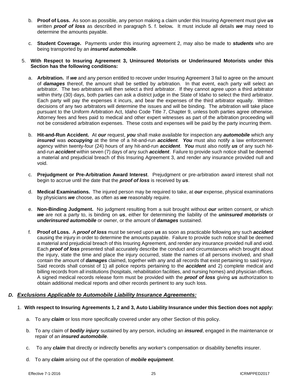- b. **Proof of Loss.** As soon as possible, any person making a claim under this Insuring Agreement must give *us* written *proof of loss* as described in paragraph 5. f. below*.* It must include all details *we* may need to determine the amounts payable.
- c. **Student Coverage.** Payments under this insuring agreement 2, may also be made to *students* who are being transported by an *insured automobile*.

#### 5. **With Respect to Insuring Agreement 3, Uninsured Motorists or Underinsured Motorists under this Section has the following conditions:**

- a. **Arbitration.** If *we* and any person entitled to recover under Insuring Agreement 3 fail to agree on the amount of *damages* thereof, the amount shall be settled by arbitration. In that event, each party will select an arbitrator. The two arbitrators will then select a third arbitrator. If they cannot agree upon a third arbitrator within thirty (30) days, both parties can ask a district judge in the State of Idaho to select the third arbitrator. Each party will pay the expenses it incurs, and bear the expenses of the third arbitrator equally. Written decisions of any two arbitrators will determine the issues and will be binding. The arbitration will take place pursuant to the Uniform Arbitration Act, Idaho Code Title 7, Chapter 9, unless both parties agree otherwise. Attorney fees and fees paid to medical and other expert witnesses as part of the arbitration proceeding will not be considered arbitration expenses. These costs and expenses will be paid by the party incurring them.
- b. **Hit-and-Run Accident.** At *our* request, *you* shall make available for inspection any *automobile* which any *insured* was *occupying* at the time of a hit-and-run *accident*. *You* must also notify a law enforcement agency within twenty-four (24) hours of any hit-and-run *accident*. *You* must also notify *us* of any such hitand-run *accident* within seven (7) days of any such *accident*. Failure to provide such notice shall be deemed a material and prejudicial breach of this Insuring Agreement 3, and render any insurance provided null and void.
- c. **Prejudgment or Pre-Arbitration Award Interest**. Prejudgment or pre-arbitration award interest shall not begin to accrue until the date that the *proof of loss* is received by *us*.
- d. **Medical Examinations.** The injured person may be required to take, at *our* expense, physical examinations by physicians *we* choose, as often as *we* reasonably require.
- e. **Non-Binding Judgment.** No judgment resulting from a suit brought without *our* written consent, or which *we* are not a party to, is binding on *us*, either for determining the liability of the *uninsured motorists* or *underinsured automobile* or owner, or the amount of *damages* sustained.
- f. **Proof of Loss.** A *proof of loss* must be served upon *us* as soon as practicable following any such *accident* causing the injury in order to determine the amounts payable. Failure to provide such notice shall be deemed a material and prejudicial breach of this Insuring Agreement, and render any insurance provided null and void. Each *proof of loss* presented shall accurately describe the conduct and circumstances which brought about the injury, state the time and place the injury occurred, state the names of all persons involved, and shall contain the amount of *damages* claimed, together with any and all records that exist pertaining to said injury. Said records shall consist of 1) all police reports pertaining to the *accident* and 2) complete medical and billing records from all institutions (hospitals, rehabilitation facilities, and nursing homes) and physician offices. A signed medical records release form must be provided with the *proof of loss* giving *us* authorization to obtain additional medical reports and other records pertinent to any such loss.

# *D. Exclusions Applicable to Automobile Liability Insurance Agreements:*

- 1. **With respect to Insuring Agreements 1, 2 and 3, Auto Liability Insurance under this Section does not apply:**
	- a. To any *claim* or loss more specifically covered under any other Section of this policy.
	- b. To any claim of *bodily injury* sustained by any person, including an *insured*, engaged in the maintenance or repair of an *insured automobile*.
	- c. To any *claim* that directly or indirectly benefits any worker's compensation or disability benefits insurer.
	- d. To any *claim* arising out of the operation of *mobile equipment*.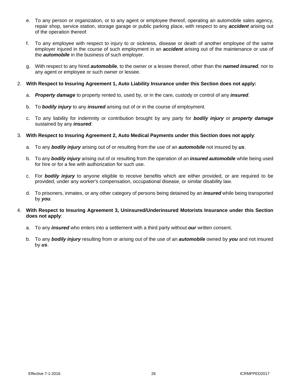- e. To any person or organization, or to any agent or employee thereof, operating an automobile sales agency, repair shop, service station, storage garage or public parking place, with respect to any *accident* arising out of the operation thereof.
- f. To any employee with respect to injury to or sickness, disease or death of another employee of the same employer injured in the course of such employment in an *accident* arising out of the maintenance or use of the *automobile* in the business of such employer.
- g. With respect to any hired *automobile*, to the owner or a lessee thereof, other than the *named insured*, nor to any agent or employee or such owner or lessee.

#### 2. **With Respect to Insuring Agreement 1, Auto Liability Insurance under this Section does not apply:**

- a. *Property damage* to property rented to, used by, or in the care, custody or control of any *insured*.
- b. To *bodily injury* to any *insured* arising out of or in the course of employment.
- c. To any liability for indemnity or contribution brought by any party for *bodily injury* or *property damage* sustained by any *insured*.
- 3. **With Respect to Insuring Agreement 2, Auto Medical Payments under this Section does not apply**:
	- a. To any *bodily injury* arising out of or resulting from the use of an *automobile* not insured by *us*.
	- b. To any *bodily injury* arising out of or resulting from the operation of an *insured automobile* while being used for hire or for a fee with authorization for such use.
	- c. For *bodily injury* to anyone eligible to receive benefits which are either provided, or are required to be provided, under any worker's compensation, occupational disease, or similar disability law.
	- d. To prisoners, inmates, or any other category of persons being detained by an *insured* while being transported by *you*.

#### 4. **With Respect to Insuring Agreement 3, Uninsured/Underinsured Motorists Insurance under this Section does not apply**:

- a. To any *insured* who enters into a settlement with a third party without *our* written consent.
- b. To any *bodily injury* resulting from or arising out of the use of an *automobile* owned by *you* and not insured by *us*.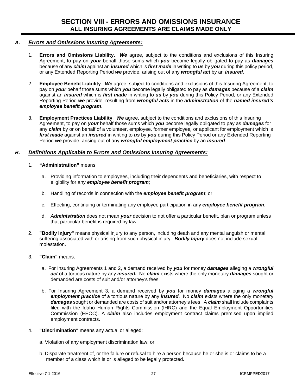# *A. Errors and Omissions Insuring Agreements:*

- 1. **Errors and Omissions Liability.** *We* agree, subject to the conditions and exclusions of this Insuring Agreement, to pay on *your* behalf those sums which *you* become legally obligated to pay as *damages* because of any *claim* against an *insured* which is *first made* in writing to *us* by *you* during this policy period, or any Extended Reporting Period *we* provide, arising out of any *wrongful act* by an *insured*.
- 2. **Employee Benefit Liability**. *We* agree, subject to conditions and exclusions of this Insuring Agreement, to pay on *your* behalf those sums which *you* become legally obligated to pay as *damages* because of a *claim* against an *insured* which is *first made* in writing to *us* by *you* during this Policy Period, or any Extended Reporting Period *we* provide, resulting from *wrongful acts* in the *administration* of the *named insured's employee benefit program*.
- 3. **Employment Practices Liability**. *We* agree, subject to the conditions and exclusions of this Insuring Agreement, to pay on *your* behalf those sums which *you* become legally obligated to pay as *damages* for any *claim* by or on behalf of a volunteer, employee*,* former employee*,* or applicant for employment which is *first made* against an *insured* in writing to *us* by *you* during this Policy Period or any Extended Reporting Period *we* provide, arising out of any *wrongful employment practice* by an *insured*.

# *B. Definitions Applicable to Errors and Omissions Insuring Agreements:*

- 1. **"Administration"** means:
	- a. Providing information to employees, including their dependents and beneficiaries, with respect to eligibility for any *employee benefit program*;
	- b. Handling of records in connection with the *employee benefit program*; or
	- c. Effecting, continuing or terminating any employee participation in any *employee benefit program*.
	- d. *Administration* does not mean *your* decision to not offer a particular benefit, plan or program unless that particular benefit is required by law.
- 2. **"Bodily Injury"** means physical injury to any person, including death and any mental anguish or mental suffering associated with or arising from such physical injury. *Bodily Injury* does not include sexual molestation.
- 3. **"Claim"** means:
	- a. For Insuring Agreements 1 and 2, a demand received by *you* for money *damages* alleging a *wrongful act* of a tortious nature by any *insured.* No *claim* exists where the only monetary *damages* sought or demanded are costs of suit and/or attorney's fees.
	- b. For Insuring Agreement 3, a demand received by *you* for money *damages* alleging a *wrongful employment practice* of a tortious nature by any *insured*. No *claim* exists where the only monetary *damages* sought or demanded are costs of suit and/or attorney's fees. A *claim* shall include complaints filed with the Idaho Human Rights Commission (IHRC) and the Equal Employment Opportunities Commission (EEOC). A *claim* also includes employment contract claims premised upon implied employment contracts.
- 4. **"Discrimination"** means any actual or alleged:
	- a. Violation of any employment discrimination law; or
	- b. Disparate treatment of, or the failure or refusal to hire a person because he or she is or claims to be a member of a class which is or is alleged to be legally protected.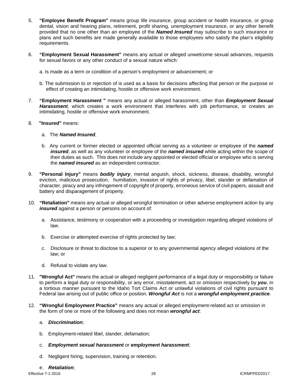- 5. **"Employee Benefit Program"** means group life insurance, group accident or health insurance, or group dental, vision and hearing plans, retirement, profit sharing, unemployment insurance, or any other benefit provided that no one other than an employee of the *Named Insured* may subscribe to such insurance or plans and such benefits are made generally available to those employees who satisfy the plan's eligibility requirements.
- 6. **"Employment Sexual Harassment"** means any actual or alleged unwelcome sexual advances, requests for sexual favors or any other conduct of a sexual nature which:
	- a. Is made as a term or condition of a person's employment or advancement; or
	- b. The submission to or rejection of is used as a basis for decisions affecting that person or the purpose or effect of creating an intimidating, hostile or offensive work environment.
- 7. **"Employment Harassment "** means any actual or alleged harassment, other than *Employment Sexual Harassment*, which creates a work environment that interferes with job performance, or creates an intimidating, hostile or offensive work environment.
- 8. **"Insured"** means:

#### a. The *Named Insured*,

- b. Any current or former elected or appointed official serving as a volunteer or employee of the *named insured*, as well as any volunteer or employee of the *named insured* while acting within the scope of their duties as such. This does not include any appointed or elected official or employee who is serving the *named insured* as an independent contractor.
- 9. **"Personal Injury"** means *bodily injury*, mental anguish, shock, sickness, disease, disability, wrongful eviction, malicious prosecution, humiliation, invasion of rights of privacy, libel, slander or defamation of character, piracy and any infringement of copyright of property, erroneous service of civil papers, assault and battery and disparagement of property.
- 10. **"Retaliation"** means any actual or alleged wrongful termination or other adverse employment action by any *insured* against a person or persons on account of:
	- a. Assistance, testimony or cooperation with a proceeding or investigation regarding alleged violations of law.
	- b. Exercise or attempted exercise of rights protected by law;
	- c. Disclosure or threat to disclose to a superior or to any governmental agency alleged violations of the law; or
	- d. Refusal to violate any law.
- 11. **"Wrongful Act"** means the actual or alleged negligent performance of a legal duty or responsibility or failure to perform a legal duty or responsibility, or any error, misstatement, act or omission respectively by *you*, in a tortious manner pursuant to the Idaho Tort Claims Act or unlawful violations of civil rights pursuant to Federal law arising out of public office or position. *Wrongful Act* is not a *wrongful employment practice*.
- 12. **"Wrongful Employment Practice"** means any actual or alleged employment-related act or omission in the form of one or more of the following and does not mean *wrongful act*:

#### a.*Discrimination*;

b. Employment-related libel, slander, defamation;

#### c. *Employment sexual harassment* or *employment harassment*;

d. Negligent hiring, supervision, training or retention.

#### e. *Retaliation*;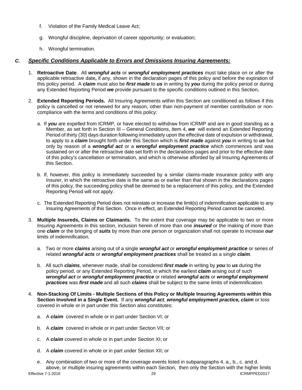- f. Violation of the Family Medical Leave Act;
- g. Wrongful discipline, deprivation of career opportunity; or evaluation;
- h. Wrongful termination.

## *C. Specific Conditions Applicable to Errors and Omissions Insuring Agreements:*

- 1. **Retroactive Date**.All *wrongful acts* or *wrongful employment practices* must take place on or after the applicable retroactive date**,** if any, shown in the declaration pages of this policy and before the expiration of this policy period. A *claim* must also be *first made* to *us* in writing by *you* during the policy period or during any Extended Reporting Period *we* provide pursuant to the specific conditions outlined in this Section**.**
- 2. **Extended Reporting Periods.** All Insuring Agreements within this Section are conditioned as follows if this policy is cancelled or not renewed for any reason, other than non-payment of member contribution or noncompliance with the terms and conditions of this policy:
	- a. If *you* are expelled from ICRMP*,* or have elected to withdraw from ICRMP and are in good standing as a Member, as set forth in Section III – General Conditions, Item 4, *we* will extend an Extended Reporting Period of thirty (30) days duration following immediately upon the effective date of expulsion or withdrawal, to apply to a *claim* brought forth under this Section which is *first made* against *you* in writing to *us* but only by reason of a *wrongful act* or a *wrongful employment practice* which commences and was sustained on or after the retroactive date set forth in the declarations pages and prior to the effective date of this policy's cancellation or termination, and which is otherwise afforded by all Insuring Agreements of this Section.
	- b. If, however, this policy is immediately succeeded by a similar claims-made insurance policy with any Insurer, in which the retroactive date is the same as or earlier than that shown in the declarations pages of this policy, the succeeding policy shall be deemed to be a replacement of this policy, and the Extended Reporting Period will not apply.
	- c. The Extended Reporting Period does not reinstate or increase the limit(s) of indemnification applicable to any Insuring Agreements of this Section. Once in effect, an Extended Reporting Period cannot be canceled.
- 3. **Multiple Insureds, Claims or Claimants.** To the extent that coverage may be applicable to two or more Insuring Agreements in this section, inclusion herein of more than one *insured* or the making of more than one *claim* or the bringing of *suits* by more than one person or organization shall not operate to increase *our* limits of indemnification.
	- a. Two or more *claims* arising out of a single *wrongful act* or *wrongful employment practice* or series of related *wrongful acts* or *wrongful employment practices* shall be treated as a single *claim*.
	- b. All such *claims*, whenever made, shall be considered *first made* in writing by *you* to *us* during the policy period, or any Extended Reporting Period, in which the earliest *claim* arising out of such *wrongful act* or *wrongful employment practice* or related *wrongful acts* or *wrongful employment practices* was *first made* and all such *claims* shall be subject to the same limits of indemnification.
- 4. **Non-Stacking Of Limits Multiple Sections of this Policy or Multiple Insuring Agreements within this Section Involved in a Single Event.** If any *wrongful act, wrongful employment practice, claim* or loss covered in whole or in part under this Section also constitutes:
	- a. A *claim* covered in whole or in part under Section VI; or
	- b. A *claim* covered in whole or in part under Section VII; or
	- c. A *claim* covered in whole or in part under Section XI; or
	- d. A *claim* covered in whole or in part under Section XII; or
- e. Any combination of two or more of the coverage events listed in subparagraphs 4. a., b., c. and d. above, or multiple insuring agreements within each Section, then only the Section with the higher limits<br><sup>29</sup><br>cRMPPED2017  $Effective 7-1-2016$  29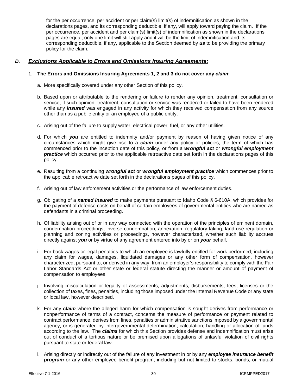for the per occurrence, per accident or per claim(s) limit(s) of indemnification as shown in the declarations pages, and its corresponding deductible, if any, will apply toward paying the claim. If the per occurrence, per accident and per claim(s) limit(s) of indemnification as shown in the declarations pages are equal, only one limit will still apply and it will be the limit of indemnification and its corresponding deductible, if any, applicable to the Section deemed by *us* to be providing the primary policy for the claim.

## *D. Exclusions Applicable to Errors and Omissions Insuring Agreements:*

## 1. **The Errors and Omissions Insuring Agreements 1, 2 and 3 do not cover any** *claim***:**

- a. More specifically covered under any other Section of this policy.
- b. Based upon or attributable to the rendering or failure to render any opinion, treatment, consultation or service, if such opinion, treatment, consultation or service was rendered or failed to have been rendered while any *insured* was engaged in any activity for which they received compensation from any source other than as a public entity or an employee of a public entity.
- c. Arising out of the failure to supply water, electrical power, fuel, or any other utilities.
- d. For which *you* are entitled to indemnity and/or payment by reason of having given notice of any circumstances which might give rise to a *claim* under any policy or policies, the term of which has commenced prior to the inception date of this policy, or from a *wrongful act* or *wrongful employment practice* which occurred prior to the applicable retroactive date set forth in the declarations pages of this policy.
- e. Resulting from a continuing *wrongful act* or *wrongful employment practice* which commences prior to the applicable retroactive date set forth in the declarations pages of this policy.
- f. Arising out of law enforcement activities or the performance of law enforcement duties.
- g. Obligating of a *named insured* to make payments pursuant to Idaho Code § 6-610A, which provides for the payment of defense costs on behalf of certain employees of governmental entities who are named as defendants in a criminal proceeding.
- h. Of liability arising out of or in any way connected with the operation of the principles of eminent domain, condemnation proceedings, inverse condemnation, annexation, regulatory taking, land use regulation or planning and zoning activities or proceedings, however characterized, whether such liability accrues directly against *you* or by virtue of any agreement entered into by or on *your* behalf.
- i. For back wages or legal penalties to which an employee is lawfully entitled for work performed, including any claim for wages, damages, liquidated damages or any other form of compensation, however characterized, pursuant to, or derived in any way, from an employer's responsibility to comply with the Fair Labor Standards Act or other state or federal statute directing the manner or amount of payment of compensation to employees.
- j. Involving miscalculation or legality of assessments, adjustments, disbursements, fees, licenses or the collection of taxes, fines, penalties, including those imposed under the Internal Revenue Code or any state or local law, however described.
- k. For any *claim* where the alleged harm for which compensation is sought derives from performance or nonperformance of terms of a contract, concerns the measure of performance or payment related to contract performance, derives from fines, penalties or administrative sanctions imposed by a governmental agency, or is generated by intergovernmental determination, calculation, handling or allocation of funds according to the law. The *claims* for which this Section provides defense and indemnification must arise out of conduct of a tortious nature or be premised upon allegations of unlawful violation of civil rights pursuant to state or federal law.
- l. Arising directly or indirectly out of the failure of any investment in or by any *employee insurance benefit program* or any other employee benefit program, including but not limited to stocks, bonds, or mutual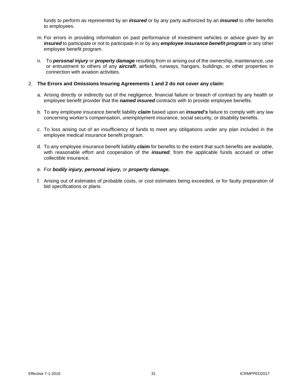funds to perform as represented by an *insured* or by any party authorized by an *insured* to offer benefits to employees.

- m. For errors in providing information on past performance of investment vehicles or advice given by an *insured* to participate or not to participate in or by any *employee insurance benefit program* or any other employee benefit program.
- n. To *personal injury* or *property damage* resulting from or arising out of the ownership, maintenance, use or entrustment to others of any *aircraft*, airfields, runways, hangars, buildings, or other properties in connection with aviation activities.

## 2. **The Errors and Omissions Insuring Agreements 1 and 2 do not cover any** *claim***:**

- a. Arising directly or indirectly out of the negligence, financial failure or breach of contract by any health or employee benefit provider that the *named insured* contracts with to provide employee benefits.
- b. To any employee insurance benefit liability *claim* based upon an *insured's* failure to comply with any law concerning worker's compensation, unemployment insurance, social security, or disability benefits.
- c. To loss arising out of an insufficiency of funds to meet any obligations under any plan included in the employee medical insurance benefit program.
- d. To any employee insurance benefit liability *claim* for benefits to the extent that such benefits are available, with reasonable effort and cooperation of the *insured*, from the applicable funds accrued or other collectible insurance.

## e. For *bodily injury, personal injury,* or *property damage.*

f. Arising out of estimates of probable costs, or cost estimates being exceeded, or for faulty preparation of bid specifications or plans.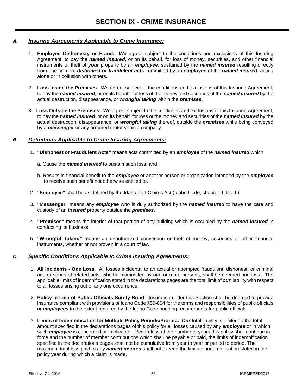## *A. Insuring Agreements Applicable to Crime Insurance:*

- 1. **Employee Dishonesty or Fraud.** *We* agree, subject to the conditions and exclusions of this Insuring Agreement, to pay the *named insured*, or on its behalf, for loss of money, securities, and other financial instruments or theft of *your* property by an *employee*, sustained by the *named insured* resulting directly from one or more *dishonest or fraudulent acts* committed by an *employee* of the *named insured*, acting alone or in collusion with others.
- 2. **Loss Inside the Premises.** *We* agree, subject to the conditions and exclusions of this Insuring Agreement, to pay the *named insured*, or on its behalf, for loss of the money and securities of the *named insured* by the actual destruction, disappearance, or *wrongful taking* within the *premises*.
- 3. **Loss Outside the Premises.** *We* agree, subject to the conditions and exclusions of this Insuring Agreement, to pay the *named insured*, or on its behalf, for loss of the money and securities of the *named insured* by the actual destruction, disappearance, or *wrongful taking* thereof, outside the *premises* while being conveyed by a *messenger* or any armored motor vehicle company.

## *B. Definitions Applicable to Crime Insuring Agreements:*

- 1. **"Dishonest or Fraudulent Acts"** means acts committed by an *employee* of the *named insured* which
	- a. Cause the *named insured* to sustain such loss; and
	- b. Results in financial benefit to the *employee* or another person or organization intended by the *employee* to receive such benefit not otherwise entitled to.
- 2. **"Employee"** shall be as defined by the Idaho Tort Claims Act (Idaho Code, chapter 9, title 6).
- 3. **"Messenger"** means any *employee* who is duly authorized by the *named insured* to have the care and custody of an *insured* property outside the *premises*.
- 4. **"Premises"** means the interior of that portion of any building which is occupied by the *named insured* in conducting its business.
- 5. **"Wrongful Taking"** means an unauthorized conversion or theft of money, securities or other financial instruments, whether or not proven in a court of law.

## *C. Specific Conditions Applicable to Crime Insuring Agreements:*

- 1. **All Incidents One Loss**. All losses incidental to an actual or attempted fraudulent, dishonest, or criminal act, or series of related acts, whether committed by one or more persons, shall be deemed one loss**.** The applicable limits of indemnification stated in the declarations pages are the total limit of *our* liability with respect to all losses arising out of any one occurrence.
- 2. **Policy in Lieu of Public Officials Surety Bond**. Insurance under this Section shall be deemed to provide insurance compliant with provisions of Idaho Code §59-804 for the terms and responsibilities of public officials or *employees* to the extent required by the Idaho Code bonding requirements for public officials**.**
- 3. **Limits of Indemnification for Multiple Policy Periods/Prorata.** *Our* total liability is limited to the total amount specified in the declarations pages of this policy for all losses caused by any *employee* or in which such *employee* is concerned or implicated. Regardless of the number of years this policy shall continue in force and the number of member contributions which shall be payable or paid, the limits of indemnification specified in the declarations pages shall not be cumulative from year to year or period to period. The maximum total loss paid to any *named insured* shall not exceed the limits of indemnification stated in the policy year during which a claim is made.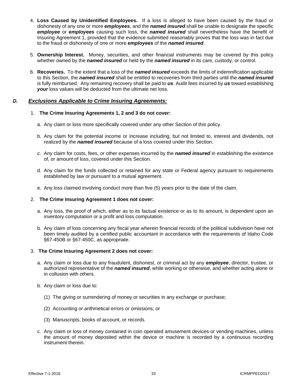- 4. **Loss Caused by Unidentified Employees.** If a loss is alleged to have been caused by the fraud or dishonesty of any one or more *employees*, and the *named insured* shall be unable to designate the specific *employee* or *employees* causing such loss, the *named insured* shall nevertheless have the benefit of Insuring Agreement 1, provided that the evidence submitted reasonably proves that the loss was in fact due to the fraud or dishonesty of one or more *employees* of the *named insured*.
- 5. **Ownership Interest.** Money, securities, and other financial instruments may be covered by this policy whether owned by the *named insured* or held by the *named insured* in its care, custody, or control.
- 6. **Recoveries.** To the extent that a loss of the *named insured* exceeds the limits of indemnification applicable to this Section, the *named insured* shall be entitled to recoveries from third parties until the *named insured* is fully reimbursed. Any remaining recovery shall be paid to *us*. Audit fees incurred by *us* toward establishing *your* loss values will be deducted from the ultimate net loss.

## *D. Exclusions Applicable to Crime Insuring Agreements:*

## 1. **The Crime Insuring Agreements 1, 2 and 3 do not cover:**

- a. Any claim or loss more specifically covered under any other Section of this policy.
- b. Any claim for the potential income or increase including, but not limited to, interest and dividends, not realized by the *named insured* because of a loss covered under this Section.
- c. Any claim for costs, fees, or other expenses incurred by the *named insured* in establishing the existence of, or amount of loss, covered under this Section.
- d. Any claim for the funds collected or retained for any state or Federal agency pursuant to requirements established by law or pursuant to a mutual agreement.
- e. Any loss claimed involving conduct more than five (5) years prior to the date of the claim.

#### 2. **The Crime Insuring Agreement 1 does not cover:**

- a. Any loss, the proof of which, either as to its factual existence or as to its amount, is dependent upon an inventory computation or a profit and loss computation.
- b. Any claim of loss concerning any fiscal year wherein financial records of the political subdivision have not been timely audited by a certified public accountant in accordance with the requirements of Idaho Code §67-450B or §67-450C, as appropriate.

## 3. **The Crime Insuring Agreement 2 does not cover:**

- a. Any claim or loss due to any fraudulent, dishonest, or criminal act by any *employee*, director, trustee, or authorized representative of the *named insured*, while working or otherwise, and whether acting alone or in collusion with others.
- b. Any claim or loss due to:
	- (1) The giving or surrendering of money or securities in any exchange or purchase;
	- (2) Accounting or arithmetical errors or omissions; or
	- (3) Manuscripts, books of account, or records.
- c. Any claim or loss of money contained in coin operated amusement devices or vending machines, unless the amount of money deposited within the device or machine is recorded by a continuous recording instrument therein.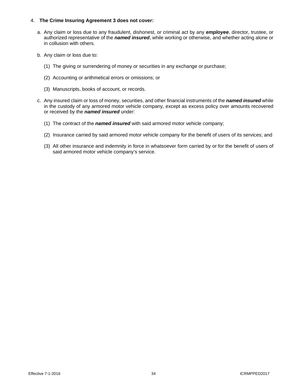## 4. **The Crime Insuring Agreement 3 does not cover:**

- a. Any claim or loss due to any fraudulent, dishonest, or criminal act by any *employee*, director, trustee, or authorized representative of the *named insured*, while working or otherwise, and whether acting alone or in collusion with others.
- b. Any claim or loss due to:
	- (1) The giving or surrendering of money or securities in any exchange or purchase;
	- (2) Accounting or arithmetical errors or omissions; or
	- (3) Manuscripts, books of account, or records.
- c. Any insured claim or loss of money, securities, and other financial instruments of the *named insured* while in the custody of any armored motor vehicle company, except as excess policy over amounts recovered or received by the *named insured* under:
	- (1) The contract of the *named insured* with said armored motor vehicle company;
	- (2) Insurance carried by said armored motor vehicle company for the benefit of users of its services; and
	- (3) All other insurance and indemnity in force in whatsoever form carried by or for the benefit of users of said armored motor vehicle company's service.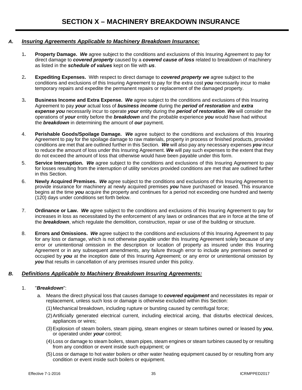## *A. Insuring Agreements Applicable to Machinery Breakdown Insurance:*

1**. Property Damage.** *We* agree subject to the conditions and exclusions of this Insuring Agreement to pay for direct damage to *covered property* caused by a *covered cause of loss* related to breakdown of machinery as listed in the *schedule of values* kept on file with *us*.

- 2**. Expediting Expenses.** With respect to direct damage to *covered property we* agree subject to the conditions and exclusions of this Insuring Agreement to pay for the extra cost *you* necessarily incur to make temporary repairs and expedite the permanent repairs or replacement of the damaged property.
- 3**. Business Income and Extra Expense.** *We* agree subject to the conditions and exclusions of this Insuring Agreement to pay *your* actual loss of *business income* during the *period of restoration* and *extra expense you* necessarily incur to operate *your* entity during the *period of restoration*. *We* will consider the operations of *your* entity before the *breakdown* and the probable experience *you* would have had without the *breakdown* in determining the amount of *our* payment.
- 4. **Perishable Goods/Spoilage Damage.** *We* agree subject to the conditions and exclusions of this Insuring Agreement to pay for the spoilage damage to raw materials, property in process or finished products, provided conditions are met that are outlined further in this Section. *We* will also pay any necessary expenses *you* incur to reduce the amount of loss under this Insuring Agreement. *We* will pay such expenses to the extent that they do not exceed the amount of loss that otherwise would have been payable under this form.
- 5. **Service Interruption.** *We* agree subject to the conditions and exclusions of this Insuring Agreement to pay for losses resulting from the interruption of utility services provided conditions are met that are outlined further in this Section.
- 6. **Newly Acquired Premises.** *We* agree subject to the conditions and exclusions of this Insuring Agreement to provide insurance for machinery at newly acquired premises *you* have purchased or leased. This insurance begins at the time *you* acquire the property and continues for a period not exceeding one hundred and twenty (120) days under conditions set forth below.
- 7. **Ordinance or Law.** *We* agree subject to the conditions and exclusions of this Insuring Agreement to pay for increases in loss as necessitated by the enforcement of any laws or ordinances that are in force at the time of the *breakdown*, which regulate the demolition, construction, repair or use of the building or structure.
- 8. **Errors and Omissions.** *We* agree subject to the conditions and exclusions of this Insuring Agreement to pay for any loss or damage, which is not otherwise payable under this Insuring Agreement solely because of any error or unintentional omission in the description or location of property as insured under this Insuring Agreement or in any subsequent amendments, any failure through error to include any premises owned or occupied by *you* at the inception date of this Insuring Agreement; or any error or unintentional omission by *you* that results in cancellation of any premises insured under this policy.

## *B. Definitions Applicable to Machinery Breakdown Insuring Agreements:*

## 1. "*Breakdown*":

- a. Means the direct physical loss that causes damage to *covered equipment* and necessitates its repair or replacement, unless such loss or damage is otherwise excluded within this Section:
	- (1)Mechanical breakdown, including rupture or bursting caused by centrifugal force;
	- (2)Artificially generated electrical current, including electrical arcing, that disturbs electrical devices, appliances or wires;
	- (3)Explosion of steam boilers, steam piping, steam engines or steam turbines owned or leased by *you*, or operated under *your* control;
	- (4)Loss or damage to steam boilers, steam pipes, steam engines or steam turbines caused by or resulting from any condition or event inside such equipment; or
	- (5)Loss or damage to hot water boilers or other water heating equipment caused by or resulting from any condition or event inside such boilers or equipment.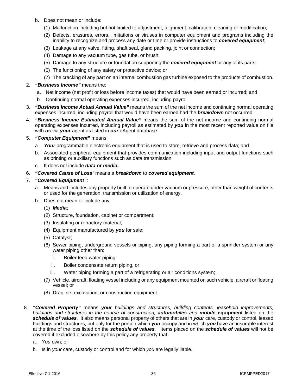- b. Does not mean or include:
	- (1) Malfunction including but not limited to adjustment, alignment, calibration, cleaning or modification;
	- (2) Defects, erasures, errors, limitations or viruses in computer equipment and programs including the inability to recognize and process any date or time or provide instructions to *covered equipment*;
	- (3) Leakage at any valve, fitting, shaft seal, gland packing, joint or connection;
	- (4) Damage to any vacuum tube, gas tube, or brush;
	- (5) Damage to any structure or foundation supporting the *covered equipment* or any of its parts;
	- (6) The functioning of any safety or protective device; or
	- (7) The cracking of any part on an internal combustion gas turbine exposed to the products of combustion.
- 2. *"Business Income"* means the:
	- a. Net income (net profit or loss before income taxes) that would have been earned or incurred; and
	- b.Continuing normal operating expenses incurred, including payroll.
- 3. *"Business Income Actual Annual Value"* means the sum of the net income and continuing normal operating expenses incurred, including payroll that would have been earned had the *breakdown* not occurred.
- 4. *"Business Income Estimated Annual Value"* means the sum of the net income and continuing normal operating expenses incurred, including payroll as estimated by *you* in the most recent reported value on file with *us* via *your* agent as listed in *our* eAgent database.
- 5. *"Computer Equipment"* means:
	- a. *Your* programmable electronic equipment that is used to store, retrieve and process data; and
	- b. Associated peripheral equipment that provides communication including input and output functions such as printing or auxiliary functions such as data transmission.
	- c. It does not include *data* **or** *media***.**
- 6. *"Covered Cause of Loss"* means a *breakdown* to *covered equipment.*
- 7. *"Covered Equipment":*
	- a. Means and includes any property built to operate under vacuum or pressure, other than weight of contents or used for the generation, transmission or utilization of energy.
	- b. Does not mean or include any:
		- (1) *Media*;
		- (2) Structure, foundation, cabinet or compartment;
		- (3) Insulating or refractory material;
		- (4) Equipment manufactured by *you* for sale;
		- (5) Catalyst;
		- (6) Sewer piping, underground vessels or piping, any piping forming a part of a sprinkler system or any water piping other than:
			- i. Boiler feed water piping
			- ii. Boiler condensate return piping, or
			- iii. Water piping forming a part of a refrigerating or air conditions system;
		- (7) Vehicle, aircraft, floating vessel including or any equipment mounted on such vehicle, aircraft or floating vessel; or
		- (8) Dragline, excavation, or construction equipment
- 8. *"Covered Property"* means *your buildings and structures, building contents, leasehold improvements, buildings and structures in the course of construction, automobiles and mobile* **equipment** listed on the *schedule of values.* It also means personal property of others that are in *your* care, custody or control, leased buildings and structures, but only for the portion which *you* occupy and in which *you* have an insurable interest at the time of the loss listed on the *schedule of values*. Items placed on the *schedule of values* will not be covered if excluded elsewhere by this policy any property that:
	- a. *You* own; or
	- b. Is in *your* care, custody or control and for which *you* are legally liable.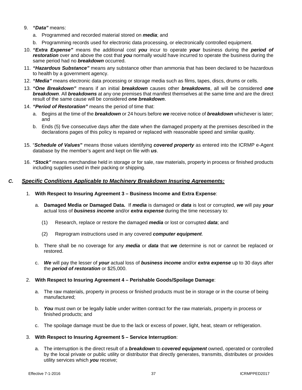## 9. *"Data"* means:

- a. Programmed and recorded material stored on *media*; and
- b. Programming records used for electronic data processing, or electronically controlled equipment.
- 10. *"Extra Expense"* means the additional cost *you* incur to operate *your* business during the *period of restoration* over and above the cost that *you* normally would have incurred to operate the business during the same period had no *breakdown* occurred.
- 11. *"Hazardous Substance"* means any substance other than ammonia that has been declared to be hazardous to health by a government agency.
- 12. *"Media"* means electronic data processing or storage media such as films, tapes, discs, drums or cells.
- 13. *"One Breakdown"* means if an initial *breakdown* causes other *breakdowns*, all will be considered *one breakdown*. All *breakdowns* at any one premises that manifest themselves at the same time and are the direct result of the same cause will be considered *one breakdown*.
- 14. *"Period of Restoration"* means the period of time that:
	- a. Begins at the time of the *breakdown* or 24 hours before *we* receive notice of *breakdown* whichever is later; and
	- b. Ends (5) five consecutive days after the date when the damaged property at the premises described in the declarations pages of this policy is repaired or replaced with reasonable speed and similar quality.
- 15. "*Schedule of Values***"** means those values identifying *covered property* as entered into the ICRMP e-Agent database by the member's agent and kept on file with *us*.
- 16. *"Stock"* means merchandise held in storage or for sale, raw materials, property in process or finished products including supplies used in their packing or shipping.

## *C. Specific Conditions Applicable to Machinery Breakdown Insuring Agreements:*

- 1. **With Respect to Insuring Agreement 3 Business Income and Extra Expense**:
	- a. **Damaged Media or Damaged Data.** If *media* is damaged or *data* is lost or corrupted, *we* will pay *your* actual loss of *business income* and/or *extra expense* during the time necessary to:
		- (1) Research, replace or restore the damaged *media* or lost or corrupted *data*; and
		- (2) Reprogram instructions used in any covered *computer equipment*.
	- b. There shall be no coverage for any *media* or *data* that *we* determine is not or cannot be replaced or restored.
	- c. *We* will pay the lesser of *your* actual loss of *business income* and/or *extra expense* up to 30 days after the *period of restoration* or \$25,000.

## 2. **With Respect to Insuring Agreement 4 – Perishable Goods/Spoilage Damage**:

- a. The raw materials, property in process or finished products must be in storage or in the course of being manufactured;
- b. *You* must own or be legally liable under written contract for the raw materials, property in process or finished products; and
- c. The spoilage damage must be due to the lack or excess of power, light, heat, steam or refrigeration.

## 3. **With Respect to Insuring Agreement 5 – Service Interruption**:

a. The interruption is the direct result of a *breakdown* to *covered equipment* owned, operated or controlled by the local private or public utility or distributor that directly generates, transmits, distributes or provides utility services which *you* receive;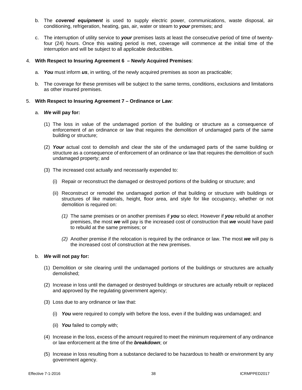- b. The *covered equipment* is used to supply electric power, communications, waste disposal, air conditioning, refrigeration, heating, gas, air, water or steam to *your* premises; and
- c. The interruption of utility service to *your* premises lasts at least the consecutive period of time of twentyfour (24) hours. Once this waiting period is met, coverage will commence at the initial time of the interruption and will be subject to all applicable deductibles.

### 4. **With Respect to Insuring Agreement 6 – Newly Acquired Premises**:

- a. *You* must inform *us*, in writing, of the newly acquired premises as soon as practicable;
- b. The coverage for these premises will be subject to the same terms, conditions, exclusions and limitations as other insured premises.

#### 5. **With Respect to Insuring Agreement 7 – Ordinance or Law**:

#### a. *We* **will pay for:**

- (1) The loss in value of the undamaged portion of the building or structure as a consequence of enforcement of an ordinance or law that requires the demolition of undamaged parts of the same building or structure;
- (2) *Your* actual cost to demolish and clear the site of the undamaged parts of the same building or structure as a consequence of enforcement of an ordinance or law that requires the demolition of such undamaged property; and
- (3) The increased cost actually and necessarily expended to:
	- (i) Repair or reconstruct the damaged or destroyed portions of the building or structure; and
	- (ii) Reconstruct or remodel the undamaged portion of that building or structure with buildings or structures of like materials, height, floor area, and style for like occupancy, whether or not demolition is required on:
		- *(1)* The same premises or on another premises if *you* so elect. However if *you* rebuild at another premises, the most *we* will pay is the increased cost of construction that *we* would have paid to rebuild at the same premises; or
		- *(2)* Another premise if the relocation is required by the ordinance or law. The most *we* will pay is the increased cost of construction at the new premises.

#### b. *We* **will not pay for:**

- (1) Demolition or site clearing until the undamaged portions of the buildings or structures are actually demolished;
- (2) Increase in loss until the damaged or destroyed buildings or structures are actually rebuilt or replaced and approved by the regulating government agency;
- (3) Loss due to any ordinance or law that:
	- (i) *You* were required to comply with before the loss, even if the building was undamaged; and
	- (ii) *You* failed to comply with;
- (4) Increase in the loss, excess of the amount required to meet the minimum requirement of any ordinance or law enforcement at the time of the *breakdown*; or
- (5) Increase in loss resulting from a substance declared to be hazardous to health or environment by any government agency.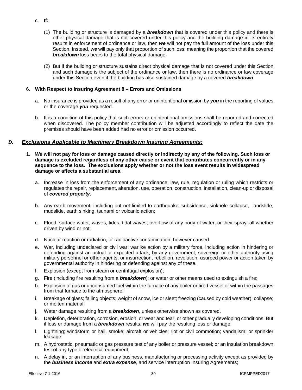- c. **If:**
	- (1) The building or structure is damaged by a *breakdown* that is covered under this policy and there is other physical damage that is not covered under this policy and the building damage in its entirety results in enforcement of ordinance or law, then *we* will not pay the full amount of the loss under this Section. Instead, *we* will pay only that proportion of such loss; meaning the proportion that the covered *breakdown* loss bears to the total physical damage.
	- (2) But if the building or structure sustains direct physical damage that is not covered under this Section and such damage is the subject of the ordinance or law, then there is no ordinance or law coverage under this Section even if the building has also sustained damage by a covered *breakdown*.

## 6. **With Respect to Insuring Agreement 8 – Errors and Omissions**:

- a. No insurance is provided as a result of any error or unintentional omission by *you* in the reporting of values or the coverage *you* requested.
- b. It is a condition of this policy that such errors or unintentional omissions shall be reported and corrected when discovered. The policy member contribution will be adjusted accordingly to reflect the date the premises should have been added had no error or omission occurred.

## *D. Exclusions Applicable to Machinery Breakdown Insuring Agreements:*

- 1. *We* **will not pay for loss or damage caused directly or indirectly by any of the following. Such loss or damage is excluded regardless of any other cause or event that contributes concurrently or in any sequence to the loss. The exclusions apply whether or not the loss event results in widespread damage or affects a substantial area.**
	- a. Increase in loss from the enforcement of any ordinance, law, rule, regulation or ruling which restricts or regulates the repair, replacement, alteration, use, operation, construction, installation, clean-up or disposal of *covered property*.
	- b. Any earth movement, including but not limited to earthquake, subsidence, sinkhole collapse, landslide, mudslide, earth sinking, tsunami or volcanic action;
	- c. Flood, surface water, waves, tides, tidal waves, overflow of any body of water, or their spray, all whether driven by wind or not;
	- d. Nuclear reaction or radiation, or radioactive contamination, however caused.
	- e. War, including undeclared or civil war; warlike action by a military force, including action in hindering or defending against an actual or expected attack, by any government, sovereign or other authority using military personnel or other agents; or insurrection, rebellion, revolution, usurped power or action taken by governmental authority in hindering or defending against any of these.
	- f. Explosion (except from steam or centrifugal explosion);
	- g. Fire (including fire resulting from a *breakdown*); or water or other means used to extinguish a fire;
	- h. Explosion of gas or unconsumed fuel within the furnace of any boiler or fired vessel or within the passages from that furnace to the atmosphere;
	- i. Breakage of glass; falling objects; weight of snow, ice or sleet; freezing (caused by cold weather); collapse; or molten material;
	- j. Water damage resulting from a *breakdown*, unless otherwise shown as covered.
	- k. Depletion, deterioration, corrosion, erosion, or wear and tear, or other gradually developing conditions. But if loss or damage from a *breakdown* results, *we* will pay the resulting loss or damage;
	- l. Lightning; windstorm or hail, smoke; aircraft or vehicles; riot or civil commotion; vandalism; or sprinkler leakage;
	- m. A hydrostatic, pneumatic or gas pressure test of any boiler or pressure vessel; or an insulation breakdown test of any type of electrical equipment;
	- n. A delay in, or an interruption of any business, manufacturing or processing activity except as provided by the *business income* and *extra expense*, and service interruption Insuring Agreements;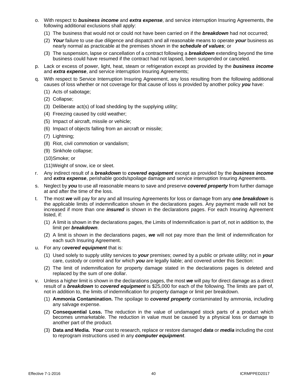- o. With respect to *business income* and *extra expense*, and service interruption Insuring Agreements, the following additional exclusions shall apply:
	- (1) The business that would not or could not have been carried on if the *breakdown* had not occurred;
	- (2) *Your* failure to use due diligence and dispatch and all reasonable means to operate *your* business as nearly normal as practicable at the premises shown in the *schedule of values*; or
	- (3) The suspension, lapse or cancellation of a contract following a *breakdown* extending beyond the time business could have resumed if the contract had not lapsed, been suspended or canceled.
- p. Lack or excess of power, light, heat, steam or refrigeration except as provided by the *business income*  and *extra expense*, and service interruption Insuring Agreements;
- q. With respect to Service Interruption Insuring Agreement, any loss resulting from the following additional causes of loss whether or not coverage for that cause of loss is provided by another policy *you* have:
	- (1) Acts of sabotage;
	- (2) Collapse;
	- (3) Deliberate act(s) of load shedding by the supplying utility;
	- (4) Freezing caused by cold weather;
	- (5) Impact of aircraft, missile or vehicle;
	- (6) Impact of objects falling from an aircraft or missile;
	- (7) Lightning;
	- (8) Riot, civil commotion or vandalism;
	- (9) Sinkhole collapse;
	- (10)Smoke; or
	- (11)Weight of snow, ice or sleet.
- r. Any indirect result of a *breakdown* to *covered equipment* except as provided by the *business income*  and *extra expense*, perishable goods/spoilage damage and service interruption Insuring Agreements.
- s. Neglect by *you* to use all reasonable means to save and preserve *covered property* from further damage at and after the time of the loss.
- t. The most *we* will pay for any and all Insuring Agreements for loss or damage from any *one breakdown* is the applicable limits of indemnification shown in the declarations pages. Any payment made will not be increased if more than one *insured* is shown in the declarations pages. For each Insuring Agreement listed, if:
	- (1) A limit is shown in the declarations pages, the Limits of Indemnification is part of, not in addition to, the limit per *breakdown*.
	- (2) A limit is shown in the declarations pages, *we* will not pay more than the limit of indemnification for each such Insuring Agreement.
- u. For any c*overed equipment* that is:
	- (1) Used solely to supply utility services to *your* premises; owned by a public or private utility; not in *your* care, custody or control and for which *you* are legally liable; and covered under this Section:
	- (2) The limit of indemnification for property damage stated in the declarations pages is deleted and replaced by the sum of one dollar.
- v. Unless a higher limit is shown in the declarations pages, the most *we* will pay for direct damage as a direct result of a *breakdown* to *covered equipment* is \$25,000 for each of the following. The limits are part of, not in addition to, the limits of indemnification for property damage or limit per breakdown.
	- (1) **Ammonia Contamination.** The spoilage to *covered property* contaminated by ammonia, including any salvage expense.
	- (2) **Consequential Loss.** The reduction in the value of undamaged stock parts of a product which becomes unmarketable. The reduction in value must be caused by a physical loss or damage to another part of the product.
	- (3) **Data and Media.** *Your* cost to research, replace or restore damaged *data* or *media* including the cost to reprogram instructions used in any *computer equipment*.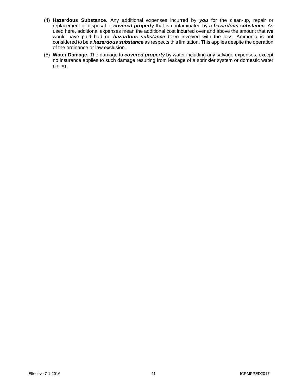- (4) **Hazardous Substance.** Any additional expenses incurred by *you* for the clean-up, repair or replacement or disposal of *covered property* that is contaminated by a *hazardous substance*. As used here, additional expenses mean the additional cost incurred over and above the amount that *we* would have paid had no *hazardous substance* been involved with the loss. Ammonia is not considered to be a *hazardous substance* as respects this limitation. This applies despite the operation of the ordinance or law exclusion.
- (5) **Water Damage.** The damage to *covered property* by water including any salvage expenses, except no insurance applies to such damage resulting from leakage of a sprinkler system or domestic water piping.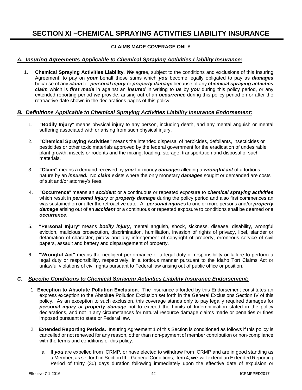# **SECTION XI –CHEMICAL SPRAYING ACTIVITIES LIABILITY INSURANCE**

## **CLAIMS MADE COVERAGE ONLY**

## *A. Insuring Agreements Applicable to Chemical Spraying Activities Liability Insurance:*

1. **Chemical Spraying Activities Liability***. We* agree, subject to the conditions and exclusions of this Insuring Agreement, to pay on *your* behalf those sums which *you* become legally obligated to pay as *damages* because of any *claim* for *personal injury* or *property damage* because of any *chemical spraying activities claim* which is *first made* in against an *insured* in writing to *us* by *you* during this policy period, or any extended reporting period *we* provide, arising out of an *occurrence* during this policy period on or after the retroactive date shown in the declarations pages of this policy.

## *B. Definitions Applicable to Chemical Spraying Activities Liability Insurance Endorsement:*

- 1. **"Bodily Injury**" means physical injury to any person, including death, and any mental anguish or mental suffering associated with or arising from such physical injury.
- 2. **"Chemical Spraying Activities"** means the intended dispersal of herbicides, defoliants, insecticides or pesticides or other toxic materials approved by the federal government for the eradication of undesirable plant growth, insects or rodents and the mixing, loading, storage, transportation and disposal of such materials.
- 3. **"Claim"** means a demand received by *you* for money *damages* alleging a *wrongful act* of a tortious nature by an *insured.* No *claim* exists where the only monetary *damages* sought or demanded are costs of suit and/or attorney's fees.
- 4. **"Occurrence**" means an *accident* or a continuous or repeated exposure to *chemical spraying activities* which result in *personal injury* or *property damage* during the policy period and also first commences an was sustained on or after the retroactive date. All *personal injuries* to one or more persons and/or *property damage* arising out of an *accident* or a continuous or repeated exposure to conditions shall be deemed one *occurrence*.
- 5. **"Personal Injury**" means *bodily injury*, mental anguish, shock, sickness, disease, disability, wrongful eviction, malicious prosecution, discrimination, humiliation, invasion of rights of privacy, libel, slander or defamation of character, piracy and any infringement of copyright of property, erroneous service of civil papers, assault and battery and disparagement of property.
- 6. **"Wrongful Act"** means the negligent performance of a legal duty or responsibility or failure to perform a legal duty or responsibility, respectively, in a tortious manner pursuant to the Idaho Tort Claims Act or unlawful violations of civil rights pursuant to Federal law arising out of public office or position.

## *C. Specific Conditions to Chemical Spraying Activities Liability Insurance Endorsement:*

- 1. **Exception to Absolute Pollution Exclusion.** The insurance afforded by this Endorsement constitutes an express exception to the Absolute Pollution Exclusion set forth in the General Exclusions Section IV of this policy. As an exception to such exclusion, this coverage stands only to pay legally required damages for *personal injury or property damage* not to exceed the Limits of Indemnification stated in the policy declarations, and not in any circumstances for natural resource damage claims made or penalties or fines imposed pursuant to state or Federal law.
- 2. **Extended Reporting Periods.** Insuring Agreement 1 of this Section is conditioned as follows if this policy is cancelled or not renewed for any reason, other than non-payment of member contribution or non-compliance with the terms and conditions of this policy:
	- a. If *you* are expelled from ICRMP*,* or have elected to withdraw from ICRMP and are in good standing as a Member, as set forth in Section III – General Conditions, Item 4, *we* will extend an Extended Reporting Period of thirty (30) days duration following immediately upon the effective date of expulsion or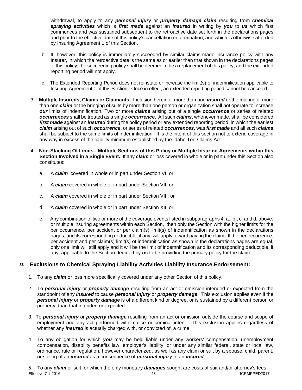withdrawal, to apply to any *personal injury* or *property damage claim* resulting from *chemical spraying activities* which is *first made* against an *insured* in writing by *you* to *us* which first commences and was sustained subsequent to the retroactive date set forth in the declarations pages and prior to the effective date of this policy's cancellation or termination, and which is otherwise afforded by Insuring Agreement 1 of this Section.

- b. If, however, this policy is immediately succeeded by similar claims-made insurance policy with any Insurer, in which the retroactive date is the same as or earlier than that shown in the declarations pages of this policy, the succeeding policy shall be deemed to be a replacement of this policy, and the extended reporting period will not apply.
- c. The Extended Reporting Period does not reinstate or increase the limit(s) of indemnification applicable to Insuring Agreement 1 of this Section. Once in effect, an extended reporting period cannot be canceled.
- 3. **Multiple Insureds, Claims or Claimants.** Inclusion herein of more than one *insured* or the making of more than one *claim* or the bringing of suits by more than one person or organization shall not operate to increase *our* limits of indemnification. Two or more *claims* arising out of a single *occurrence* or series of related *occurrences* shall be treated as a single *occurrence*. All such *claims*, whenever made, shall be considered *first made* against an *insured* during the policy period or any extended reporting period, in which the earliest *claim* arising out of such *occurrence*, or series of related *occurrences*, was *first made* and all such *claims* shall be subject to the same limits of indemnification. It is the intent of this section not to extend coverage in any way in excess of the liability minimum established by the Idaho Tort Claims Act.
- 4. **Non-Stacking Of Limits Multiple Sections of this Policy or Multiple Insuring Agreements within this Section Involved in a Single Event.** If any *claim* or loss covered in whole or in part under this Section also constitutes:
	- a. A *claim* covered in whole or in part under Section VI; or
	- b. A *claim* covered in whole or in part under Section VII; or
	- c. A *claim* covered in whole or in part under Section VIII; or
	- d. A *claim* covered in whole or in part under Section XII; or
	- e. Any combination of two or more of the coverage events listed in subparagraphs 4. a., b., c. and d. above, or multiple insuring agreements within each Section, then only the Section with the higher limits for the per occurrence, per accident or per claim(s) limit(s) of indemnification as shown in the declarations pages, and its corresponding deductible, if any, will apply toward paying the claim. If the per occurrence, per accident and per claim(s) limit(s) of indemnification as shown in the declarations pages are equal, only one limit will still apply and it will be the limit of indemnification and its corresponding deductible, if any, applicable to the Section deemed by *us* to be providing the primary policy for the claim.

## *D.* **Exclusions to Chemical Spraying Liability Activities Liability Insurance Endorsement:**

- 1. To any *claim* or loss more specifically covered under any other Section of this policy.
- 2. To *personal injury* or *property damage* resulting from an act or omission intended or expected from the standpoint of any *insured* to cause *personal injury* or *property damage*. This exclusion applies even if the *personal injury* or *property damage* is of a different kind or degree, or is sustained by a different person or property, than that intended or expected.
- 3. To *personal injury* or *property damage* resulting from an act or omission outside the course and scope of employment and any act performed with malice or criminal intent. This exclusion applies regardless of whether any *insured* is actually charged with, or convicted of, a crime.
- 4. To any obligation for which *you* may be held liable under any workers' compensation, unemployment compensation, disability benefits law, employer's liability, or under any similar federal, state or local law, ordinance, rule or regulation, however characterized, as well as any claim or suit by a spouse, child, parent, or sibling of an *insured* as a consequence of *personal injury* to an *insured*.

5. To any *claim* or suit for which the only monetary *damages* sought are costs of suit and/or attorney's fees. Effective  $7-1-2016$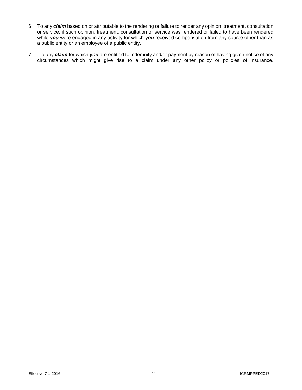- 6. To any *claim* based on or attributable to the rendering or failure to render any opinion, treatment, consultation or service, if such opinion, treatment, consultation or service was rendered or failed to have been rendered while *you* were engaged in any activity for which *you* received compensation from any source other than as a public entity or an employee of a public entity.
- 7. To any *claim* for which *you* are entitled to indemnity and/or payment by reason of having given notice of any circumstances which might give rise to a claim under any other policy or policies of insurance.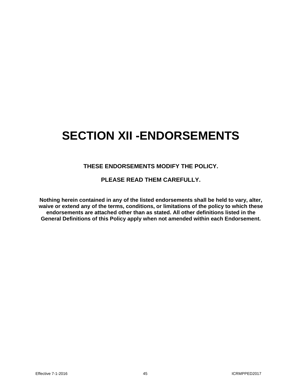# **SECTION XII -ENDORSEMENTS**

## **THESE ENDORSEMENTS MODIFY THE POLICY.**

## **PLEASE READ THEM CAREFULLY.**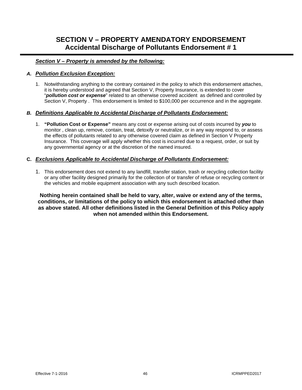# **SECTION V – PROPERTY AMENDATORY ENDORSEMENT Accidental Discharge of Pollutants Endorsement # 1**

## *Section V – Property is amended by the following:*

## *A. Pollution Exclusion Exception:*

1. Notwithstanding anything to the contrary contained in the policy to which this endorsement attaches, it is hereby understood and agreed that Section V, Property Insurance, is extended to cover "*pollution cost or expense*" related to an otherwise covered accident as defined and controlled by Section V, Property . This endorsement is limited to \$100,000 per occurrence and in the aggregate.

## *B. Definitions Applicable to Accidental Discharge of Pollutants Endorsement:*

1. **"Pollution Cost or Expense"** means any cost or expense arising out of costs incurred by *you* to monitor , clean up, remove, contain, treat, detoxify or neutralize, or in any way respond to, or assess the effects of pollutants related to any otherwise covered claim as defined in Section V Property Insurance. This coverage will apply whether this cost is incurred due to a request, order, or suit by any governmental agency or at the discretion of the named insured.

## **C.** *Exclusions Applicable to Accidental Discharge of Pollutants Endorsement:*

1. This endorsement does not extend to any landfill, transfer station, trash or recycling collection facility or any other facility designed primarily for the collection of or transfer of refuse or recycling content or the vehicles and mobile equipment association with any such described location.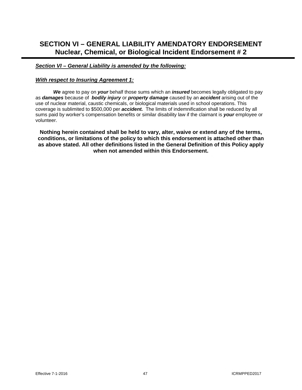# **SECTION VI – GENERAL LIABILITY AMENDATORY ENDORSEMENT Nuclear, Chemical, or Biological Incident Endorsement # 2**

## *Section VI – General Liability is amended by the following:*

## *With respect to Insuring Agreement 1:*

*We* agree to pay on *your* behalf those sums which an *insured* becomes legally obligated to pay as *damages* because of *bodily injury* or *property damage* caused by an *accident* arising out of the use of nuclear material, caustic chemicals, or biological materials used in school operations. This coverage is sublimited to \$500,000 per *accident.* The limits of indemnification shall be reduced by all sums paid by worker's compensation benefits or similar disability law if the claimant is *your* employee or volunteer.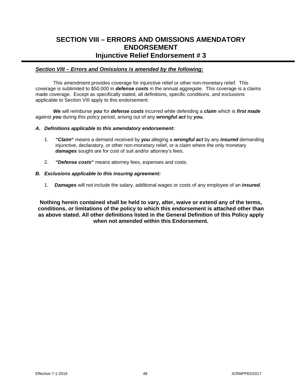## **SECTION VIII – ERRORS AND OMISSIONS AMENDATORY ENDORSEMENT Injunctive Relief Endorsement # 3**

## *Section VIII – Errors and Omissions is amended by the following:*

This amendment provides coverage for injunctive relief or other non-monetary relief. This coverage is sublimited to \$50,000 in *defense costs* in the annual aggregate. This coverage is a claims made coverage. Except as specifically stated, all definitions, specific conditions, and exclusions applicable to Section VIII apply to this endorsement.

*We* will reimburse *you* for *defense costs* incurred while defending a *claim* which is *first made* against *you* during this policy period, arising out of any *wrongful act* by *you.*

## *A. Definitions applicable to this amendatory endorsement:*

- 1. *"Claim***"** means a demand received by *you* alleging a *wrongful act* by any *insured* demanding injunctive, declaratory, or other non-monetary relief, or a claim where the only monetary *damages* sought are for cost of suit and/or attorney's fees.
- 2. *"Defense costs***"** means attorney fees, expenses and costs.

## *B. Exclusions applicable to this insuring agreement:*

1. *Damages* will not include the salary, additional wages or costs of any employee of an *insured*.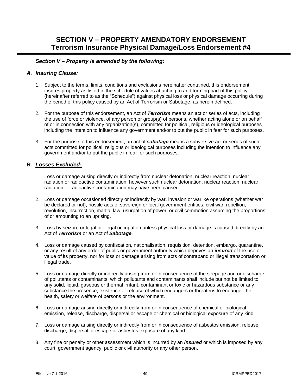# **SECTION V – PROPERTY AMENDATORY ENDORSEMENT Terrorism Insurance Physical Damage/Loss Endorsement #4**

## *Section V – Property is amended by the following:*

## *A. Insuring Clause:*

- 1. Subject to the terms, limits, conditions and exclusions hereinafter contained, this endorsement insures property as listed in the schedule of values attaching to and forming part of this policy (hereinafter referred to as the "Schedule") against physical loss or physical damage occurring during the period of this policy caused by an Act of Terrorism or Sabotage, as herein defined.
- 2. For the purpose of this endorsement, an Act of *Terrorism* means an act or series of acts, including the use of force or violence, of any person or group(s) of persons, whether acting alone or on behalf of or in connection with any organization(s), committed for political, religious or ideological purposes including the intention to influence any government and/or to put the public in fear for such purposes.
- 3. For the purpose of this endorsement, an act of *sabotage* means a subversive act or series of such acts committed for political, religious or ideological purposes including the intention to influence any government and/or to put the public in fear for such purposes.

## *B. Losses Excluded:*

- 1. Loss or damage arising directly or indirectly from nuclear detonation, nuclear reaction, nuclear radiation or radioactive contamination, however such nuclear detonation, nuclear reaction, nuclear radiation or radioactive contamination may have been caused.
- 2. Loss or damage occasioned directly or indirectly by war, invasion or warlike operations (whether war be declared or not), hostile acts of sovereign or local government entities, civil war, rebellion, revolution, insurrection, martial law, usurpation of power, or civil commotion assuming the proportions of or amounting to an uprising.
- 3. Loss by seizure or legal or illegal occupation unless physical loss or damage is caused directly by an Act of *Terrorism* or an Act of *Sabotage*.
- 4. Loss or damage caused by confiscation, nationalisation, requisition, detention, embargo, quarantine, or any result of any order of public or government authority which deprives an *insured* of the use or value of its property, nor for loss or damage arising from acts of contraband or illegal transportation or illegal trade.
- 5. Loss or damage directly or indirectly arising from or in consequence of the seepage and or discharge of pollutants or contaminants, which pollutants and contaminants shall include but not be limited to any solid, liquid, gaseous or thermal irritant, contaminant or toxic or hazardous substance or any substance the presence, existence or release of which endangers or threatens to endanger the health, safety or welfare of persons or the environment.
- 6. Loss or damage arising directly or indirectly from or in consequence of chemical or biological emission, release, discharge, dispersal or escape or chemical or biological exposure of any kind.
- 7. Loss or damage arising directly or indirectly from or in consequence of asbestos emission, release, discharge, dispersal or escape or asbestos exposure of any kind.
- 8. Any fine or penalty or other assessment which is incurred by an *insured* or which is imposed by any court, government agency, public or civil authority or any other person.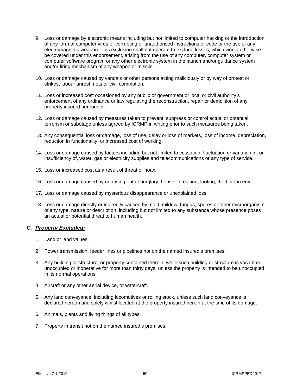- 9. Loss or damage by electronic means including but not limited to computer hacking or the introduction of any form of computer virus or corrupting or unauthorised instructions or code or the use of any electromagnetic weapon. This exclusion shall not operate to exclude losses, which would otherwise be covered under this endorsement, arising from the use of any computer, computer system or computer software program or any other electronic system in the launch and/or guidance system and/or firing mechanism of any weapon or missile.
- 10. Loss or damage caused by vandals or other persons acting maliciously or by way of protest or strikes, labour unrest, riots or civil commotion.
- 11. Loss or increased cost occasioned by any public or government or local or civil authority's enforcement of any ordinance or law regulating the reconstruction, repair or demolition of any property insured hereunder.
- 12. Loss or damage caused by measures taken to prevent, suppress or control actual or potential terrorism or sabotage unless agreed by ICRMP in writing prior to such measures being taken.
- 13. Any consequential loss or damage, loss of use, delay or loss of markets, loss of income, depreciation, reduction in functionality, or increased cost of working.
- 14. Loss or damage caused by factors including but not limited to cessation, fluctuation or variation in, or insufficiency of, water, gas or electricity supplies and telecommunications or any type of service.
- 15. Loss or increased cost as a result of threat or hoax.
- 16. Loss or damage caused by or arising out of burglary, house breaking, looting, theft or larceny.
- 17. Loss or damage caused by mysterious disappearance or unexplained loss.
- 18. Loss or damage directly or indirectly caused by mold, mildew, fungus, spores or other microorganism of any type, nature or description, including but not limited to any substance whose presence poses an actual or potential threat to human health.

## *C. Property Excluded:*

- 1. Land or land values.
- 2. Power transmission, feeder lines or pipelines not on the named insured's premises.
- 3. Any building or structure, or property contained therein, while such building or structure is vacant or unoccupied or inoperative for more than thirty days, unless the property is intended to be unoccupied in its normal operations.
- 4. Aircraft or any other aerial device, or watercraft.
- 5. Any land conveyance, including locomotives or rolling stock, unless such land conveyance is declared hereon and solely whilst located at the property insured herein at the time of its damage.
- 6. Animals, plants and living things of all types.
- 7. Property in transit not on the named insured's premises.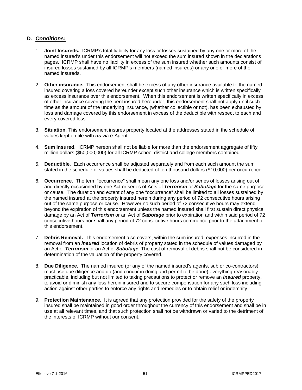## *D. Conditions:*

- 1. **Joint Insureds.** ICRMP's total liability for any loss or losses sustained by any one or more of the named insured's under this endorsement will not exceed the sum insured shown in the declarations pages. ICRMP shall have no liability in excess of the sum insured whether such amounts consist of insured losses sustained by all ICRMP's members (named insureds) or any one or more of the named insureds.
- 2. **Other insurance.** This endorsement shall be excess of any other insurance available to the named insured covering a loss covered hereunder except such other insurance which is written specifically as excess insurance over this endorsement. When this endorsement is written specifically in excess of other insurance covering the peril insured hereunder, this endorsement shall not apply until such time as the amount of the underlying insurance, (whether collectible or not), has been exhausted by loss and damage covered by this endorsement in excess of the deductible with respect to each and every covered loss.
- 3. **Situation**. This endorsement insures property located at the addresses stated in the schedule of values kept on file with *us* via e-Agent.
- 4. **Sum Insured**. ICRMP hereon shall not be liable for more than the endorsement aggregate of fifty million dollars (\$50,000,000) for all ICRMP school district and college members combined.
- 5. **Deductible**. Each occurrence shall be adjusted separately and from each such amount the sum stated in the schedule of values shall be deducted of ten thousand dollars (\$10,000) per occurrence.
- 6. **Occurrence**. The term "occurrence" shall mean any one loss and/or series of losses arising out of and directly occasioned by one Act or series of Acts of *Terrorism* or *Sabotage* for the same purpose or cause. The duration and extent of any one "occurrence" shall be limited to all losses sustained by the named insured at the property insured herein during any period of 72 consecutive hours arising out of the same purpose or cause. However no such period of 72 consecutive hours may extend beyond the expiration of this endorsement unless the named insured shall first sustain direct physical damage by an Act of *Terrorism* or an Act of *Sabotage* prior to expiration and within said period of 72 consecutive hours nor shall any period of 72 consecutive hours commence prior to the attachment of this endorsement.
- 7. **Debris Removal.** This endorsement also covers, within the sum insured, expenses incurred in the removal from an *insured* location of debris of property stated in the schedule of values damaged by an Act of *Terrorism* or an Act of *Sabotage*. The cost of removal of debris shall not be considered in determination of the valuation of the property covered.
- 8. **Due Diligence.** The named insured (or any of the named insured's agents, sub or co-contractors) must use due diligence and do (and concur in doing and permit to be done) everything reasonably practicable, including but not limited to taking precautions to protect or remove an *insured* property, to avoid or diminish any loss herein insured and to secure compensation for any such loss including action against other parties to enforce any rights and remedies or to obtain relief or indemnity.
- 9. **Protection Maintenance.** It is agreed that any protection provided for the safety of the property insured shall be maintained in good order throughout the currency of this endorsement and shall be in use at all relevant times, and that such protection shall not be withdrawn or varied to the detriment of the interests of ICRMP without our consent.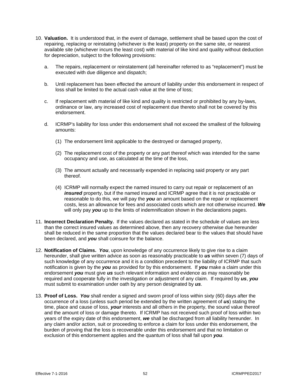- 10. **Valuation.** It is understood that, in the event of damage, settlement shall be based upon the cost of repairing, replacing or reinstating (whichever is the least) property on the same site, or nearest available site (whichever incurs the least cost) with material of like kind and quality without deduction for depreciation, subject to the following provisions:
	- a. The repairs, replacement or reinstatement (all hereinafter referred to as "replacement") must be executed with due diligence and dispatch;
	- b. Until replacement has been effected the amount of liability under this endorsement in respect of loss shall be limited to the actual cash value at the time of loss;
	- c. If replacement with material of like kind and quality is restricted or prohibited by any by-laws, ordinance or law, any increased cost of replacement due thereto shall not be covered by this endorsement.
	- d. ICRMP's liability for loss under this endorsement shall not exceed the smallest of the following amounts:
		- (1) The endorsement limit applicable to the destroyed or damaged property,
		- (2) The replacement cost of the property or any part thereof which was intended for the same occupancy and use, as calculated at the time of the loss,
		- (3) The amount actually and necessarily expended in replacing said property or any part thereof.
		- (4) ICRMP will normally expect the named insured to carry out repair or replacement of an *insured* property, but if the named insured and ICRMP agree that it is not practicable or reasonable to do this, we will pay the *you* an amount based on the repair or replacement costs, less an allowance for fees and associated costs which are not otherwise incurred. *We* will only pay *you* up to the limits of indemnification shown in the declarations pages.
- 11. **Incorrect Declaration Penalty.** If the values declared as stated in the schedule of values are less than the correct insured values as determined above, then any recovery otherwise due hereunder shall be reduced in the same proportion that the values declared bear to the values that should have been declared, and *you* shall coinsure for the balance.
- 12. **Notification of Claims.** *You*, upon knowledge of any occurrence likely to give rise to a claim hereunder, shall give written advice as soon as reasonably practicable to *us* within seven (7) days of such knowledge of any occurrence and it is a condition precedent to the liability of ICRMP that such notification is given by the *you* as provided for by this endorsement. If *you* make a claim under this endorsement *you* must give *us* such relevant information and evidence as may reasonably be required and cooperate fully in the investigation or adjustment of any claim. If required by *us*, *you* must submit to examination under oath by any person designated by *us*.
- 13. **Proof of Loss.** *You* shall render a signed and sworn proof of loss within sixty (60) days after the occurrence of a loss (unless such period be extended by the written agreement of *us*) stating the time, place and cause of loss, *your* interests and all others in the property, the sound value thereof and the amount of loss or damage thereto. If ICRMP has not received such proof of loss within two years of the expiry date of this endorsement, *we* shall be discharged from all liability hereunder. In any claim and/or action, suit or proceeding to enforce a claim for loss under this endorsement, the burden of proving that the loss is recoverable under this endorsement and that no limitation or exclusion of this endorsement applies and the quantum of loss shall fall upon *you*.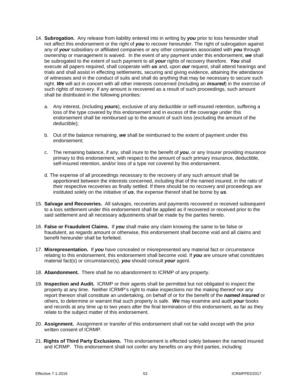- 14. **Subrogation.** Any release from liability entered into in writing by *you* prior to loss hereunder shall not affect this endorsement or the right of *you* to recover hereunder. The right of subrogation against any of *your* subsidiary or affiliated companies or any other companies associated with *you* through ownership or management is waived. In the event of any payment under this endorsement, *we* shall be subrogated to the extent of such payment to all *your* rights of recovery therefore. *You* shall execute all papers required, shall cooperate with *us* and, upon *our* request, shall attend hearings and trials and shall assist in effecting settlements, securing and giving evidence, attaining the attendance of witnesses and in the conduct of suits and shall do anything that may be necessary to secure such right. *We* will act in concert with all other interests concerned (including an *insured*) in the exercise of such rights of recovery. If any amount is recovered as a result of such proceedings, such amount shall be distributed in the following priorities:
	- a. Any interest, (including *yours*), exclusive of any deductible or self-insured retention, suffering a loss of the type covered by this endorsement and in excess of the coverage under this endorsement shall be reimbursed up to the amount of such loss (excluding the amount of the deductible);
	- b. Out of the balance remaining, *we* shall be reimbursed to the extent of payment under this endorsement;
	- c. The remaining balance, if any, shall inure to the benefit of *you*, or any Insurer providing insurance primary to this endorsement, with respect to the amount of such primary insurance, deductible, self-insured retention, and/or loss of a type not covered by this endorsement.
	- d. The expense of all proceedings necessary to the recovery of any such amount shall be apportioned between the interests concerned, including that of the named insured, in the ratio of their respective recoveries as finally settled. If there should be no recovery and proceedings are instituted solely on the initiative of *us*, the expense thereof shall be borne by *us*.
- 15. **Salvage and Recoveries.** All salvages, recoveries and payments recovered or received subsequent to a loss settlement under this endorsement shall be applied as if recovered or received prior to the said settlement and all necessary adjustments shall be made by the parties hereto.
- 16. **False or Fraudulent Claims.** If *you* shall make any claim knowing the same to be false or fraudulent, as regards amount or otherwise, this endorsement shall become void and all claims and benefit hereunder shall be forfeited.
- 17. **Misrepresentation.** If *you* have concealed or misrepresented any material fact or circumstance relating to this endorsement, this endorsement shall become void. If *you* are unsure what constitutes material fact(s) or circumstance(s), *you* should consult *your* agent.
- 18. **Abandonment.** There shall be no abandonment to ICRMP of any property.
- 19. **Inspection and Audit.** ICRMP or their agents shall be permitted but not obligated to inspect the property at any time. Neither ICRMP's right to make inspections nor the making thereof nor any report thereon shall constitute an undertaking, on behalf of or for the benefit of the *named insured* or others, to determine or warrant that such property is safe. *We* may examine and audit *your* books and records at any time up to two years after the final termination of this endorsement, as far as they relate to the subject matter of this endorsement.
- 20. **Assignment.** Assignment or transfer of this endorsement shall not be valid except with the prior written consent of ICRMP.
- 21. **Rights of Third Party Exclusions.** This endorsement is effected solely between the named insured and ICRMP. This endorsement shall not confer any benefits on any third parties, including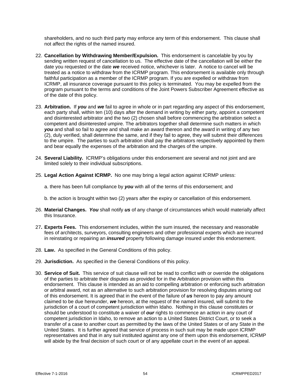shareholders, and no such third party may enforce any term of this endorsement. This clause shall not affect the rights of the named insured.

- 22. **Cancellation by Withdrawing Member/Expulsion.** This endorsement is cancelable by you by sending written request of cancellation to us. The effective date of the cancellation will be either the date you requested or the date *we* received notice, whichever is later. A notice to cancel will be treated as a notice to withdraw from the ICRMP program. This endorsement is available only through faithful participation as a member of the ICRMP program. If you are expelled or withdraw from ICRMP, all insurance coverage pursuant to this policy is terminated. You may be expelled from the program pursuant to the terms and conditions of the Joint Powers Subscriber Agreement effective as of the date of this policy.
- 23. **Arbitration.** If *you* and *we* fail to agree in whole or in part regarding any aspect of this endorsement, each party shall, within ten (10) days after the demand in writing by either party, appoint a competent and disinterested arbitrator and the two (2) chosen shall before commencing the arbitration select a competent and disinterested umpire. The arbitrators together shall determine such matters in which *you* and shall so fail to agree and shall make an award thereon and the award in writing of any two (2), duly verified, shall determine the same, and if they fail to agree, they will submit their differences to the umpire. The parties to such arbitration shall pay the arbitrators respectively appointed by them and bear equally the expenses of the arbitration and the charges of the umpire.
- 24. **Several Liability.** ICRMP's obligations under this endorsement are several and not joint and are limited solely to their individual subscriptions.
- 25. **Legal Action Against ICRMP.** No one may bring a legal action against ICRMP unless:
	- a. there has been full compliance by *you* with all of the terms of this endorsement; and
	- b. the action is brought within two (2) years after the expiry or cancellation of this endorsement.
- 26. **Material Changes.** *You* shall notify *us* of any change of circumstances which would materially affect this Insurance.
- 27**. Experts Fees.** This endorsement includes, within the sum insured, the necessary and reasonable fees of architects, surveyors, consulting engineers and other professional experts which are incurred in reinstating or repairing an *insured* property following damage insured under this endorsement.
- 28. **Law.** As specified in the General Conditions of this policy.
- 29. **Jurisdiction.** As specified in the General Conditions of this policy.
- 30. **Service of Suit.** This service of suit clause will not be read to conflict with or override the obligations of the parties to arbitrate their disputes as provided for in the Arbitration provision within this endorsement. This clause is intended as an aid to compelling arbitration or enforcing such arbitration or arbitral award, not as an alternative to such arbitration provision for resolving disputes arising out of this endorsement. It is agreed that in the event of the failure of *us* hereon to pay any amount claimed to be due hereunder, *we* hereon, at the request of the named insured, will submit to the jurisdiction of a court of competent jurisdiction within Idaho. Nothing in this clause constitutes or should be understood to constitute a waiver of *our* rights to commence an action in any court of competent jurisdiction in Idaho, to remove an action to a United States District Court, or to seek a transfer of a case to another court as permitted by the laws of the United States or of any State in the United States. It is further agreed that service of process in such suit may be made upon ICRMP representatives and that in any suit instituted against any one of them upon this endorsement, ICRMP will abide by the final decision of such court or of any appellate court in the event of an appeal.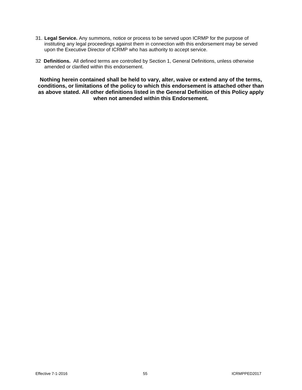- 31. **Legal Service.** Any summons, notice or process to be served upon ICRMP for the purpose of instituting any legal proceedings against them in connection with this endorsement may be served upon the Executive Director of ICRMP who has authority to accept service.
- 32 **Definitions.** All defined terms are controlled by Section 1, General Definitions, unless otherwise amended or clarified within this endorsement.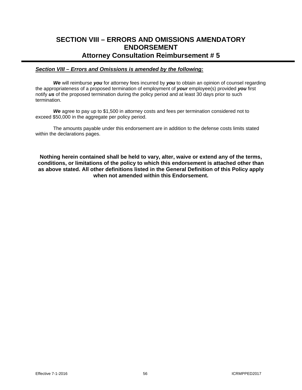## **SECTION VIII – ERRORS AND OMISSIONS AMENDATORY ENDORSEMENT Attorney Consultation Reimbursement # 5**

## *Section VIII – Errors and Omissions is amended by the following:*

*We* will reimburse *you* for attorney fees incurred by *you* to obtain an opinion of counsel regarding the appropriateness of a proposed termination of employment of *your* employee(s) provided *you* first notify *us* of the proposed termination during the policy period and at least 30 days prior to such termination.

We agree to pay up to \$1,500 in attorney costs and fees per termination considered not to exceed \$50,000 in the aggregate per policy period.

The amounts payable under this endorsement are in addition to the defense costs limits stated within the declarations pages.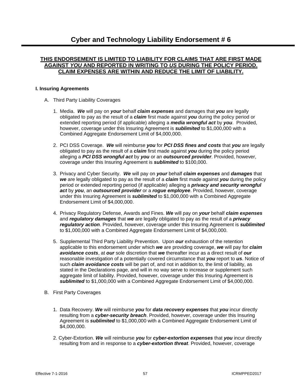## **THIS ENDORSEMENT IS LIMITED TO LIABILITY FOR CLAIMS THAT ARE FIRST MADE AGAINST** *YOU* **AND REPORTED IN WRITING TO** *US* **DURING THE POLICY PERIOD. CLAIM EXPENSES ARE WITHIN AND REDUCE THE LIMIT OF LIABILITY.**

## **I. Insuring Agreements**

- A. Third Party Liability Coverages
	- 1. Media. *We* will pay on *your* behalf *claim expenses* and damages that *you* are legally obligated to pay as the result of a *claim* first made against *you* during the policy period or extended reporting period (if applicable) alleging a *media wrongful act* by *you*. Provided, however, coverage under this Insuring Agreement is *sublimited* to \$1,000,000 with a Combined Aggregate Endorsement Limit of \$4,000,000.
	- 2. PCI DSS Coverage. *We* will reimburse *you* for *PCI DSS fines and costs* that *you* are legally obligated to pay as the result of a *claim* first made against *you* during the policy period alleging a *PCI DSS wrongful act* by *you* or an *outsourced provider*. Provided, however, coverage under this Insuring Agreement is *sublimited* to \$100,000.
	- 3. Privacy and Cyber Security. *We* will pay on *your* behalf *claim expenses* and *damages* that *we* are legally obligated to pay as the result of a *claim* first made against *you* during the policy period or extended reporting period (if applicable) alleging a *privacy and security wrongful act* by *you*, an *outsourced provider* or a *rogue employee*. Provided, however, coverage under this Insuring Agreement is *sublimited* to \$1,000,000 with a Combined Aggregate Endorsement Limit of \$4,000,000.
	- 4. Privacy Regulatory Defense, Awards and Fines. *We* will pay on *your* behalf *claim expenses* and *regulatory damages* that *we* are legally obligated to pay as the result of a *privacy regulatory action*. Provided, however, coverage under this Insuring Agreement is *sublimited* to \$1,000,000 with a Combined Aggregate Endorsement Limit of \$4,000,000.
	- 5. Supplemental Third Party Liability Prevention. Upon *our* exhaustion of the retention applicable to this endorsement under which *we* are providing coverage, *we* will pay for *claim avoidance costs*, at *our* sole discretion that *we* thereafter incur as a direct result of *our* reasonable investigation of a potentially covered circumstance that *you* report to *us*. Notice of such *claim avoidance costs* will be part of, and not in addition to, the limit of liability, as stated in the Declarations page, and will in no way serve to increase or supplement such aggregate limit of liability. Provided, however, coverage under this Insuring Agreement is *sublimited* to \$1,000,000 with a Combined Aggregate Endorsement Limit of \$4,000,000.
- B. First Party Coverages
	- 1. Data Recovery. *We* will reimburse *you* for *data recovery expenses* that *you* incur directly resulting from a *cyber-security breach*. Provided, however, coverage under this Insuring Agreement is *sublimited* to \$1,000,000 with a Combined Aggregate Endorsement Limit of \$4,000,000.
	- 2. Cyber-Extortion. *We* will reimburse *you* for *cyber-extortion expenses* that *you* incur directly resulting from and in response to a *cyber-extortion threat*. Provided, however, coverage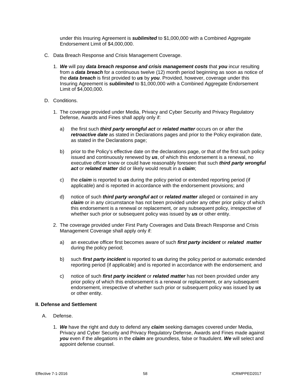under this Insuring Agreement is *sublimited* to \$1,000,000 with a Combined Aggregate Endorsement Limit of \$4,000,000.

- C. Data Breach Response and Crisis Management Coverage.
	- 1. *We* will pay *data breach response and crisis management costs* that *you* incur resulting from a *data breach* for a continuous twelve (12) month period beginning as soon as notice of the *data breach* is first provided to *us* by *you*. Provided, however, coverage under this Insuring Agreement is *sublimited* to \$1,000,000 with a Combined Aggregate Endorsement Limit of \$4,000,000.
- D. Conditions.
	- 1. The coverage provided under Media, Privacy and Cyber Security and Privacy Regulatory Defense, Awards and Fines shall apply only if:
		- a) the first such *third party wrongful act* or *related matter* occurs on or after the *retroactive date* as stated in Declarations pages and prior to the Policy expiration date, as stated in the Declarations page;
		- b) prior to the Policy's effective date on the declarations page, or that of the first such policy issued and continuously renewed by *us*, of which this endorsement is a renewal, no executive officer knew or could have reasonably foreseen that such *third party wrongful act* or *related matter* did or likely would result in a *claim*;
		- c) the *claim* is reported to *us* during the policy period or extended reporting period (if applicable) and is reported in accordance with the endorsement provisions; and
		- d) notice of such *third party wrongful act* or *related matter* alleged or contained in any *claim* or in any circumstance has not been provided under any other prior policy of which this endorsement is a renewal or replacement, or any subsequent policy, irrespective of whether such prior or subsequent policy was issued by *us* or other entity.
	- 2. The coverage provided under First Party Coverages and Data Breach Response and Crisis Management Coverage shall apply only if:
		- a) an executive officer first becomes aware of such *first party incident* or *related matter* during the policy period;
		- b) such *first party incident* is reported to *us* during the policy period or automatic extended reporting period (if applicable) and is reported in accordance with the endorsement; and
		- c) notice of such *first party incident* or *related matter* has not been provided under any prior policy of which this endorsement is a renewal or replacement, or any subsequent endorsement, irrespective of whether such prior or subsequent policy was issued by *us* or other entity.

## **II. Defense and Settlement**

- A. Defense.
	- 1. *We* have the right and duty to defend any *claim* seeking damages covered under Media, Privacy and Cyber Security and Privacy Regulatory Defense, Awards and Fines made against *you* even if the allegations in the *claim* are groundless, false or fraudulent. *We* will select and appoint defense counsel.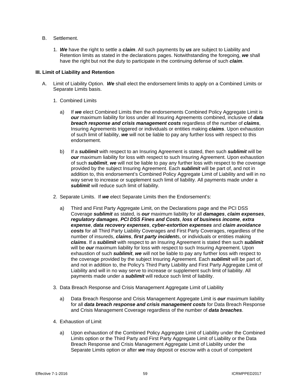- B. Settlement.
	- 1. *We* have the right to settle a *claim*. All such payments by *us* are subject to Liability and Retention limits as stated in the declarations pages. Notwithstanding the foregoing, *we* shall have the right but not the duty to participate in the continuing defense of such *claim*.

## **III. Limit of Liability and Retention**

- A. Limit of Liability Option. *We* shall elect the endorsement limits to apply on a Combined Limits or Separate Limits basis.
	- 1. Combined Limits
		- a) If *we* elect Combined Limits then the endorsements Combined Policy Aggregate Limit is *our* maximum liability for loss under all Insuring Agreements combined, inclusive of *data breach response and crisis management costs* regardless of the number of *claims*, Insuring Agreements triggered or individuals or entities making *claims*. Upon exhaustion of such limit of liability, *we* will not be liable to pay any further loss with respect to this endorsement.
		- b) If a *sublimit* with respect to an Insuring Agreement is stated, then such *sublimit* will be *our* maximum liability for loss with respect to such Insuring Agreement. Upon exhaustion of such *sublimit*, *we* will not be liable to pay any further loss with respect to the coverage provided by the subject Insuring Agreement. Each *sublimit* will be part of, and not in addition to, this endorsement's Combined Policy Aggregate Limit of Liability and will in no way serve to increase or supplement such limit of liability. All payments made under a *sublimit* will reduce such limit of liability.
	- 2. Separate Limits. If *we* elect Separate Limits then the Endorsement's:
		- a) Third and First Party Aggregate Limit, on the Declarations page and the PCI DSS Coverage *sublimit* as stated, is *our* maximum liability for all *damages*, *claim expenses*, *regulatory damages*, *PCI DSS Fines and Costs*, *loss of business income*, *extra expense*, *data recovery expenses*, *cyber-extortion expenses* and *claim avoidance costs* for all Third Party Liability Coverages and First Party Coverages, regardless of the number of insureds, *claims*, *first party incident*s, or individuals or entities making *claims*. If a *sublimit* with respect to an Insuring Agreement is stated then such *sublimit* will be *our* maximum liability for loss with respect to such Insuring Agreement. Upon exhaustion of such *sublimit*, *we* will not be liable to pay any further loss with respect to the coverage provided by the subject Insuring Agreement. Each *sublimit* will be part of, and not in addition to, the Policy's Third Party Liability and First Party Aggregate Limit of Liability and will in no way serve to increase or supplement such limit of liability. All payments made under a *sublimit* will reduce such limit of liability.
	- 3. Data Breach Response and Crisis Management Aggregate Limit of Liability
		- a) Data Breach Response and Crisis Management Aggregate Limit is *our* maximum liability for all *data breach response and crisis management costs* for Data Breach Response and Crisis Management Coverage regardless of the number of *data breaches*.
	- 4. Exhaustion of Limit
		- a) Upon exhaustion of the Combined Policy Aggregate Limit of Liability under the Combined Limits option or the Third Party and First Party Aggregate Limit of Liability or the Data Breach Response and Crisis Management Aggregate Limit of Liability under the Separate Limits option or after *we* may deposit or escrow with a court of competent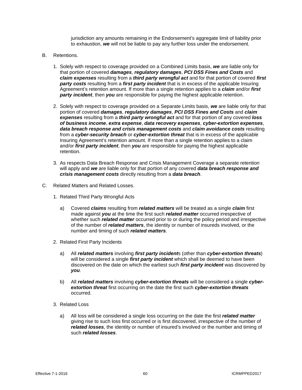jurisdiction any amounts remaining in the Endorsement's aggregate limit of liability prior to exhaustion, *we* will not be liable to pay any further loss under the endorsement.

- B. Retentions.
	- 1. Solely with respect to coverage provided on a Combined Limits basis, *we* are liable only for that portion of covered *damages*, *regulatory damages*, *PCI DSS Fines and Costs* and *claim expenses* resulting from a *third party wrongful act* and for that portion of covered *first party costs* resulting from a *first party incident* that is in excess of the applicable Insuring Agreement's retention amount. If more than a single retention applies to a *claim* and/or *first party incident*, then *you* are responsible for paying the highest applicable retention.
	- 2. Solely with respect to coverage provided on a Separate Limits basis, *we* are liable only for that portion of covered *damages*, *regulatory damages*, *PCI DSS Fines and Costs* and *claim expenses* resulting from a *third party wrongful act* and for that portion of any covered *loss of business income*, *extra expense*, *data recovery expenses*, *cyber-extortion expenses*, *data breach response and crisis management costs* and *claim avoidance costs* resulting from a *cyber-security breach* or *cyber-extortion threat* that is in excess of the applicable Insuring Agreement's retention amount. If more than a single retention applies to a claim and/or *first party incident*, then *you* are responsible for paying the highest applicable retention.
	- 3. As respects Data Breach Response and Crisis Management Coverage a separate retention will apply and *we* are liable only for that portion of any covered *data breach response and crisis management costs* directly resulting from a *data breach*.
- C. Related Matters and Related Losses.
	- 1. Related Third Party Wrongful Acts
		- a) Covered *claims* resulting from *related matters* will be treated as a single *claim* first made against *you* at the time the first such *related matter* occurred irrespective of whether such *related matter* occurred prior to or during the policy period and irrespective of the number of *related matters*, the identity or number of insureds involved, or the number and timing of such *related matters*.
	- 2. Related First Party Incidents
		- a) All *related matters* involving *first party incident*s (other than *cyber-extortion threats*) will be considered a single *first party incident* which shall be deemed to have been discovered on the date on which the earliest such *first party incident* was discovered by *you*.
		- b) All *related matters* involving *cyber-extortion threats* will be considered a single *cyberextortion threat* first occurring on the date the first such *cyber-extortion threats* occurred.
	- 3. Related Loss
		- a) All loss will be considered a single loss occurring on the date the first *related matter* giving rise to such loss first occurred or is first discovered, irrespective of the number of *related losses*, the identity or number of insured's involved or the number and timing of such *related losses*.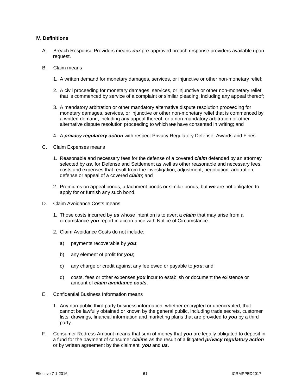## **IV. Definitions**

- A. Breach Response Providers means *our* pre-approved breach response providers available upon request.
- B. Claim means
	- 1. A written demand for monetary damages, services, or injunctive or other non-monetary relief;
	- 2. A civil proceeding for monetary damages, services, or injunctive or other non-monetary relief that is commenced by service of a complaint or similar pleading, including any appeal thereof;
	- 3. A mandatory arbitration or other mandatory alternative dispute resolution proceeding for monetary damages, services, or injunctive or other non-monetary relief that is commenced by a written demand, including any appeal thereof, or a non-mandatory arbitration or other alternative dispute resolution proceeding to which *we* have consented in writing; and
	- 4. A *privacy regulatory action* with respect Privacy Regulatory Defense, Awards and Fines.
- C. Claim Expenses means
	- 1. Reasonable and necessary fees for the defense of a covered *claim* defended by an attorney selected by *us*, for Defense and Settlement as well as other reasonable and necessary fees, costs and expenses that result from the investigation, adjustment, negotiation, arbitration, defense or appeal of a covered *claim*; and
	- 2. Premiums on appeal bonds, attachment bonds or similar bonds, but *we* are not obligated to apply for or furnish any such bond.
- D. Claim Avoidance Costs means
	- 1. Those costs incurred by *us* whose intention is to avert a *claim* that may arise from a circumstance *you* report in accordance with Notice of Circumstance.
	- 2. Claim Avoidance Costs do not include:
		- a) payments recoverable by *you*;
		- b) any element of profit for *you*;
		- c) any charge or credit against any fee owed or payable to *you*; and
		- d) costs, fees or other expenses *you* incur to establish or document the existence or amount of *claim avoidance costs*.
- E. Confidential Business Information means
	- 1. Any non-public third party business information, whether encrypted or unencrypted, that cannot be lawfully obtained or known by the general public, including trade secrets, customer lists, drawings, financial information and marketing plans that are provided to *you* by a third party.
- F. Consumer Redress Amount means that sum of money that *you* are legally obligated to deposit in a fund for the payment of consumer *claims* as the result of a litigated *privacy regulatory action* or by written agreement by the claimant, *you* and *us*.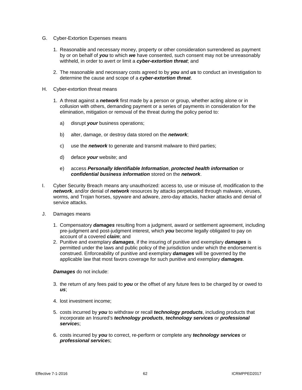- G. Cyber-Extortion Expenses means
	- 1. Reasonable and necessary money, property or other consideration surrendered as payment by or on behalf of *you* to which *we* have consented, such consent may not be unreasonably withheld, in order to avert or limit a *cyber-extortion threat*; and
	- 2. The reasonable and necessary costs agreed to by *you* and *us* to conduct an investigation to determine the cause and scope of a *cyber-extortion threat*.
- H. Cyber-extortion threat means
	- 1. A threat against a *network* first made by a person or group, whether acting alone or in collusion with others, demanding payment or a series of payments in consideration for the elimination, mitigation or removal of the threat during the policy period to:
		- a) disrupt *your* business operations;
		- b) alter, damage, or destroy data stored on the *network*;
		- c) use the *network* to generate and transmit malware to third parties;
		- d) deface *your* website; and
		- e) access *Personally Identifiable Information*, *protected health information* or *confidential business information* stored on the *network*.
- I. Cyber Security Breach means any unauthorized: access to, use or misuse of, modification to the *network*, and/or denial of *network* resources by attacks perpetuated through malware, viruses, worms, and Trojan horses, spyware and adware, zero-day attacks, hacker attacks and denial of service attacks.
- J. Damages means
	- 1. Compensatory *damages* resulting from a judgment, award or settlement agreement, including pre-judgment and post-judgment interest, which *you* become legally obligated to pay on account of a covered *claim*; and
	- 2. Punitive and exemplary *damages*, if the insuring of punitive and exemplary *damages* is permitted under the laws and public policy of the jurisdiction under which the endorsement is construed. Enforceability of punitive and exemplary *damages* will be governed by the applicable law that most favors coverage for such punitive and exemplary *damages*.

#### *Damages* do not include:

- 3. the return of any fees paid to *you* or the offset of any future fees to be charged by or owed to *us*;
- 4. lost investment income;
- 5. costs incurred by *you* to withdraw or recall *technology products*, including products that incorporate an Insured's *technology products*, *technology services* or *professional service*s;
- 6. costs incurred by *you* to correct, re-perform or complete any *technology services* or *professional service*s;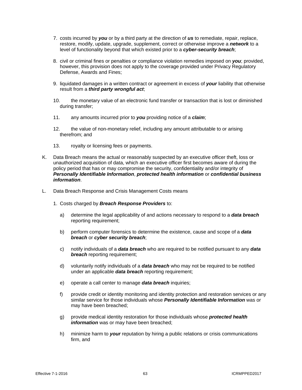- 7. costs incurred by *you* or by a third party at the direction of *us* to remediate, repair, replace, restore, modify, update, upgrade, supplement, correct or otherwise improve a *network* to a level of functionality beyond that which existed prior to a *cyber-security breach*;
- 8. civil or criminal fines or penalties or compliance violation remedies imposed on *you*; provided, however, this provision does not apply to the coverage provided under Privacy Regulatory Defense, Awards and Fines;
- 9. liquidated damages in a written contract or agreement in excess of *your* liability that otherwise result from a *third party wrongful act*;
- 10. the monetary value of an electronic fund transfer or transaction that is lost or diminished during transfer;
- 11. any amounts incurred prior to *you* providing notice of a *claim*;
- 12. the value of non-monetary relief, including any amount attributable to or arising therefrom; and
- 13. royalty or licensing fees or payments.
- K. Data Breach means the actual or reasonably suspected by an executive officer theft, loss or unauthorized acquisition of data, which an executive officer first becomes aware of during the policy period that has or may compromise the security, confidentiality and/or integrity of *Personally Identifiable Information*, *protected health information* or *confidential business information*.
- L. Data Breach Response and Crisis Management Costs means
	- 1. Costs charged by *Breach Response Providers* to:
		- a) determine the legal applicability of and actions necessary to respond to a *data breach* reporting requirement;
		- b) perform computer forensics to determine the existence, cause and scope of a *data breach* or *cyber security breach*;
		- c) notify individuals of a *data breach* who are required to be notified pursuant to any *data*  **breach** reporting requirement;
		- d) voluntarily notify individuals of a *data breach* who may not be required to be notified under an applicable *data breach* reporting requirement;
		- e) operate a call center to manage *data breach* inquiries;
		- f) provide credit or identity monitoring and identity protection and restoration services or any similar service for those individuals whose *Personally Identifiable Information* was or may have been breached;
		- g) provide medical identity restoration for those individuals whose *protected health information* was or may have been breached;
		- h) minimize harm to *your* reputation by hiring a public relations or crisis communications firm, and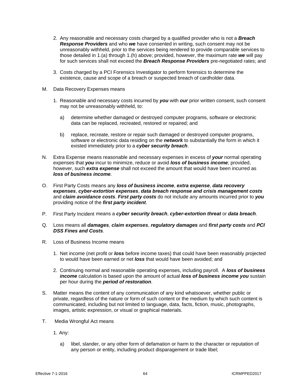- 2. Any reasonable and necessary costs charged by a qualified provider who is not a *Breach Response Providers* and who *we* have consented in writing, such consent may not be unreasonably withheld, prior to the services being rendered to provide comparable services to those detailed in 1.(a) through 1.(h) above; provided, however, the maximum rate *we* will pay for such services shall not exceed the *Breach Response Providers* pre-negotiated rates; and
- 3. Costs charged by a PCI Forensics Investigator to perform forensics to determine the existence, cause and scope of a breach or suspected breach of cardholder data.
- M. Data Recovery Expenses means
	- 1. Reasonable and necessary costs incurred by *you* with *our* prior written consent, such consent may not be unreasonably withheld, to:
		- a) determine whether damaged or destroyed computer programs, software or electronic data can be replaced, recreated, restored or repaired; and
		- b) replace, recreate, restore or repair such damaged or destroyed computer programs, software or electronic data residing on the *network* to substantially the form in which it existed immediately prior to a *cyber security breach*.
- N. Extra Expense means reasonable and necessary expenses in excess of *your* normal operating expenses that *you* incur to minimize, reduce or avoid *loss of business income*; provided, however, such *extra expense* shall not exceed the amount that would have been incurred as *loss of business income*.
- O. First Party Costs means any *loss of business income*, *extra expense*, *data recovery expenses*, *cyber-extortion expenses*, *data breach response and crisis management costs* and *claim avoidance costs*. *First party costs* do not include any amounts incurred prior to *you* providing notice of the *first party incident*.
- P. First Party Incident means a *cyber security breach*, *cyber-extortion threat* or *data breach*.
- Q. Loss means all *damages*, *claim expenses*, *regulatory damages* and *first party costs* and *PCI DSS Fines and Costs*.
- R. Loss of Business Income means
	- 1. Net income (net profit or *loss* before income taxes) that could have been reasonably projected to would have been earned or net *loss* that would have been avoided; and
	- 2. Continuing normal and reasonable operating expenses, including payroll. A *loss of business income* calculation is based upon the amount of actual *loss of business income you* sustain per hour during the *period of restoration*.
- S. Matter means the content of any communication of any kind whatsoever, whether public or private, regardless of the nature or form of such content or the medium by which such content is communicated, including but not limited to language, data, facts, fiction, music, photographs, images, artistic expression, or visual or graphical materials.
- T. Media Wrongful Act means
	- 1. Any:
		- a) libel, slander, or any other form of defamation or harm to the character or reputation of any person or entity, including product disparagement or trade libel;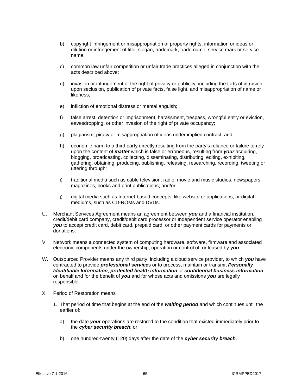- b) copyright infringement or misappropriation of property rights, information or ideas or dilution or infringement of title, slogan, trademark, trade name, service mark or service name;
- c) common law unfair competition or unfair trade practices alleged in conjunction with the acts described above;
- d) invasion or infringement of the right of privacy or publicity, including the torts of intrusion upon seclusion, publication of private facts, false light, and misappropriation of name or likeness;
- e) infliction of emotional distress or mental anguish;
- f) false arrest, detention or imprisonment, harassment, trespass, wrongful entry or eviction, eavesdropping, or other invasion of the right of private occupancy;
- g) plagiarism, piracy or misappropriation of ideas under implied contract; and
- h) economic harm to a third party directly resulting from the party's reliance or failure to rely upon the content of *matter* which is false or erroneous, resulting from *your* acquiring, blogging, broadcasting, collecting, disseminating, distributing, editing, exhibiting, gathering, obtaining, producing, publishing, releasing, researching, recording, tweeting or uttering through:
- i) traditional media such as cable television, radio, movie and music studios, newspapers, magazines, books and print publications; and/or
- j) digital media such as Internet-based concepts, like website or applications, or digital mediums, such as CD-ROMs and DVDs.
- U. Merchant Services Agreement means an agreement between *you* and a financial institution, credit/debit card company, credit/debit card processor or Independent service operator enabling *you* to accept credit card, debit card, prepaid card, or other payment cards for payments or donations.
- V. Network means a connected system of computing hardware, software, firmware and associated electronic components under the ownership, operation or control of, or leased by *you*.
- W. Outsourced Provider means any third party, including a cloud service provider, to which *you* have contracted to provide *professional service*s or to process, maintain or transmit *Personally Identifiable Information*, *protected health information* or *confidential business information* on behalf and for the benefit of *you* and for whose acts and omissions *you* are legally responsible.
- X. Period of Restoration means
	- 1. That period of time that begins at the end of the *waiting period* and which continues until the earlier of:
		- a) the date *your* operations are restored to the condition that existed immediately prior to the *cyber security breach*; or
		- b) one hundred-twenty (120) days after the date of the *cyber security breach*.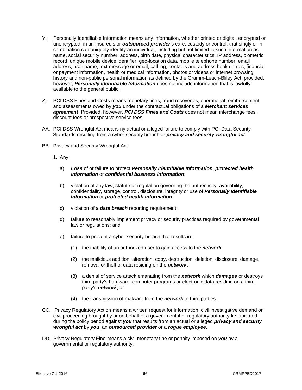- Y. Personally Identifiable Information means any information, whether printed or digital, encrypted or unencrypted, in an Insured's or *outsourced provider*'s care, custody or control, that singly or in combination can uniquely identify an individual, including but not limited to such information as name, social security number, address, birth date, physical characteristics, IP address, biometric record, unique mobile device identifier, geo-location data, mobile telephone number, email address, user name, text message or email, call log, contacts and address book entries, financial or payment information, health or medical information, photos or videos or internet browsing history and non-public personal information as defined by the Gramm-Leach-Bliley Act; provided, however, *Personally Identifiable Information* does not include information that is lawfully available to the general public.
- Z. PCI DSS Fines and Costs means monetary fines, fraud recoveries, operational reimbursement and assessments owed by *you* under the contractual obligations of a *Merchant services agreement*. Provided, however, *PCI DSS Fines and Costs* does not mean interchange fees, discount fees or prospective service fees.
- AA. PCI DSS Wrongful Act means ny actual or alleged failure to comply with PCI Data Security Standards resulting from a cyber-security breach or *privacy and security wrongful act*.
- BB. Privacy and Security Wrongful Act
	- 1. Any:
		- a) *Loss* of or failure to protect *Personally Identifiable Information*, *protected health information* or *confidential business information*;
		- b) violation of any law, statute or regulation governing the authenticity, availability, confidentiality, storage, control, disclosure, integrity or use of *Personally Identifiable Information* or *protected health information*;
		- c) violation of a *data breach* reporting requirement;
		- d) failure to reasonably implement privacy or security practices required by governmental law or regulations; and
		- e) failure to prevent a cyber-security breach that results in:
			- (1) the inability of an authorized user to gain access to the *network*;
			- (2) the malicious addition, alteration, copy, destruction, deletion, disclosure, damage, removal or theft of data residing on the *network*;
			- (3) a denial of service attack emanating from the *network* which *damages* or destroys third party's hardware, computer programs or electronic data residing on a third party's *network*; or
			- (4) the transmission of malware from the *network* to third parties.
- CC. Privacy Regulatory Action means a written request for information, civil investigative demand or civil proceeding brought by or on behalf of a governmental or regulatory authority first initiated during the policy period against *you* that results from an actual or alleged *privacy and security wrongful act* by *you*, an *outsourced provider* or a *rogue employee*.
- DD. Privacy Regulatory Fine means a civil monetary fine or penalty imposed on *you* by a governmental or regulatory authority.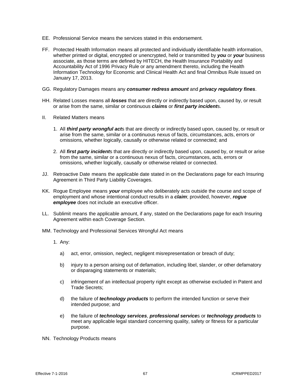- EE. Professional Service means the services stated in this endorsement.
- FF. Protected Health Information means all protected and individually identifiable health information, whether printed or digital, encrypted or unencrypted, held or transmitted by *you* or *your* business associate, as those terms are defined by HITECH, the Health Insurance Portability and Accountability Act of 1996 Privacy Rule or any amendment thereto, including the Health Information Technology for Economic and Clinical Health Act and final Omnibus Rule issued on January 17, 2013.
- GG. Regulatory Damages means any *consumer redress amount* and *privacy regulatory fines*.
- HH. Related Losses means all *losses* that are directly or indirectly based upon, caused by, or result or arise from the same, similar or continuous *claims* or *first party incident*s.
- II. Related Matters means
	- 1. All *third party wrongful act*s that are directly or indirectly based upon, caused by, or result or arise from the same, similar or a continuous nexus of facts, circumstances, acts, errors or omissions, whether logically, causally or otherwise related or connected; and
	- 2. All *first party incident*s that are directly or indirectly based upon, caused by, or result or arise from the same, similar or a continuous nexus of facts, circumstances, acts, errors or omissions, whether logically, causally or otherwise related or connected.
- JJ. Retroactive Date means the applicable date stated in on the Declarations page for each Insuring Agreement in Third Party Liability Coverages.
- KK. Rogue Employee means *your* employee who deliberately acts outside the course and scope of employment and whose intentional conduct results in a *claim*; provided, however, *rogue employee* does not include an executive officer.
- LL. Sublimit means the applicable amount, if any, stated on the Declarations page for each Insuring Agreement within each Coverage Section.
- MM. Technology and Professional Services Wrongful Act means
	- 1. Any:
		- a) act, error, omission, neglect, negligent misrepresentation or breach of duty;
		- b) injury to a person arising out of defamation, including libel, slander, or other defamatory or disparaging statements or materials;
		- c) infringement of an intellectual property right except as otherwise excluded in Patent and Trade Secrets;
		- d) the failure of *technology products* to perform the intended function or serve their intended purpose; and
		- e) the failure of *technology services*, *professional service*s or *technology products* to meet any applicable legal standard concerning quality, safety or fitness for a particular purpose.
- NN. Technology Products means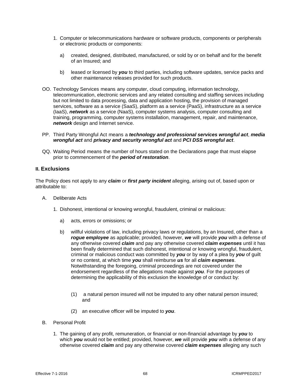- 1. Computer or telecommunications hardware or software products, components or peripherals or electronic products or components:
	- a) created, designed, distributed, manufactured, or sold by or on behalf and for the benefit of an Insured; and
	- b) leased or licensed by *you* to third parties, including software updates, service packs and other maintenance releases provided for such products.
- OO. Technology Services means any computer, cloud computing, information technology, telecommunication, electronic services and any related consulting and staffing services including but not limited to data processing, data and application hosting, the provision of managed services, software as a service (SaaS), platform as a service (PaaS), infrastructure as a service (IaaS), *network* as a service (NaaS), computer systems analysis, computer consulting and training, programming, computer systems installation, management, repair, and maintenance, *network* design and Internet service.
- PP. Third Party Wrongful Act means a *technology and professional services wrongful act*, *media wrongful act* and *privacy and security wrongful act* and *PCI DSS wrongful act*.
- QQ. Waiting Period means the number of hours stated on the Declarations page that must elapse prior to commencement of the *period of restoration*.

# **II. Exclusions**

The Policy does not apply to any *claim* or *first party incident* alleging, arising out of, based upon or attributable to:

- A. Deliberate Acts
	- 1. Dishonest, intentional or knowing wrongful, fraudulent, criminal or malicious:
		- a) acts, errors or omissions; or
		- b) willful violations of law, including privacy laws or regulations, by an Insured, other than a *rogue employee* as applicable; provided, however, *we* will provide *you* with a defense of any otherwise covered *claim* and pay any otherwise covered *claim expenses* until it has been finally determined that such dishonest, intentional or knowing wrongful, fraudulent, criminal or malicious conduct was committed by *you* or by way of a plea by *you* of guilt or no contest, at which time *you* shall reimburse *us* for all *claim expenses*. Notwithstanding the foregoing, criminal proceedings are not covered under the endorsement regardless of the allegations made against *you*. For the purposes of determining the applicability of this exclusion the knowledge of or conduct by:
			- (1) a natural person insured will not be imputed to any other natural person insured; and
			- (2) an executive officer will be imputed to *you*.
- B. Personal Profit
	- 1. The gaining of any profit, remuneration, or financial or non-financial advantage by *you* to which *you* would not be entitled; provided, however, *we* will provide *you* with a defense of any otherwise covered *claim* and pay any otherwise covered *claim expenses* alleging any such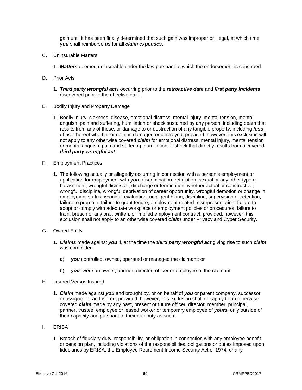gain until it has been finally determined that such gain was improper or illegal, at which time *you* shall reimburse *us* for all *claim expenses*.

- C. Uninsurable Matters
	- 1. *Matters* deemed uninsurable under the law pursuant to which the endorsement is construed.
- D. Prior Acts
	- 1. *Third party wrongful act*s occurring prior to the *retroactive date* and *first party incidents* discovered prior to the effective date.
- E. Bodily Injury and Property Damage
	- 1. Bodily injury, sickness, disease, emotional distress, mental injury, mental tension, mental anguish, pain and suffering, humiliation or shock sustained by any person, including death that results from any of these, or damage to or destruction of any tangible property, including *loss* of use thereof whether or not it is damaged or destroyed; provided, however, this exclusion will not apply to any otherwise covered *claim* for emotional distress, mental injury, mental tension or mental anguish, pain and suffering, humiliation or shock that directly results from a covered *third party wrongful act*.
- F. Employment Practices
	- 1. The following actually or allegedly occurring in connection with a person's employment or application for employment with *you*: discrimination, retaliation, sexual or any other type of harassment, wrongful dismissal, discharge or termination, whether actual or constructive, wrongful discipline, wrongful deprivation of career opportunity, wrongful demotion or change in employment status, wrongful evaluation, negligent hiring, discipline, supervision or retention, failure to promote, failure to grant tenure, employment related misrepresentation, failure to adopt or comply with adequate workplace or employment policies or procedures, failure to train, breach of any oral, written, or implied employment contract; provided, however, this exclusion shall not apply to an otherwise covered *claim* under Privacy and Cyber Security.
- G. Owned Entity
	- 1. *Claims* made against *you* if, at the time the *third party wrongful act* giving rise to such *claim* was committed:
		- a) *you* controlled, owned, operated or managed the claimant; or
		- b) **you** were an owner, partner, director, officer or employee of the claimant.
- H. Insured Versus Insured
	- 1. *Claim* made against *you* and brought by, or on behalf of *you* or parent company, successor or assignee of an Insured; provided, however, this exclusion shall not apply to an otherwise covered *claim* made by any past, present or future officer, director, member, principal, partner, trustee, employee or leased worker or temporary employee of *your*s, only outside of their capacity and pursuant to their authority as such.
- I. ERISA
	- 1. Breach of fiduciary duty, responsibility, or obligation in connection with any employee benefit or pension plan, including violations of the responsibilities, obligations or duties imposed upon fiduciaries by ERISA, the Employee Retirement Income Security Act of 1974, or any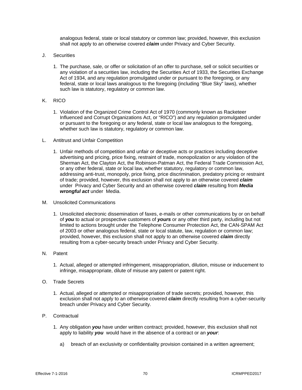analogous federal, state or local statutory or common law; provided, however, this exclusion shall not apply to an otherwise covered *claim* under Privacy and Cyber Security.

- J. Securities
	- 1. The purchase, sale, or offer or solicitation of an offer to purchase, sell or solicit securities or any violation of a securities law, including the Securities Act of 1933, the Securities Exchange Act of 1934, and any regulation promulgated under or pursuant to the foregoing, or any federal, state or local laws analogous to the foregoing (including "Blue Sky" laws), whether such law is statutory, regulatory or common law.

# K. RICO

- 1. Violation of the Organized Crime Control Act of 1970 (commonly known as Racketeer Influenced and Corrupt Organizations Act, or "RICO") and any regulation promulgated under or pursuant to the foregoing or any federal, state or local law analogous to the foregoing, whether such law is statutory, regulatory or common law.
- L. Antitrust and Unfair Competition
	- 1. Unfair methods of competition and unfair or deceptive acts or practices including deceptive advertising and pricing, price fixing, restraint of trade, monopolization or any violation of the Sherman Act, the Clayton Act, the Robinson-Patman Act, the Federal Trade Commission Act, or any other federal, state or local law, whether statutory, regulatory or common law, addressing anti-trust, monopoly, price fixing, price discrimination, predatory pricing or restraint of trade; provided, however, this exclusion shall not apply to an otherwise covered *claim* under Privacy and Cyber Security and an otherwise covered *claim* resulting from *Media wrongful act* under Media.
- M. Unsolicited Communications
	- 1. Unsolicited electronic dissemination of faxes, e-mails or other communications by or on behalf of *you* to actual or prospective customers of *yours* or any other third party, including but not limited to actions brought under the Telephone Consumer Protection Act, the CAN-SPAM Act of 2003 or other analogous federal, state or local statute, law, regulation or common law; provided, however, this exclusion shall not apply to an otherwise covered *claim* directly resulting from a cyber-security breach under Privacy and Cyber Security.
- N. Patent
	- 1. Actual, alleged or attempted infringement, misappropriation, dilution, misuse or inducement to infringe, misappropriate, dilute of misuse any patent or patent right.
- O. Trade Secrets
	- 1. Actual, alleged or attempted or misappropriation of trade secrets; provided, however, this exclusion shall not apply to an otherwise covered *claim* directly resulting from a cyber-security breach under Privacy and Cyber Security.
- P. Contractual
	- 1. Any obligation *you* have under written contract; provided, however, this exclusion shall not apply to liability *you* would have in the absence of a contract or an *your*:
		- a) breach of an exclusivity or confidentiality provision contained in a written agreement;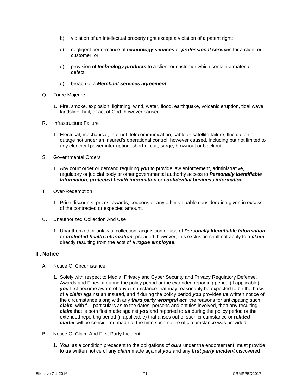- b) violation of an intellectual property right except a violation of a patent right;
- c) negligent performance of *technology services* or *professional service*s for a client or customer; or
- d) provision of *technology products* to a client or customer which contain a material defect.
- e) breach of a *Merchant services agreement*.
- Q. Force Majeure
	- 1. Fire, smoke, explosion, lightning, wind, water, flood, earthquake, volcanic eruption, tidal wave, landslide, hail, or act of God, however caused.
- R. Infrastructure Failure
	- 1. Electrical, mechanical, Internet, telecommunication, cable or satellite failure, fluctuation or outage not under an Insured's operational control, however caused, including but not limited to any electrical power interruption, short-circuit, surge, brownout or blackout.
- S. Governmental Orders
	- 1. Any court order or demand requiring *you* to provide law enforcement, administrative, regulatory or judicial body or other governmental authority access to *Personally Identifiable Information*, *protected health information* or *confidential business information*.
- T. Over-Redemption
	- 1. Price discounts, prizes, awards, coupons or any other valuable consideration given in excess of the contracted or expected amount.
- U. Unauthorized Collection And Use
	- 1. Unauthorized or unlawful collection, acquisition or use of *Personally Identifiable Information* or *protected health information*; provided, however, this exclusion shall not apply to a *claim* directly resulting from the acts of a *rogue employee*.

# **III. Notice**

- A. Notice Of Circumstance
	- 1. Solely with respect to Media, Privacy and Cyber Security and Privacy Regulatory Defense, Awards and Fines, if during the policy period or the extended reporting period (if applicable), *you* first become aware of any circumstance that may reasonably be expected to be the basis of a *claim* against an Insured, and if during the policy period *you* provides *us* written notice of the circumstance along with any *third party wrongful act*, the reasons for anticipating such *claim*, with full particulars as to the dates, persons and entities involved, then any resulting *claim* that is both first made against *you* and reported to *us* during the policy period or the extended reporting period (if applicable) that arises out of such circumstance or *related matter* will be considered made at the time such notice of circumstance was provided.
- B. Notice Of Claim And First Party Incident
	- 1. *You*, as a condition precedent to the obligations of *ours* under the endorsement, must provide to *us* written notice of any *claim* made against *you* and any *first party incident* discovered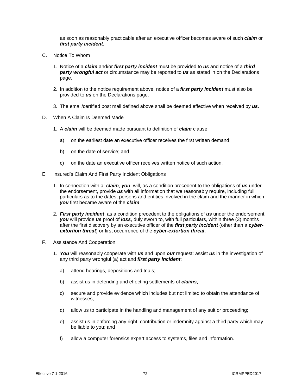as soon as reasonably practicable after an executive officer becomes aware of such *claim* or *first party incident*.

- C. Notice To Whom
	- 1. Notice of a *claim* and/or *first party incident* must be provided to *us* and notice of a *third party wrongful act* or circumstance may be reported to *us* as stated in on the Declarations page.
	- 2. In addition to the notice requirement above, notice of a *first party incident* must also be provided to *us* on the Declarations page.
	- 3. The email/certified post mail defined above shall be deemed effective when received by *us*.
- D. When A Claim Is Deemed Made
	- 1. A *claim* will be deemed made pursuant to definition of *claim* clause:
		- a) on the earliest date an executive officer receives the first written demand;
		- b) on the date of service; and
		- c) on the date an executive officer receives written notice of such action.
- E. Insured's Claim And First Party Incident Obligations
	- 1. In connection with a: *claim*, *you* will, as a condition precedent to the obligations of *us* under the endorsement, provide *us* with all information that we reasonably require, including full particulars as to the dates, persons and entities involved in the claim and the manner in which *you* first became aware of the *claim*;
	- 2. *First party incident*, as a condition precedent to the obligations of *us* under the endorsement, *you* will provide *us* proof of *loss*, duly sworn to, with full particulars, within three (3) months after the first discovery by an executive officer of the *first party incident* (other than a *cyberextortion threat*) or first occurrence of the *cyber-extortion threat*.
- F. Assistance And Cooperation
	- 1. *You* will reasonably cooperate with *us* and upon *our* request: assist *us* in the investigation of any third party wrongful (a) act and *first party incident*:
		- a) attend hearings, depositions and trials;
		- b) assist us in defending and effecting settlements of *claims*;
		- c) secure and provide evidence which includes but not limited to obtain the attendance of witnesses;
		- d) allow us to participate in the handling and management of any suit or proceeding;
		- e) assist us in enforcing any right, contribution or indemnity against a third party which may be liable to you; and
		- f) allow a computer forensics expert access to systems, files and information.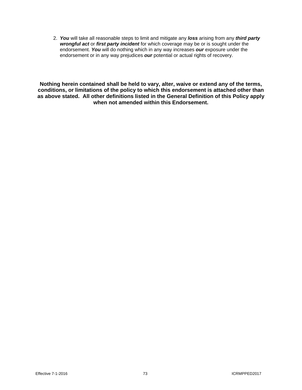2. *You* will take all reasonable steps to limit and mitigate any *loss* arising from any *third party wrongful act* or *first party incident* for which coverage may be or is sought under the endorsement. *You* will do nothing which in any way increases *our* exposure under the endorsement or in any way prejudices *our* potential or actual rights of recovery.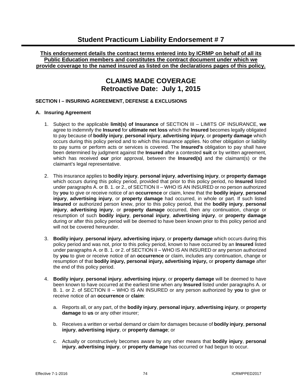# **This endorsement details the contract terms entered into by ICRMP on behalf of all its Public Education members and constitutes the contract document under which we provide coverage to the named insured as listed on the declarations pages of this policy.**

# **CLAIMS MADE COVERAGE Retroactive Date: July 1, 2015**

# **SECTION I – INSURING AGREEMENT, DEFENSE & EXCLUSIONS**

# **A. Insuring Agreement**

- 1. Subject to the applicable **limit(s) of Insurance** of SECTION III LIMITS OF INSURANCE, **we**  agree to indemnify the **Insured** for **ultimate net loss** which the **Insured** becomes legally obligated to pay because of **bodily injury**, **personal injury**, **advertising injury**, or **property damage** which occurs during this policy period and to which this insurance applies. No other obligation or liability to pay sums or perform acts or services is covered. The **Insured's** obligation to pay shall have been determined by judgment against the **Insured** after a contested **suit** or by written agreement, which has received **our** prior approval, between the **Insured(s)** and the claimant(s) or the claimant's legal representative.
- 2. This insurance applies to **bodily injury**, **personal injury**, **advertising injury**, or **property damage**  which occurs during this policy period, provided that prior to this policy period, no **Insured** listed under paragraphs A. or B. 1. or 2., of SECTION II – WHO IS AN INSURED or no person authorized by **you** to give or receive notice of an **occurrence** or claim, knew that the **bodily injury**, **personal injury**, **advertising injury**, or **property damage** had occurred, in whole or part. If such listed **Insured** or authorized person knew, prior to this policy period, that the **bodily injury**, **personal injury**, **advertising injury**, or **property damage** occurred, then any continuation, change or resumption of such **bodily injury**, **personal injury**, **advertising injury**, or **property damage**  during or after this policy period will be deemed to have been known prior to this policy period and will not be covered hereunder.
- 3. **Bodily injury**, **personal injury**, **advertising injury**, or **property damage** which occurs during this policy period and was not, prior to this policy period, known to have occurred by an **Insured** listed under paragraphs A. or B. 1. or 2. of SECTION II – WHO IS AN INSURED or any person authorized by **you** to give or receive notice of an **occurrence** or claim, includes any continuation, change or resumption of that **bodily injury, personal injury, advertising injury,** or **property damage** after the end of this policy period.
- 4. **Bodily injury**, **personal injury**, **advertising injury**, or **property damage** will be deemed to have been known to have occurred at the earliest time when any **Insured** listed under paragraphs A. or B. 1. or 2. of SECTION II – WHO IS AN INSURED or any person authorized by **you** to give or receive notice of an **occurrence** or **claim**:
	- a. Reports all, or any part, of the **bodily injury**, **personal injury**, **advertising injury**, or **property damage** to **us** or any other insurer;
	- b. Receives a written or verbal demand or claim for damages because of **bodily injury**, **personal injury**, **advertising injury**, or **property damage**; or
	- c. Actually or constructively becomes aware by any other means that **bodily injury**, **personal injury**, **advertising injury**, or **property damage** has occurred or had begun to occur.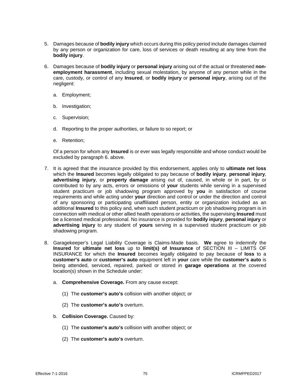- 5. Damages because of **bodily injury** which occurs during this policy period include damages claimed by any person or organization for care, loss of services or death resulting at any time from the **bodily injury**.
- 6. Damages because of **bodily injury** or **personal injury** arising out of the actual or threatened **nonemployment harassment**, including sexual molestation, by anyone of any person while in the care, custody, or control of any **Insured**, or **bodily injury** or **personal injury**, arising out of the negligent:
	- a. Employment;
	- b. Investigation;
	- c. Supervision;
	- d. Reporting to the proper authorities, or failure to so report; or
	- e. Retention;

Of a person for whom any **Insured** is or ever was legally responsible and whose conduct would be excluded by paragraph 6. above.

- 7. It is agreed that the insurance provided by this endorsement, applies only to **ultimate net loss**  which the **Insured** becomes legally obligated to pay because of **bodily injury**, **personal injury**, **advertising injury**, or **property damage** arising out of, caused, in whole or in part, by or contributed to by any acts, errors or omissions of **your** students while serving in a supervised student practicum or job shadowing program approved by **you** in satisfaction of course requirements and while acting under **your** direction and control or under the direction and control of any sponsoring or participating unaffiliated person, entity or organization included as an additional **Insured** to this policy and, when such student practicum or job shadowing program is in connection with medical or other allied health operations or activities, the supervising **Insured** must be a licensed medical professional. No insurance is provided for **bodily injury**, **personal injury** or **advertising injury** to any student of **yours** serving in a supervised student practicum or job shadowing program.
- 8. Garagekeeper's Legal Liability Coverage is Claims-Made basis. **We** agree to indemnify the **Insured** for **ultimate net loss** up to **limit(s) of Insurance** of SECTION III – LIMITS OF INSURANCE for which the **Insured** becomes legally obligated to pay because of **loss** to a **customer's auto** or **customer's auto** equipment left in **your** care while the **customer's auto** is being attended, serviced, repaired, parked or stored in **garage operations** at the covered location(s) shown in the Schedule under:
	- a. **Comprehensive Coverage.** From any cause except:
		- (1) The **customer's auto's** collision with another object; or
		- (2) The **customer's auto's** overturn.
	- b. **Collision Coverage.** Caused by:
		- (1) The **customer's auto's** collision with another object; or
		- (2) The **customer's auto's** overturn.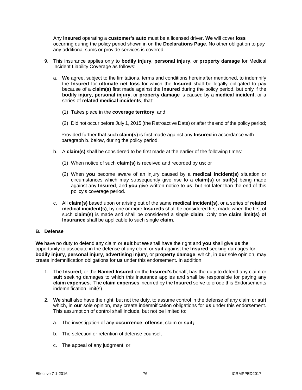Any **Insured** operating a **customer's auto** must be a licensed driver. **We** will cover **loss**  occurring during the policy period shown in on the **Declarations Page**. No other obligation to pay any additional sums or provide services is covered.

- 9. This insurance applies only to **bodily injury**, **personal injury**, or **property damage** for Medical Incident Liability Coverage as follows:
	- a. **We** agree, subject to the limitations, terms and conditions hereinafter mentioned, to indemnify the **Insured** for **ultimate net loss** for which the **Insured** shall be legally obligated to pay because of a **claim(s)** first made against the **Insured** during the policy period, but only if the **bodily injury**, **personal injury**, or **property damage** is caused by a **medical incident**, or a series of **related medical incidents**, that:
		- (1) Takes place in the **coverage territory**; and
		- (2) Did not occur before July 1, 2015 (the Retroactive Date) or after the end of the policy period;

 Provided further that such **claim(s)** is first made against any **Insured** in accordance with paragraph b. below, during the policy period.

- b. A **claim(s)** shall be considered to be first made at the earlier of the following times:
	- (1) When notice of such **claim(s)** is received and recorded by **us**; or
	- (2) When **you** become aware of an injury caused by a **medical incident(s)** situation or circumstances which may subsequently give rise to a **claim(s)** or **suit(s)** being made against any **Insured**, and **you** give written notice to **us**, but not later than the end of this policy's coverage period.
- c. All **claim(s)** based upon or arising out of the same **medical incident(s)**, or a series of **related medical incident(s)**, by one or more **Insureds** shall be considered first made when the first of such **claim(s)** is made and shall be considered a single **claim**. Only one **claim limit(s) of Insurance** shall be applicable to such single **claim**.

#### **B. Defense**

**We** have no duty to defend any claim or **suit** but **we** shall have the right and **you** shall give **us** the opportunity to associate in the defense of any claim or **suit** against the **Insured** seeking damages for **bodily injury**, **personal injury**, **advertising injury**, or **property damage**, which, in **our** sole opinion, may create indemnification obligations for **us** under this endorsement. In addition:

- 1. The **Insured**, or the **Named Insured** on the **Insured's** behalf, has the duty to defend any claim or **suit** seeking damages to which this insurance applies and shall be responsible for paying any **claim expenses.** The **claim expenses** incurred by the **Insured** serve to erode this Endorsements indemnification limit(s).
- 2. **We** shall also have the right, but not the duty, to assume control in the defense of any claim or **suit**  which, in **our** sole opinion, may create indemnification obligations for **us** under this endorsement. This assumption of control shall include, but not be limited to:
	- a. The investigation of any **occurrence**, **offense**, claim or **suit;**
	- b. The selection or retention of defense counsel;
	- c. The appeal of any judgment; or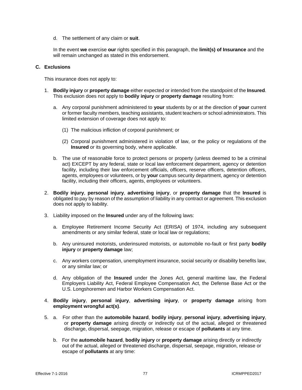d. The settlement of any claim or **suit**.

In the event **we** exercise **our** rights specified in this paragraph, the **limit(s) of Insurance** and the will remain unchanged as stated in this endorsement.

#### **C. Exclusions**

This insurance does not apply to:

- 1. **Bodily injury** or **property damage** either expected or intended from the standpoint of the **Insured**. This exclusion does not apply to **bodily injury** or **property damage** resulting from:
	- a. Any corporal punishment administered to **your** students by or at the direction of **your** current or former faculty members, teaching assistants, student teachers or school administrators. This limited extension of coverage does not apply to:
		- (1) The malicious infliction of corporal punishment; or
		- (2) Corporal punishment administered in violation of law, or the policy or regulations of the **Insured** or its governing body, where applicable.
	- b. The use of reasonable force to protect persons or property (unless deemed to be a criminal act) EXCEPT by any federal, state or local law enforcement department, agency or detention facility, including their law enforcement officials, officers, reserve officers, detention officers, agents, employees or volunteers, or by **your** campus security department, agency or detention facility, including their officers, agents, employees or volunteers.
- 2. **Bodily injury**, **personal injury**, **advertising injury**, or **property damage** that the **Insured** is obligated to pay by reason of the assumption of liability in any contract or agreement. This exclusion does not apply to liability.
- 3. Liability imposed on the **Insured** under any of the following laws:
	- a. Employee Retirement Income Security Act (ERISA) of 1974, including any subsequent amendments or any similar federal, state or local law or regulations;
	- b. Any uninsured motorists, underinsured motorists, or automobile no-fault or first party **bodily injury** or **property damage** law;
	- c. Any workers compensation, unemployment insurance, social security or disability benefits law, or any similar law; or
	- d. Any obligation of the **Insured** under the Jones Act, general maritime law, the Federal Employers Liability Act, Federal Employee Compensation Act, the Defense Base Act or the U.S. Longshoremen and Harbor Workers Compensation Act.
- 4. **Bodily injury**, **personal injury**, **advertising injury**, or **property damage** arising from **employment wrongful act(s)**.
- 5. a. For other than the **automobile hazard**, **bodily injury**, **personal injury**, **advertising injury**, or **property damage** arising directly or indirectly out of the actual, alleged or threatened discharge, dispersal, seepage, migration, release or escape of **pollutants** at any time.
	- b. For the **automobile hazard**, **bodily injury** or **property damage** arising directly or indirectly out of the actual, alleged or threatened discharge, dispersal, seepage, migration, release or escape of **pollutants** at any time: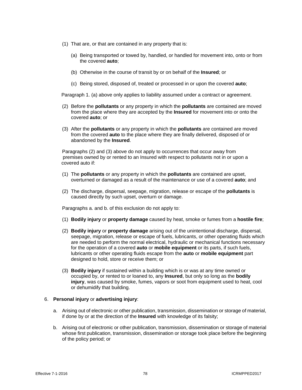- (1) That are, or that are contained in any property that is:
	- (a) Being transported or towed by, handled, or handled for movement into, onto or from the covered **auto**;
	- (b) Otherwise in the course of transit by or on behalf of the **Insured**; or
	- (c) Being stored, disposed of, treated or processed in or upon the covered **auto**;

Paragraph 1. (a) above only applies to liability assumed under a contract or agreement.

- (2) Before the **pollutants** or any property in which the **pollutants** are contained are moved from the place where they are accepted by the **Insured** for movement into or onto the covered **auto**; or
- (3) After the **pollutants** or any property in which the **pollutants** are contained are moved from the covered **auto** to the place where they are finally delivered, disposed of or abandoned by the **Insured**.

Paragraphs (2) and (3) above do not apply to occurrences that occur away from premises owned by or rented to an Insured with respect to pollutants not in or upon a covered auto if:

- (1) The **pollutants** or any property in which the **pollutants** are contained are upset, overturned or damaged as a result of the maintenance or use of a covered **auto**; and
- (2) The discharge, dispersal, seepage, migration, release or escape of the **pollutants** is caused directly by such upset, overturn or damage.

Paragraphs a. and b. of this exclusion do not apply to:

- (1) **Bodily injury** or **property damage** caused by heat, smoke or fumes from a **hostile fire**;
- (2) **Bodily injury** or **property damage** arising out of the unintentional discharge, dispersal, seepage, migration, release or escape of fuels, lubricants, or other operating fluids which are needed to perform the normal electrical, hydraulic or mechanical functions necessary for the operation of a covered **auto** or **mobile equipment** or its parts, if such fuels, lubricants or other operating fluids escape from the **auto** or **mobile equipment** part designed to hold, store or receive them; or
- (3) **Bodily injury** if sustained within a building which is or was at any time owned or occupied by, or rented to or loaned to, any **Insured**, but only so long as the **bodily injury**, was caused by smoke, fumes, vapors or soot from equipment used to heat, cool or dehumidify that building.

#### 6. **Personal injury** or **advertising injury**:

- a. Arising out of electronic or other publication, transmission, dissemination or storage of material, if done by or at the direction of the **Insured** with knowledge of its falsity;
- b. Arising out of electronic or other publication, transmission, dissemination or storage of material whose first publication, transmission, dissemination or storage took place before the beginning of the policy period; or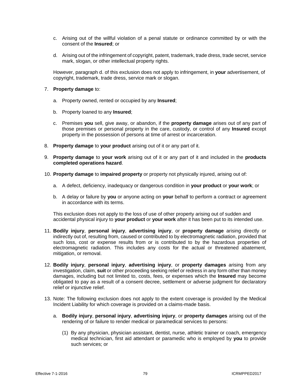- c. Arising out of the willful violation of a penal statute or ordinance committed by or with the consent of the **Insured**; or
- d. Arising out of the infringement of copyright, patent, trademark, trade dress, trade secret, service mark, slogan, or other intellectual property rights.

However, paragraph d. of this exclusion does not apply to infringement, in **your** advertisement, of copyright, trademark, trade dress, service mark or slogan.

# 7. **Property damage** to:

- a. Property owned, rented or occupied by any **Insured**;
- b. Property loaned to any **Insured**;
- c. Premises **you** sell, give away, or abandon, if the **property damage** arises out of any part of those premises or personal property in the care, custody, or control of any **Insured** except property in the possession of persons at time of arrest or incarceration.
- 8. **Property damage** to **your product** arising out of it or any part of it.
- 9. **Property damage** to **your work** arising out of it or any part of it and included in the **products completed operations hazard**.
- 10. **Property damage** to **impaired property** or property not physically injured, arising out of:
	- a. A defect, deficiency, inadequacy or dangerous condition in **your product** or **your work**; or
	- b. A delay or failure by **you** or anyone acting on **your** behalf to perform a contract or agreement in accordance with its terms.

This exclusion does not apply to the loss of use of other property arising out of sudden and accidental physical injury to **your product** or **your work** after it has been put to its intended use.

- 11. **Bodily injury**, **personal injury**, **advertising injury**, or **property damage** arising directly or indirectly out of, resulting from, caused or contributed to by electromagnetic radiation, provided that such loss, cost or expense results from or is contributed to by the hazardous properties of electromagnetic radiation. This includes any costs for the actual or threatened abatement, mitigation, or removal.
- 12. **Bodily injury**, **personal injury**, **advertising injury**, or **property damages** arising from any investigation, claim, **suit** or other proceeding seeking relief or redress in any form other than money damages, including but not limited to, costs, fees, or expenses which the **Insured** may become obligated to pay as a result of a consent decree, settlement or adverse judgment for declaratory relief or injunctive relief.
- 13. Note: The following exclusion does not apply to the extent coverage is provided by the Medical Incident Liability for which coverage is provided on a claims-made basis.
	- a. **Bodily injury**, **personal injury**, **advertising injury**, or **property damages** arising out of the rendering of or failure to render medical or paramedical services to persons:
		- (1) By any physician, physician assistant, dentist, nurse, athletic trainer or coach, emergency medical technician, first aid attendant or paramedic who is employed by **you** to provide such services; or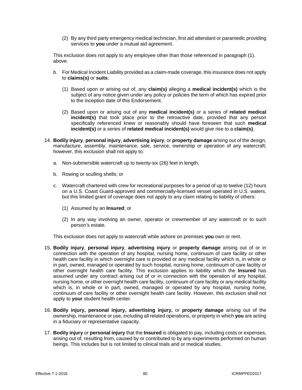(2) By any third party emergency medical technician, first aid attendant or paramedic providing services to **you** under a mutual aid agreement.

This exclusion does not apply to any employee other than those referenced in paragraph (1). above.

- b. For Medical Incident Liability provided as a claim-made coverage, this insurance does not apply to **claims(s)** or **suits**:
	- (1) Based upon or arising out of, any **claim(s)** alleging a **medical incident(s)** which is the subject of any notice given under any policy or policies the term of which has expired prior to the inception date of this Endorsement.
	- (2) Based upon or arising out of any **medical incident(s)** or a series of **related medical incident(s)** that took place prior to the retroactive date, provided that any person specifically referenced knew or reasonably should have foreseen that such **medical incident(s)** or a series of **related medical incident(s)** would give rise to a **claim(s)**.
- 14. **Bodily injury**, **personal injury**, **advertising injury**, or **property damage** arising out of the design, manufacture, assembly, maintenance, sale, service, ownership or operation of any watercraft; however, this exclusion shall not apply to:
	- a. Non-submersible watercraft up to twenty-six (26) feet in length;
	- b. Rowing or sculling shells; or
	- c. Watercraft chartered with crew for recreational purposes for a period of up to twelve (12) hours on a U.S. Coast Guard-approved and commercially-licensed vessel operated in U.S. waters, but this limited grant of coverage does not apply to any claim relating to liability of others:
		- (1) Assumed by an **Insured**; or
		- (2) In any way involving an owner, operator or crewmember of any watercraft or to such person's estate.

This exclusion does not apply to watercraft while ashore on premises **you** own or rent.

- 15. **Bodily injury**, **personal injury**, **advertising injury** or **property damage** arising out of or in connection with the operation of any hospital, nursing home, continuum of care facility or other health care facility in which overnight care is provided or any medical facility which is, in whole or in part, owned, managed or operated by such hospital, nursing home, continuum of care facility or other overnight health care facility. This exclusion applies to liability which the **Insured** has assumed under any contract arising out of or in connection with the operation of any hospital, nursing home, or other overnight health care facility, continuum of care facility or any medical facility which is, in whole or in part, owned, managed or operated by any hospital, nursing home, continuum of care facility or other overnight health care facility. However, this exclusion shall not apply to **your** student health center.
- 16. **Bodily injury, personal injury, advertising injury,** or **property damage** arising out of the ownership, maintenance or use, including all related operations, or property in which **you** are acting in a fiduciary or representative capacity.
- 17. **Bodily injury** or **personal injury** that the **Insured** is obligated to pay, including costs or expenses, arising out of, resulting from, caused by or contributed to by any experiments performed on human beings. This includes but is not limited to clinical trials and or medical studies.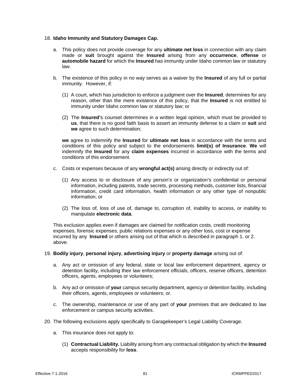#### 18. **Idaho Immunity and Statutory Damages Cap.**

- a. This policy does not provide coverage for any **ultimate net loss** in connection with any claim made or **suit** brought against the **Insured** arising from any **occurrence**, **offense** or **automobile hazard** for which the **Insured** has immunity under Idaho common law or statutory law.
- b. The existence of this policy in no way serves as a waiver by the **Insured** of any full or partial immunity. However, if:
	- (1) A court, which has jurisdiction to enforce a judgment over the **Insured**, determines for any reason, other than the mere existence of this policy, that the **Insured** is not entitled to immunity under Idaho common law or statutory law; or
	- (2) The **Insured'**s counsel determines in a written legal opinion, which must be provided to **us**, that there is no good faith basis to assert an immunity defense to a claim or **suit** and **we** agree to such determination;

**we** agree to indemnify the **Insured** for **ultimate net loss** in accordance with the terms and conditions of this policy and subject to the endorsements **limit(s) of Insurance**. **We** will indemnify the **Insured** for any **claim expenses** incurred in accordance with the terms and conditions of this endorsement.

- c. Costs or expenses because of any **wrongful act(s)** arising directly or indirectly out of:
	- (1) Any access to or disclosure of any person's or organization's confidential or personal information, including patents, trade secrets, processing methods, customer lists, financial information, credit card information, health information or any other type of nonpublic information; or
	- (2) The loss of, loss of use of, damage to, corruption of, inability to access, or inability to manipulate **electronic data**.

This exclusion applies even if damages are claimed for notification costs, credit monitoring expenses, forensic expenses, public relations expenses or any other loss, cost or expense incurred by any **Insured** or others arising out of that which is described in paragraph 1. or 2. above.

- 19. **Bodily injury**, **personal injury**, **advertising injury** or **property damage** arising out of:
	- a. Any act or omission of any federal, state or local law enforcement department, agency or detention facility, including their law enforcement officials, officers, reserve officers, detention officers, agents, employees or volunteers;
	- b. Any act or omission of **your** campus security department, agency or detention facility, including their officers, agents, employees or volunteers; or.
	- c. The ownership, maintenance or use of any part of **your** premises that are dedicated to law enforcement or campus security activities.
- 20. The following exclusions apply specifically to Garagekeeper's Legal Liability Coverage.
	- a. This insurance does not apply to:
		- (1) **Contractual Liability.** Liability arising from any contractual obligation by which the **Insured**  accepts responsibility for **loss**.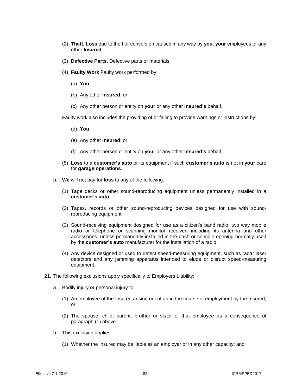- (2) **Theft. Loss** due to theft or conversion caused in any way by **you**, **your** employees or any other **Insured**.
- (3) **Defective Parts.** Defective parts or materials.
- (4) **Faulty Work** Faulty work performed by:
	- (a) **You**;
	- (b) Any other **Insured**; or
	- (c) Any other person or entity on **your** or any other **Insured's** behalf.

Faulty work also includes the providing of or failing to provide warnings or instructions by:

- (d) **You**;
- (e) Any other **Insured**; or
- (f) Any other person or entity on **your** or any other **Insured's** behalf.
- (5) **Loss** to a **customer's auto** or its equipment if such **customer's auto** is not in **your** care for **garage operations**.
- b. **We** will not pay for **loss** to any of the following:
	- (1) Tape decks or other sound-reproducing equipment unless permanently installed in a **customer's auto.**
	- (2) Tapes, records or other sound-reproducing devices designed for use with soundreproducing equipment.
	- (3) Sound-receiving equipment designed for use as a citizen's band radio, two way mobile radio or telephone or scanning monitor receiver, including its antenna and other accessories, unless permanently installed in the dash or console opening normally used by the **customer's auto** manufacturer for the installation of a radio.
	- (4) Any device designed or used to detect speed-measuring equipment, such as radar laser detectors and any jamming apparatus intended to elude or disrupt speed-measuring equipment.
- 21. The following exclusions apply specifically to Employers Liability:
	- a. Bodily injury or personal injury to:
		- (1) An employee of the Insured arising out of an in the course of employment by the Insured; or
		- (2) The spouse, child, parent, brother or sister of that employee as a consequence of paragraph (1) above.
	- b. This exclusion applies:
		- (1) Whether the Insured may be liable as an employer or in any other capacity; and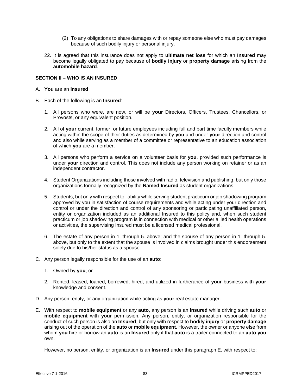- (2) To any obligations to share damages with or repay someone else who must pay damages because of such bodily injury or personal injury.
- 22. It is agreed that this insurance does not apply to **ultimate net loss** for which an **Insured** may become legally obligated to pay because of **bodily injury** or **property damage** arising from the **automobile hazard**.

#### **SECTION II – WHO IS AN INSURED**

- A. **You** are an **Insured**
- B. Each of the following is an **Insured**:
	- 1. All persons who were, are now, or will be **your** Directors, Officers, Trustees, Chancellors, or Provosts, or any equivalent position.
	- 2. All of **your** current, former, or future employees including full and part time faculty members while acting within the scope of their duties as determined by **you** and under **your** direction and control and also while serving as a member of a committee or representative to an education association of which **you** are a member.
	- 3. All persons who perform a service on a volunteer basis for **you**, provided such performance is under **your** direction and control. This does not include any person working on retainer or as an independent contractor.
	- 4. Student Organizations including those involved with radio, television and publishing, but only those organizations formally recognized by the **Named Insured** as student organizations.
	- 5. Students, but only with respect to liability while serving student practicum or job shadowing program approved by you in satisfaction of course requirements and while acting under your direction and control or under the direction and control of any sponsoring or participating unaffiliated person, entity or organization included as an additional Insured to this policy and, when such student practicum or job shadowing program is in connection with medical or other allied health operations or activities, the supervising Insured must be a licensed medical professional.
	- 6. The estate of any person in 1. through 5. above; and the spouse of any person in 1. through 5. above, but only to the extent that the spouse is involved in claims brought under this endorsement solely due to his/her status as a spouse.
- C. Any person legally responsible for the use of an **auto**:
	- 1. Owned by **you**; or
	- 2. Rented, leased, loaned, borrowed, hired, and utilized in furtherance of **your** business with **your**  knowledge and consent.
- D. Any person, entity, or any organization while acting as **your** real estate manager.
- E. With respect to **mobile equipment** or any **auto**, any person is an **Insured** while driving such **auto** or **mobile equipment** with **your** permission. Any person, entity, or organization responsible for the conduct of such person is also an **Insured**, but only with respect to **bodily injury** or **property damage**  arising out of the operation of the **auto** or **mobile equipment**. However, the owner or anyone else from whom **you** hire or borrow an **auto** is an **Insured** only if that **auto** is a trailer connected to an **auto you**  own.

However, no person, entity, or organization is an **Insured** under this paragraph E**.** with respect to: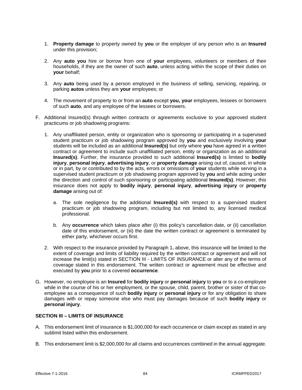- 1. **Property damage** to property owned by **you** or the employer of any person who is an **Insured**  under this provision;
- 2. Any **auto you** hire or borrow from one of **your** employees, volunteers or members of their households, if they are the owner of such **auto**, unless acting within the scope of their duties on **your** behalf;
- 3. Any **auto** being used by a person employed in the business of selling, servicing, repairing, or parking **autos** unless they are **your** employees; or
- 4. The movement of property to or from an **auto** except **you, your** employees, lessees or borrowers of such **auto**, and any employee of the lessees or borrowers.
- F. Additional Insured(s) through written contracts or agreements exclusive to your approved student practicums or job shadowing programs:
	- 1. Any unaffiliated person, entity or organization who is sponsoring or participating in a supervised student practicum or job shadowing program approved by **you** and exclusively involving **your**  students will be included as an additional **Insured(s)** but only where **you** have agreed in a written contract or agreement to include such unaffiliated person, entity or organization as an additional **Insured(s)**. Further, the insurance provided to such additional **Insured(s)** is limited to **bodily injury**, **personal injury**, **advertising injury**, or **property damage** arising out of, caused, in whole or in part, by or contributed to by the acts, errors or omissions of **your** students while serving in a supervised student practicum or job shadowing program approved by **you** and while acting under the direction and control of such sponsoring or participating additional **Insured(s)**. However, this insurance does not apply to **bodily injury**, **personal injury**, **advertising injury** or **property damage** arising out of:
		- a. The sole negligence by the additional **Insured(s)** with respect to a supervised student practicum or job shadowing program, including but not limited to, any licensed medical professional.
		- b. Any **occurrence** which takes place after (i) this policy's cancellation date, *or* (ii) cancellation date of this endorsement, *or* (iii) the date the written contract or agreement is terminated by either party, whichever occurs first.
	- 2. With respect to the insurance provided by Paragraph 1**.** above, this insurance will be limited to the extent of coverage and limits of liability required by the written contract or agreement and will not increase the limit(s) stated in SECTION III - LIMITS OF INSURANCE or alter any of the terms of coverage stated in this endorsement. The written contract or agreement must be effective and executed by **you** prior to a covered **occurrence**.
- G. However, no employee is an **Insured** for **bodily injury** or **personal injury** to **you** or to a co-employee while in the course of his or her employment, or the spouse, child, parent, brother or sister of that coemployee as a consequence of such **bodily injury** or **personal injury** or for any obligation to share damages with or repay someone else who must pay damages because of such **bodily injury** or **personal injury**.

#### **SECTION III – LIMITS OF INSURANCE**

- A. This endorsement limit of insurance is \$1,000,000 for each occurrence or claim except as stated in any sublimit listed within this endorsement.
- B. This endorsement limit is \$2,000,000 for all claims and occurrences combined in the annual aggregate.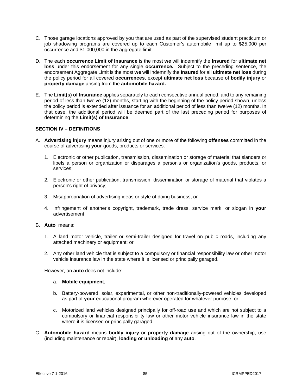- C. Those garage locations approved by you that are used as part of the supervised student practicum or job shadowing programs are covered up to each Customer's automobile limit up to \$25,000 per occurrence and \$1,000,000 in the aggregate limit.
- D. The each **occurrence Limit of Insurance** is the most **we** will indemnify the **Insured** for **ultimate net loss** under this endorsement for any single **occurrence.** Subject to the preceding sentence, the endorsement Aggregate Limit is the most **we** will indemnify the **Insured** for all **ultimate net loss** during the policy period for all covered **occurrences**, except **ultimate net loss** because of **bodily injury** or **property damage** arising from the **automobile hazard.**
- E. The **Limit(s) of Insurance** applies separately to each consecutive annual period, and to any remaining period of less than twelve (12) months, starting with the beginning of the policy period shown, unless the policy period is extended after issuance for an additional period of less than twelve (12) months. In that case, the additional period will be deemed part of the last preceding period for purposes of determining the **Limit(s) of Insurance**.

# **SECTION IV – DEFINITIONS**

- A. **Advertising injury** means injury arising out of one or more of the following **offenses** committed in the course of advertising **your** goods, products or services:
	- 1. Electronic or other publication, transmission, dissemination or storage of material that slanders or libels a person or organization or disparages a person's or organization's goods, products, or services;
	- 2. Electronic or other publication, transmission, dissemination or storage of material that violates a person's right of privacy;
	- 3. Misappropriation of advertising ideas or style of doing business; or
	- 4. Infringement of another's copyright, trademark, trade dress, service mark, or slogan in **your**  advertisement
- B. **Auto** means:
	- 1. A land motor vehicle, trailer or semi-trailer designed for travel on public roads, including any attached machinery or equipment; or
	- 2. Any other land vehicle that is subject to a compulsory or financial responsibility law or other motor vehicle insurance law in the state where it is licensed or principally garaged.

However, an **auto** does not include:

#### a. **Mobile equipment**;

- b. Battery-powered, solar, experimental, or other non-traditionally-powered vehicles developed as part of **your** educational program wherever operated for whatever purpose; or
- c. Motorized land vehicles designed principally for off-road use and which are not subject to a compulsory or financial responsibility law or other motor vehicle insurance law in the state where it is licensed or principally garaged.
- C. **Automobile hazard** means **bodily injury** or **property damage** arising out of the ownership, use (including maintenance or repair), **loading or unloading** of any **auto**.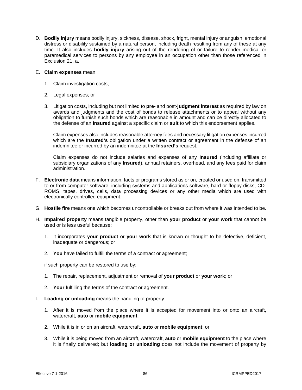D. **Bodily injury** means bodily injury, sickness, disease, shock, fright, mental injury or anguish, emotional distress or disability sustained by a natural person, including death resulting from any of these at any time. It also includes **bodily injury** arising out of the rendering of or failure to render medical or paramedical services to persons by any employee in an occupation other than those referenced in Exclusion 21. a.

#### E. **Claim expenses** mean:

- 1. Claim investigation costs;
- 2. Legal expenses; or
- 3. Litigation costs, including but not limited to **pre-** and post**-judgment interest** as required by law on awards and judgments and the cost of bonds to release attachments or to appeal without any obligation to furnish such bonds which are reasonable in amount and can be directly allocated to the defense of an **Insured** against a specific claim or **suit** to which this endorsement applies.

Claim expenses also includes reasonable attorney fees and necessary litigation expenses incurred which are the **Insured's** obligation under a written contract or agreement in the defense of an indemnitee or incurred by an indemnitee at the **Insured's** request.

Claim expenses do not include salaries and expenses of any **Insured** (including affiliate or subsidiary organizations of any **Insured**), annual retainers, overhead, and any fees paid for claim administration.

- F. **Electronic data** means information, facts or programs stored as or on, created or used on, transmitted to or from computer software, including systems and applications software, hard or floppy disks, CD-ROMS, tapes, drives, cells, data processing devices or any other media which are used with electronically controlled equipment.
- G. **Hostile fire** means one which becomes uncontrollable or breaks out from where it was intended to be.
- H. **Impaired property** means tangible property, other than **your product** or **your work** that cannot be used or is less useful because:
	- 1. It incorporates **your product** or **your work** that is known or thought to be defective, deficient, inadequate or dangerous; or
	- 2. **You** have failed to fulfill the terms of a contract or agreement;

if such property can be restored to use by:

- 1. The repair, replacement, adjustment or removal of **your product** or **your work**; or
- 2. **Your** fulfilling the terms of the contract or agreement.
- I. **Loading or unloading** means the handling of property:
	- 1. After it is moved from the place where it is accepted for movement into or onto an aircraft, watercraft, **auto** or **mobile equipment**;
	- 2. While it is in or on an aircraft, watercraft, **auto** or **mobile equipment**; or
	- 3. While it is being moved from an aircraft, watercraft, **auto** or **mobile equipment** to the place where it is finally delivered; but **loading or unloading** does not include the movement of property by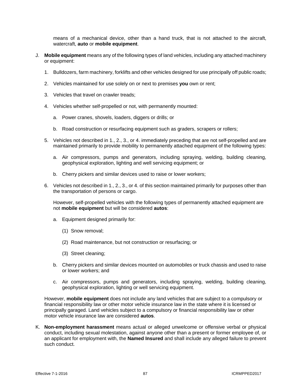means of a mechanical device, other than a hand truck, that is not attached to the aircraft, watercraft, **auto** or **mobile equipment**.

- J. **Mobile equipment** means any of the following types of land vehicles, including any attached machinery or equipment:
	- 1. Bulldozers, farm machinery, forklifts and other vehicles designed for use principally off public roads;
	- 2. Vehicles maintained for use solely on or next to premises **you** own or rent;
	- 3. Vehicles that travel on crawler treads;
	- 4. Vehicles whether self-propelled or not, with permanently mounted:
		- a. Power cranes, shovels, loaders, diggers or drills; or
		- b. Road construction or resurfacing equipment such as graders, scrapers or rollers;
	- 5. Vehicles not described in 1., 2., 3., or 4. immediately preceding that are not self-propelled and are maintained primarily to provide mobility to permanently attached equipment of the following types:
		- a. Air compressors, pumps and generators, including spraying, welding, building cleaning, geophysical exploration, lighting and well servicing equipment; or
		- b. Cherry pickers and similar devices used to raise or lower workers;
	- 6. Vehicles not described in 1., 2., 3., or 4. of this section maintained primarily for purposes other than the transportation of persons or cargo.

However, self-propelled vehicles with the following types of permanently attached equipment are not **mobile equipment** but will be considered **autos**:

- a. Equipment designed primarily for:
	- (1) Snow removal;
	- (2) Road maintenance, but not construction or resurfacing; or
	- (3) Street cleaning;
- b. Cherry pickers and similar devices mounted on automobiles or truck chassis and used to raise or lower workers; and
- c. Air compressors, pumps and generators, including spraying, welding, building cleaning, geophysical exploration, lighting or well servicing equipment.

However, **mobile equipment** does not include any land vehicles that are subject to a compulsory or financial responsibility law or other motor vehicle insurance law in the state where it is licensed or principally garaged. Land vehicles subject to a compulsory or financial responsibility law or other motor vehicle insurance law are considered **autos**.

K. **Non-employment harassment** means actual or alleged unwelcome or offensive verbal or physical conduct, including sexual molestation, against anyone other than a present or former employee of, or an applicant for employment with, the **Named Insured** and shall include any alleged failure to prevent such conduct.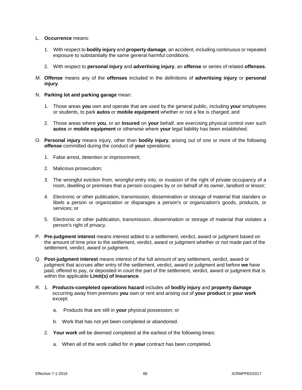- L. **Occurrence** means:
	- 1. With respect to **bodily injury** and **property damage**, an accident, including continuous or repeated exposure to substantially the same general harmful conditions.
	- 2. With respect to **personal injury** and **advertising injury**, an **offense** or series of related **offenses**.
- M. **Offense** means any of the **offenses** included in the definitions of **advertising injury** or **personal injury**.
- N. **Parking lot and parking garage** mean:
	- 1. Those areas **you** own and operate that are used by the general public, including **your** employees or students, to park **autos** or **mobile equipment** whether or not a fee is charged; and
	- 2. Those areas where **you**, or an **Insured** on **your** behalf, are exercising physical control over such **autos** or **mobile equipment** or otherwise where **your** legal liability has been established.
- O. **Personal injury** means injury, other than **bodily injury**, arising out of one or more of the following **offense** committed during the conduct of **your** operations:
	- 1. False arrest, detention or imprisonment;
	- 2. Malicious prosecution;
	- 3. The wrongful eviction from, wrongful entry into, or invasion of the right of private occupancy of a room, dwelling or premises that a person occupies by or on behalf of its owner, landlord or lessor;
	- 4. Electronic or other publication, transmission, dissemination or storage of material that slanders or libels a person or organization or disparages a person's or organization's goods, products, or services; or
	- 5. Electronic or other publication, transmission, dissemination or storage of material that violates a person's right of privacy.
- P. **Pre-judgment interest** means interest added to a settlement, verdict, award or judgment based on the amount of time prior to the settlement, verdict, award or judgment whether or not made part of the settlement, verdict, award or judgment.
- Q. **Post-judgment interest** means interest of the full amount of any settlement, verdict, award or judgment that accrues after entry of the settlement, verdict, award or judgment and before **we** have paid, offered to pay, or deposited in court the part of the settlement, verdict, award or judgment that is within the applicable **Limit(s) of Insurance**.
- R. 1. **Products-completed operations hazard** includes all **bodily injury** and **property damage** occurring away from premises **you** own or rent and arising out of **your product** or **your work** except:
	- a. Products that are still in **your** physical possession; or
	- b. Work that has not yet been completed or abandoned.
	- 2. **Your work** will be deemed completed at the earliest of the following times:
		- a. When all of the work called for in **your** contract has been completed.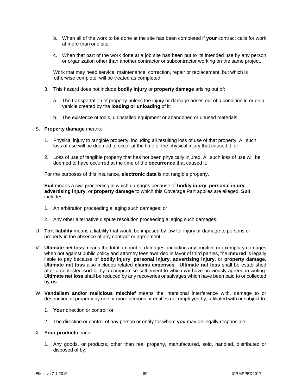- b. When all of the work to be done at the site has been completed if **your** contract calls for work at more than one site.
- c. When that part of the work done at a job site has been put to its intended use by any person or organization other than another contractor or subcontractor working on the same project.

Work that may need service, maintenance, correction, repair or replacement, but which is otherwise complete, will be treated as completed.

- 3. This hazard does not include **bodily injury** or **property damage** arising out of:
	- a. The transportation of property unless the injury or damage arises out of a condition in or on a vehicle created by the **loading or unloading** of it;
	- b. The existence of tools, uninstalled equipment or abandoned or unused materials.

#### S. **Property damage** means:

- 1. Physical injury to tangible property, including all resulting loss of use of that property. All such loss of use will be deemed to occur at the time of the physical injury that caused it; or
- 2. Loss of use of tangible property that has not been physically injured. All such loss of use will be deemed to have occurred at the time of the **occurrence** that caused it.

For the purposes of this insurance, **electronic data** is not tangible property.

- T. **Suit** means a civil proceeding in which damages because of **bodily injury**, **personal injury**, **advertising injury**, or **property damage** to which this Coverage Part applies are alleged. **Suit**  includes:
	- 1. An arbitration proceeding alleging such damages; or
	- 2. Any other alternative dispute resolution proceeding alleging such damages.
- U. **Tort liability** means a liability that would be imposed by law for injury or damage to persons or property in the absence of any contract or agreement.
- V. **Ultimate net loss** means the total amount of damages, including any punitive or exemplary damages when not against public policy and attorney fees awarded in favor of third parties, the **Insured** is legally liable to pay because of **bodily injury**, **personal injury**, **advertising injury**, or **property damage. Ultimate net loss** also includes related **claims expenses**. **Ultimate net loss** shall be established after a contested **suit** or by a compromise settlement to which **we** have previously agreed in writing. **Ultimate net loss** shall be reduced by any recoveries or salvages which have been paid to or collected by **us**.
- W. **Vandalism and/or malicious mischief** means the intentional interference with, damage to or destruction of property by one or more persons or entities not employed by, affiliated with or subject to:
	- 1. **Your** direction or control; or
	- 2. The direction or control of any person or entity for whom **you** may be legally responsible.
- X. **Your product**means:
	- 1. Any goods, or products, other than real property, manufactured, sold, handled, distributed or disposed of by: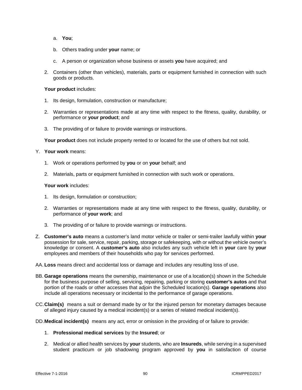- a. **You**;
- b. Others trading under **your** name; or
- c. A person or organization whose business or assets **you** have acquired; and
- 2. Containers (other than vehicles), materials, parts or equipment furnished in connection with such goods or products.

#### Your product includes:

- 1. Its design, formulation, construction or manufacture;
- 2. Warranties or representations made at any time with respect to the fitness, quality, durability, or performance or **your product**; and
- 3. The providing of or failure to provide warnings or instructions.

**Your product** does not include property rented to or located for the use of others but not sold.

# Y. **Your work** means:

- 1. Work or operations performed by **you** or on **your** behalf; and
- 2. Materials, parts or equipment furnished in connection with such work or operations.

# **Your work** includes:

- 1. Its design, formulation or construction;
- 2. Warranties or representations made at any time with respect to the fitness, quality, durability, or performance of **your work**; and
- 3. The providing of or failure to provide warnings or instructions.
- Z. **Customer's auto** means a customer's land motor vehicle or trailer or semi-trailer lawfully within **your**  possession for sale, service, repair, parking, storage or safekeeping, with or without the vehicle owner's knowledge or consent. A **customer's auto** also includes any such vehicle left in **your** care by **your**  employees and members of their households who pay for services performed.
- AA. **Loss** means direct and accidental loss or damage and includes any resulting loss of use.
- BB. **Garage operations** means the ownership, maintenance or use of a location(s) shown in the Schedule for the business purpose of selling, servicing, repairing, parking or storing **customer's autos** and that portion of the roads or other accesses that adjoin the Scheduled location(s). **Garage operations** also include all operations necessary or incidental to the performance of garage operations.
- CC.**Claim(s)** means a suit or demand made by or for the injured person for monetary damages because of alleged injury caused by a medical incident(s) or a series of related medical incident(s).
- DD.**Medical incident(s)** means any act, error or omission in the providing of or failure to provide:
	- 1. **Professional medical services** by the **Insured**; or
	- 2. Medical or allied health services by **your** students, who are **Insureds**, while serving in a supervised student practicum or job shadowing program approved by **you** in satisfaction of course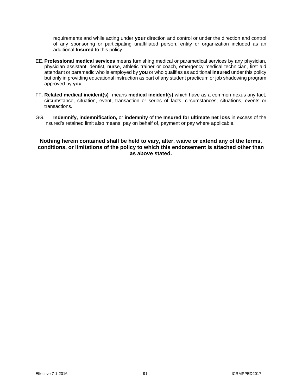requirements and while acting under **your** direction and control or under the direction and control of any sponsoring or participating unaffiliated person, entity or organization included as an additional **Insured** to this policy.

- EE. **Professional medical services** means furnishing medical or paramedical services by any physician, physician assistant, dentist, nurse, athletic trainer or coach, emergency medical technician, first aid attendant or paramedic who is employed by **you** or who qualifies as additional **Insured** under this policy but only in providing educational instruction as part of any student practicum or job shadowing program approved by **you**.
- FF. **Related medical incident(s)** means **medical incident(s)** which have as a common nexus any fact, circumstance, situation, event, transaction or series of facts, circumstances, situations, events or transactions.
- GG. **Indemnify, indemnification,** or **indemnity** of the **Insured for ultimate net loss** in excess of the Insured's retained limit also means: pay on behalf of, payment or pay where applicable.

**Nothing herein contained shall be held to vary, alter, waive or extend any of the terms, conditions, or limitations of the policy to which this endorsement is attached other than as above stated.**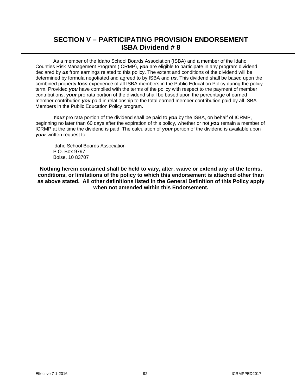# **SECTION V – PARTICIPATING PROVISION ENDORSEMENT ISBA Dividend # 8**

As a member of the Idaho School Boards Association (ISBA) and a member of the Idaho Counties Risk Management Program (ICRMP), *you* are eligible to participate in any program dividend declared by *us* from earnings related to this policy. The extent and conditions of the dividend will be determined by formula negotiated and agreed to by ISBA and *us*. This dividend shall be based upon the combined property *loss* experience of all ISBA members in the Public Education Policy during the policy term. Provided *you* have complied with the terms of the policy with respect to the payment of member contributions, *your* pro rata portion of the dividend shall be based upon the percentage of earned member contribution *you* paid in relationship to the total earned member contribution paid by all ISBA Members in the Public Education Policy program.

*Your* pro rata portion of the dividend shall be paid to *you* by the ISBA, on behalf of ICRMP, beginning no later than 60 days after the expiration of this policy, whether or not *you* remain a member of ICRMP at the time the dividend is paid. The calculation of *your* portion of the dividend is available upon *your* written request to:

Idaho School Boards Association P.O. Box 9797 Boise, 10 83707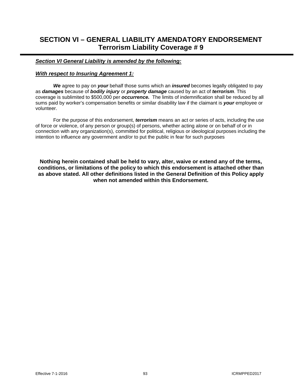# **SECTION VI – GENERAL LIABILITY AMENDATORY ENDORSEMENT Terrorism Liability Coverage # 9**

# *Section VI General Liability is amended by the following:*

# *With respect to Insuring Agreement 1:*

*We* agree to pay on *your* behalf those sums which an *insured* becomes legally obligated to pay as *damages* because of *bodily injury* or *property damage* caused by an act of *terrorism*. This coverage is sublimited to \$500,000 per *occurrence.* The limits of indemnification shall be reduced by all sums paid by worker's compensation benefits or similar disability law if the claimant is *your* employee or volunteer.

For the purpose of this endorsement, *terrorism* means an act or series of acts, including the use of force or violence, of any person or group(s) of persons, whether acting alone or on behalf of or in connection with any organization(s), committed for political, religious or ideological purposes including the intention to influence any government and/or to put the public in fear for such purposes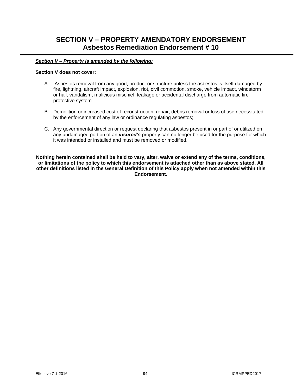# **SECTION V – PROPERTY AMENDATORY ENDORSEMENT Asbestos Remediation Endorsement # 10**

# *Section V – Property is amended by the following:*

#### **Section V does not cover:**

- A. Asbestos removal from any good, product or structure unless the asbestos is itself damaged by fire, lightning, aircraft impact, explosion, riot, civil commotion, smoke, vehicle impact, windstorm or hail, vandalism, malicious mischief, leakage or accidental discharge from automatic fire protective system.
- B. Demolition or increased cost of reconstruction, repair, debris removal or loss of use necessitated by the enforcement of any law or ordinance regulating asbestos;
- C. Any governmental direction or request declaring that asbestos present in or part of or utilized on any undamaged portion of an *insured's* property can no longer be used for the purpose for which it was intended or installed and must be removed or modified.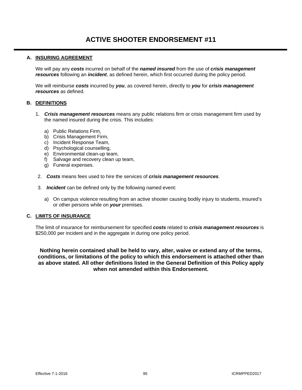# **A. INSURING AGREEMENT**

We will pay any *costs* incurred on behalf of the *named insured* from the use of *crisis management resources* following an *incident*, as defined herein, which first occurred during the policy period.

We will reimburse *costs* incurred by *you*, as covered herein, directly to *you* for *crisis management resources* as defined.

# **B. DEFINITIONS**

- 1. *Crisis management resources* means any public relations firm or crisis management firm used by the named insured during the crisis. This includes:
	- a) Public Relations Firm,
	- b) Crisis Management Firm,
	- c) Incident Response Team,
	- d) Psychological counselling,
	- e) Environmental clean-up team,
	- f) Salvage and recovery clean up team,
	- g) Funeral expenses.
- 2. *Costs* means fees used to hire the services of *crisis management resources.*
- 3. *Incident* can be defined only by the following named event:
	- a) On campus violence resulting from an active shooter causing bodily injury to students, insured's or other persons while on *your* premises.

#### **C. LIMITS OF INSURANCE**

The limit of insurance for reimbursement for specified *costs* related to *crisis management resources* is \$250,000 per incident and in the aggregate in during one policy period.